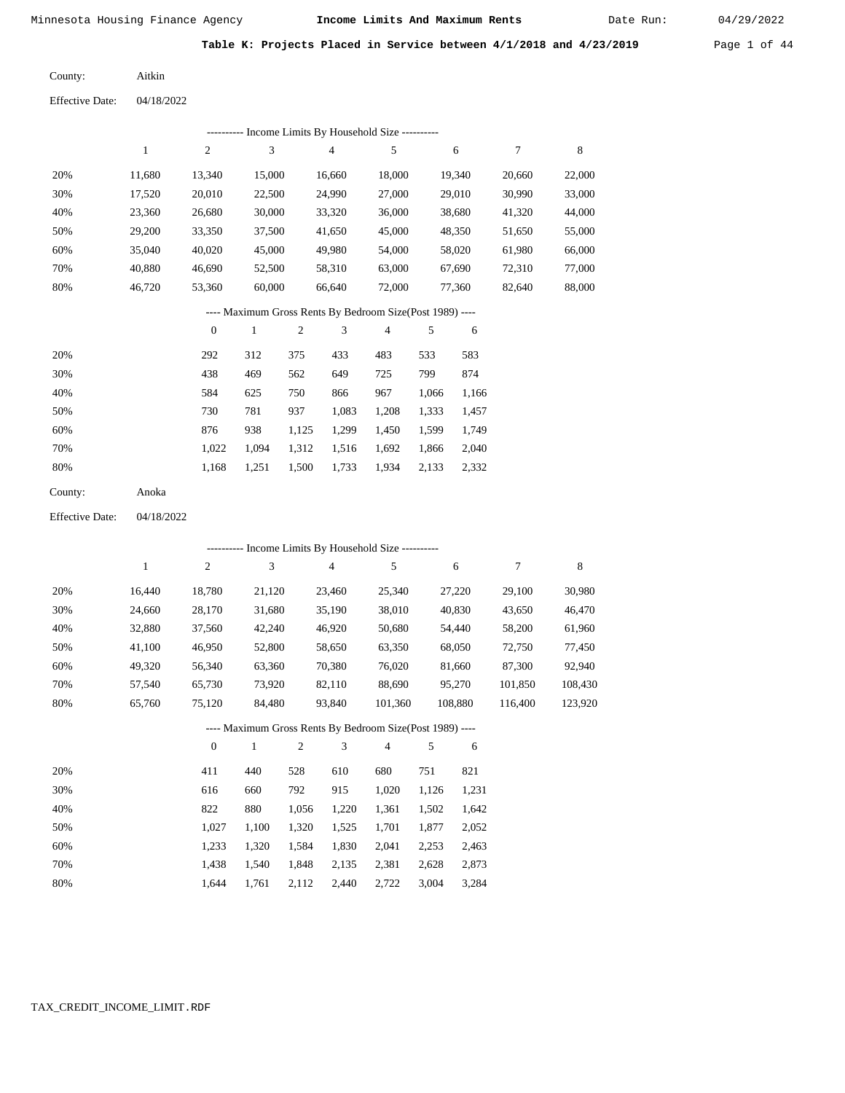Date Run:

Table K: Projects Placed in Service between  $4/1/2018$  and  $4/23/2019$  Page 1 of 44

Aitkin County:

Effective Date: 04/18/2022

|                        |              |                  |              |                | ---------- Income Limits By Household Size ----------    |                |       |         |                  |         |
|------------------------|--------------|------------------|--------------|----------------|----------------------------------------------------------|----------------|-------|---------|------------------|---------|
|                        | $\mathbf{1}$ | $\boldsymbol{2}$ | 3            |                | $\overline{\mathcal{A}}$                                 | 5              |       | 6       | $\boldsymbol{7}$ | 8       |
| 20%                    | 11,680       | 13,340           | 15,000       |                | 16,660                                                   | 18,000         |       | 19,340  | 20,660           | 22,000  |
| 30%                    | 17,520       | 20,010           | 22,500       |                | 24,990                                                   | 27,000         |       | 29,010  | 30,990           | 33,000  |
| 40%                    | 23,360       | 26,680           | 30,000       |                | 33,320                                                   | 36,000         |       | 38,680  | 41,320           | 44,000  |
| 50%                    | 29,200       | 33,350           | 37,500       |                | 41,650                                                   | 45,000         |       | 48,350  | 51,650           | 55,000  |
| 60%                    | 35,040       | 40,020           | 45,000       |                | 49,980                                                   | 54,000         |       | 58,020  | 61,980           | 66,000  |
| 70%                    | 40,880       | 46,690           | 52,500       |                | 58,310                                                   | 63,000         |       | 67,690  | 72,310           | 77,000  |
| 80%                    | 46,720       | 53,360           | 60,000       |                | 66,640                                                   | 72,000         |       | 77,360  | 82,640           | 88,000  |
|                        |              |                  |              |                | ---- Maximum Gross Rents By Bedroom Size(Post 1989) ---- |                |       |         |                  |         |
|                        |              | $\boldsymbol{0}$ | $\mathbf{1}$ | $\sqrt{2}$     | 3                                                        | $\overline{4}$ | 5     | 6       |                  |         |
| 20%                    |              | 292              | 312          | 375            | 433                                                      | 483            | 533   | 583     |                  |         |
| 30%                    |              | 438              | 469          | 562            | 649                                                      | 725            | 799   | 874     |                  |         |
| 40%                    |              | 584              | 625          | 750            | 866                                                      | 967            | 1,066 | 1,166   |                  |         |
| 50%                    |              | 730              | 781          | 937            | 1,083                                                    | 1,208          | 1,333 | 1,457   |                  |         |
| 60%                    |              | 876              | 938          | 1,125          | 1,299                                                    | 1,450          | 1,599 | 1,749   |                  |         |
| 70%                    |              | 1,022            | 1,094        | 1,312          | 1,516                                                    | 1,692          | 1,866 | 2,040   |                  |         |
| 80%                    |              | 1,168            | 1,251        | 1,500          | 1,733                                                    | 1,934          | 2,133 | 2,332   |                  |         |
| County:                | Anoka        |                  |              |                |                                                          |                |       |         |                  |         |
| <b>Effective Date:</b> | 04/18/2022   |                  |              |                |                                                          |                |       |         |                  |         |
|                        |              |                  |              |                | --------- Income Limits By Household Size ----------     |                |       |         |                  |         |
|                        | $\mathbf{1}$ | 2                | 3            |                | $\overline{\mathcal{A}}$                                 | 5              |       | 6       | 7                | 8       |
| 20%                    | 16,440       | 18,780           | 21,120       |                | 23,460                                                   | 25,340         |       | 27,220  | 29,100           | 30,980  |
| 30%                    | 24,660       | 28,170           | 31,680       |                | 35,190                                                   | 38,010         |       | 40,830  | 43,650           | 46,470  |
| 40%                    | 32,880       | 37,560           | 42,240       |                | 46,920                                                   | 50,680         |       | 54,440  | 58,200           | 61,960  |
| 50%                    | 41,100       | 46,950           | 52,800       |                | 58,650                                                   | 63,350         |       | 68,050  | 72,750           | 77,450  |
| 60%                    | 49,320       | 56,340           | 63,360       |                | 70,380                                                   | 76,020         |       | 81,660  | 87,300           | 92,940  |
| 70%                    | 57,540       | 65,730           | 73,920       |                | 82,110                                                   | 88,690         |       | 95,270  | 101,850          | 108,430 |
| 80%                    | 65,760       | 75,120           | 84,480       |                | 93,840                                                   | 101,360        |       | 108,880 | 116,400          | 123,920 |
|                        |              |                  |              |                | ---- Maximum Gross Rents By Bedroom Size(Post 1989) ---- |                |       |         |                  |         |
|                        |              | $\boldsymbol{0}$ | 1            | $\mathfrak{2}$ | 3                                                        | 4              | 5     | 6       |                  |         |
| 20%                    |              | 411              | 440          | 528            | 610                                                      | 680            | 751   | 821     |                  |         |

| 20% |       | 440   | 528   | 610   | 680   | 751   | 821   |
|-----|-------|-------|-------|-------|-------|-------|-------|
| 30% | 616   | 660   | 792   | 915   | 1.020 | 1.126 | 1,231 |
| 40% | 822   | 880   | 1.056 | 1.220 | 1.361 | 1.502 | 1,642 |
| 50% | 1.027 | 1.100 | 1.320 | 1.525 | 1,701 | 1.877 | 2,052 |
| 60% | 1.233 | 1.320 | 1.584 | 1,830 | 2.041 | 2.253 | 2,463 |
| 70% | 1.438 | 1.540 | 1.848 | 2,135 | 2,381 | 2.628 | 2,873 |
| 80% | 1.644 | 1.761 | 2,112 | 2,440 | 2,722 | 3,004 | 3,284 |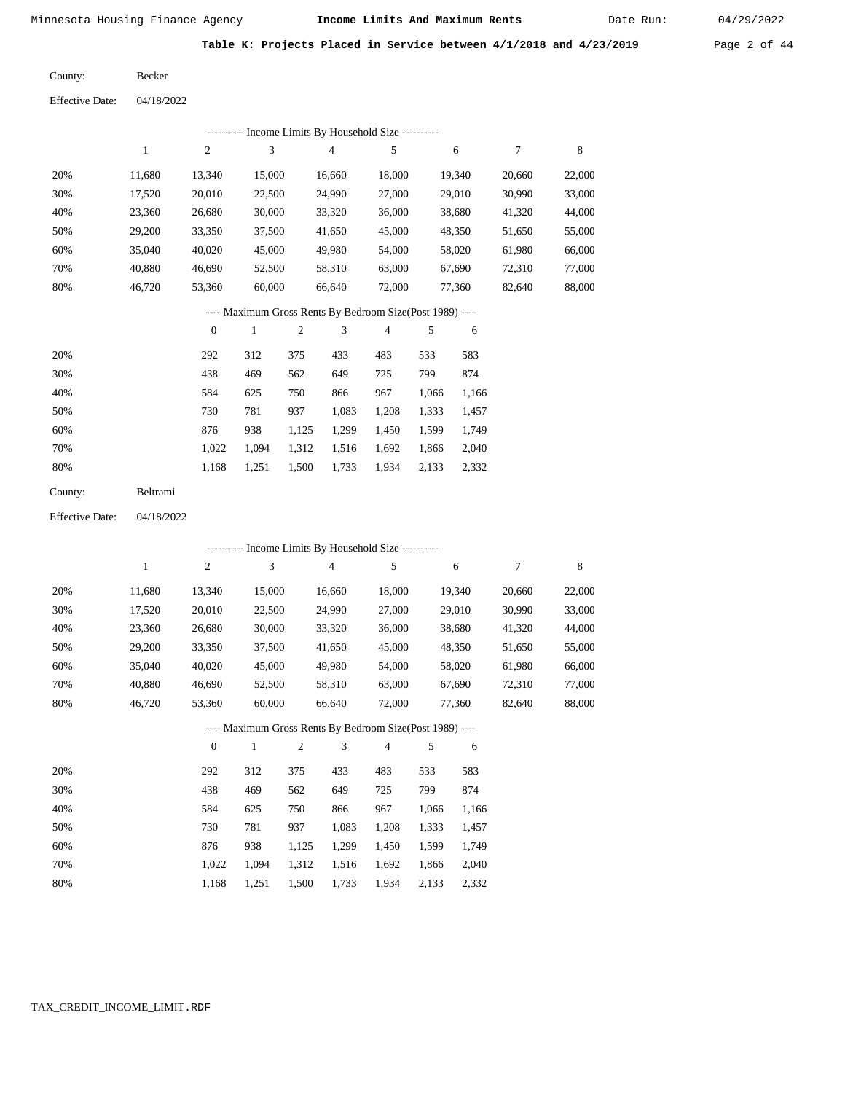Date Run:

Table K: Projects Placed in Service between 4/1/2018 and 4/23/2019 Page 2 of 44

Becker County:

04/18/2022 Effective Date:

| ---------- Income Limits By Household Size ---------- |        |        |        |                                                           |        |        |        |        |  |  |  |  |
|-------------------------------------------------------|--------|--------|--------|-----------------------------------------------------------|--------|--------|--------|--------|--|--|--|--|
|                                                       | 1      | 2      | 3      | 4                                                         | 5      | 6      | 7      | 8      |  |  |  |  |
| 20%                                                   | 11.680 | 13.340 | 15,000 | 16.660                                                    | 18,000 | 19.340 | 20,660 | 22,000 |  |  |  |  |
| 30%                                                   | 17,520 | 20.010 | 22,500 | 24,990                                                    | 27,000 | 29,010 | 30.990 | 33,000 |  |  |  |  |
| 40%                                                   | 23.360 | 26,680 | 30,000 | 33,320                                                    | 36,000 | 38,680 | 41,320 | 44,000 |  |  |  |  |
| 50%                                                   | 29,200 | 33,350 | 37,500 | 41,650                                                    | 45,000 | 48,350 | 51,650 | 55,000 |  |  |  |  |
| 60%                                                   | 35,040 | 40,020 | 45,000 | 49,980                                                    | 54,000 | 58,020 | 61,980 | 66,000 |  |  |  |  |
| 70%                                                   | 40.880 | 46.690 | 52,500 | 58.310                                                    | 63,000 | 67.690 | 72.310 | 77,000 |  |  |  |  |
| 80%                                                   | 46.720 | 53,360 | 60,000 | 66.640                                                    | 72,000 | 77.360 | 82,640 | 88,000 |  |  |  |  |
|                                                       |        |        |        | ---- Maximum Gross Rents By Bedroom Size (Post 1989) ---- |        |        |        |        |  |  |  |  |

|     |       |       | $\overline{2}$ | 3     | 4     |       | 6     |
|-----|-------|-------|----------------|-------|-------|-------|-------|
| 20% | 292   | 312   | 375            | 433   | 483   | 533   | 583   |
| 30% | 438   | 469   | 562            | 649   | 725   | 799   | 874   |
| 40% | 584   | 625   | 750            | 866   | 967   | 1,066 | 1,166 |
| 50% | 730   | 781   | 937            | 1,083 | 1,208 | 1,333 | 1,457 |
| 60% | 876   | 938   | 1,125          | 1,299 | 1,450 | 1,599 | 1,749 |
| 70% | 1,022 | 1.094 | 1,312          | 1,516 | 1,692 | 1,866 | 2,040 |
| 80% | 1,168 | 1,251 | 1,500          | 1,733 | 1,934 | 2,133 | 2,332 |

| County: | Beltrami |
|---------|----------|
|         |          |

04/18/2022 Effective Date:

|     |              |                  |        |                | ---------- Income Limits By Household Size ----------    |                |       |        |        |             |
|-----|--------------|------------------|--------|----------------|----------------------------------------------------------|----------------|-------|--------|--------|-------------|
|     | $\mathbf{1}$ | $\boldsymbol{2}$ | 3      |                | $\overline{4}$                                           | 5              |       | 6      | 7      | $\,$ 8 $\,$ |
| 20% | 11,680       | 13,340           | 15,000 |                | 16,660                                                   | 18,000         |       | 19,340 | 20,660 | 22,000      |
| 30% | 17,520       | 20,010           | 22,500 |                | 24,990                                                   | 27,000         |       | 29,010 | 30,990 | 33,000      |
| 40% | 23,360       | 26,680           | 30,000 |                | 33,320                                                   | 36,000         |       | 38,680 | 41,320 | 44,000      |
| 50% | 29,200       | 33,350           | 37,500 |                | 41,650                                                   | 45,000         |       | 48,350 | 51,650 | 55,000      |
| 60% | 35,040       | 40,020           | 45,000 |                | 49,980                                                   | 54,000         |       | 58,020 | 61,980 | 66,000      |
| 70% | 40,880       | 46,690           | 52,500 |                | 58,310                                                   | 63,000         |       | 67,690 | 72,310 | 77,000      |
| 80% | 46,720       | 53,360           | 60,000 |                | 66,640                                                   | 72,000         |       | 77,360 | 82,640 | 88,000      |
|     |              |                  |        |                | ---- Maximum Gross Rents By Bedroom Size(Post 1989) ---- |                |       |        |        |             |
|     |              | $\theta$         | 1      | $\overline{2}$ | 3                                                        | $\overline{4}$ | 5     | 6      |        |             |
| 20% |              | 292              | 312    | 375            | 433                                                      | 483            | 533   | 583    |        |             |
| 30% |              | 438              | 469    | 562            | 649                                                      | 725            | 799   | 874    |        |             |
| 40% |              | 584              | 625    | 750            | 866                                                      | 967            | 1,066 | 1,166  |        |             |
| 50% |              | 730              | 781    | 937            | 1,083                                                    | 1,208          | 1,333 | 1,457  |        |             |
| 60% |              | 876              | 938    | 1,125          | 1,299                                                    | 1,450          | 1,599 | 1,749  |        |             |
| 70% |              | 1,022            | 1,094  | 1,312          | 1,516                                                    | 1,692          | 1,866 | 2,040  |        |             |

1,500 1,733

1,934 2,133 2,332

 1,022 1,094 1,168

1,251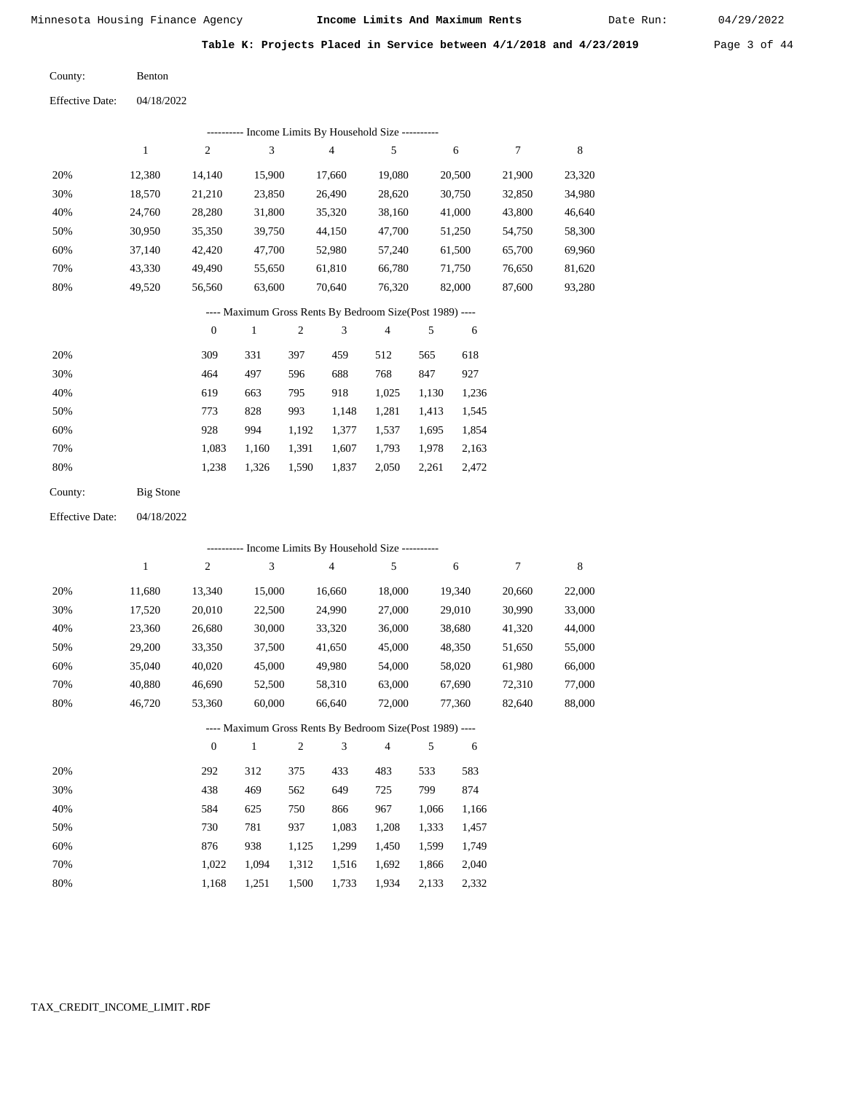Date Run:

Table K: Projects Placed in Service between  $4/1/2018$  and  $4/23/2019$  Page 3 of 44

Benton County:

04/18/2022 Effective Date:

|     | Income Limits By Household Size ----------<br>---------- |                |        |                                                          |                |        |        |        |  |  |  |  |
|-----|----------------------------------------------------------|----------------|--------|----------------------------------------------------------|----------------|--------|--------|--------|--|--|--|--|
|     | 1                                                        | $\overline{2}$ | 3      | 4                                                        | 5              | 6      | 7      | 8      |  |  |  |  |
| 20% | 12,380                                                   | 14,140         | 15,900 | 17,660                                                   | 19,080         | 20,500 | 21,900 | 23,320 |  |  |  |  |
| 30% | 18,570                                                   | 21,210         | 23,850 | 26,490                                                   | 28,620         | 30,750 | 32,850 | 34,980 |  |  |  |  |
| 40% | 24,760                                                   | 28,280         | 31,800 | 35,320                                                   | 38,160         | 41,000 | 43,800 | 46,640 |  |  |  |  |
| 50% | 30,950                                                   | 35,350         | 39,750 | 44,150                                                   | 47,700         | 51,250 | 54,750 | 58,300 |  |  |  |  |
| 60% | 37,140                                                   | 42,420         | 47,700 | 52,980                                                   | 57,240         | 61,500 | 65,700 | 69,960 |  |  |  |  |
| 70% | 43,330                                                   | 49,490         | 55,650 | 61,810                                                   | 66,780         | 71,750 | 76,650 | 81,620 |  |  |  |  |
| 80% | 49,520                                                   | 56,560         | 63,600 | 70.640                                                   | 76,320         | 82,000 | 87,600 | 93,280 |  |  |  |  |
|     |                                                          |                |        | ---- Maximum Gross Rents By Bedroom Size(Post 1989) ---- |                |        |        |        |  |  |  |  |
|     |                                                          | $\mathbf{0}$   | 1      | 3<br>2                                                   | $\overline{4}$ | 5<br>6 |        |        |  |  |  |  |
|     |                                                          |                |        |                                                          |                |        |        |        |  |  |  |  |

| 20% | 309   | 331   | 397   | 459   | 512   | 565   | 618   |
|-----|-------|-------|-------|-------|-------|-------|-------|
| 30% | 464   | 497   | 596   | 688   | 768   | 847   | 927   |
| 40% | 619   | 663   | 795   | 918   | 1.025 | 1,130 | 1,236 |
| 50% | 773   | 828   | 993   | 1.148 | 1.281 | 1.413 | 1,545 |
| 60% | 928   | 994   | 1.192 | 1.377 | 1,537 | 1.695 | 1,854 |
| 70% | 1.083 | 1.160 | 1,391 | 1,607 | 1,793 | 1,978 | 2,163 |
| 80% | 1.238 | 1,326 | 1,590 | 1,837 | 2,050 | 2,261 | 2,472 |
|     |       |       |       |       |       |       |       |

| County: | Big Stone |
|---------|-----------|
|         |           |

04/18/2022 Effective Date:

|     |        |                |        |                |                | - Income Limits By Household Size ----------             |       |        |        |        |
|-----|--------|----------------|--------|----------------|----------------|----------------------------------------------------------|-------|--------|--------|--------|
|     | 1      | $\overline{c}$ | 3      |                | $\overline{4}$ | 5                                                        |       | 6      | 7      | 8      |
| 20% | 11,680 | 13,340         | 15,000 |                | 16,660         | 18,000                                                   |       | 19,340 | 20,660 | 22,000 |
| 30% | 17,520 | 20,010         | 22,500 |                | 24,990         | 27,000                                                   |       | 29,010 | 30,990 | 33,000 |
| 40% | 23,360 | 26,680         | 30,000 |                | 33,320         | 36,000                                                   |       | 38,680 | 41,320 | 44,000 |
| 50% | 29,200 | 33,350         | 37,500 |                | 41,650         | 45,000                                                   |       | 48,350 | 51,650 | 55,000 |
| 60% | 35,040 | 40,020         | 45,000 |                | 49,980         | 54,000                                                   |       | 58,020 | 61,980 | 66,000 |
| 70% | 40,880 | 46,690         | 52,500 |                | 58,310         | 63,000                                                   |       | 67,690 | 72,310 | 77,000 |
| 80% | 46,720 | 53,360         | 60,000 |                | 66,640         | 72,000                                                   |       | 77,360 | 82,640 | 88,000 |
|     |        |                |        |                |                | ---- Maximum Gross Rents By Bedroom Size(Post 1989) ---- |       |        |        |        |
|     |        | $\theta$       | 1      | $\overline{2}$ | 3              | $\overline{4}$                                           | 5     | 6      |        |        |
| 20% |        | 292            | 312    | 375            | 433            | 483                                                      | 533   | 583    |        |        |
| 30% |        | 438            | 469    | 562            | 649            | 725                                                      | 799   | 874    |        |        |
| 40% |        | 584            | 625    | 750            | 866            | 967                                                      | 1,066 | 1,166  |        |        |
| 50% |        | 730            | 781    | 937            | 1,083          | 1,208                                                    | 1,333 | 1,457  |        |        |
| 60% |        | 876            | 938    | 1,125          | 1,299          | 1,450                                                    | 1,599 | 1,749  |        |        |
| 70% |        | 1,022          | 1,094  | 1,312          | 1,516          | 1,692                                                    | 1,866 | 2,040  |        |        |

1,500 1,733 1,934 2,133 2,332

1,168 1,251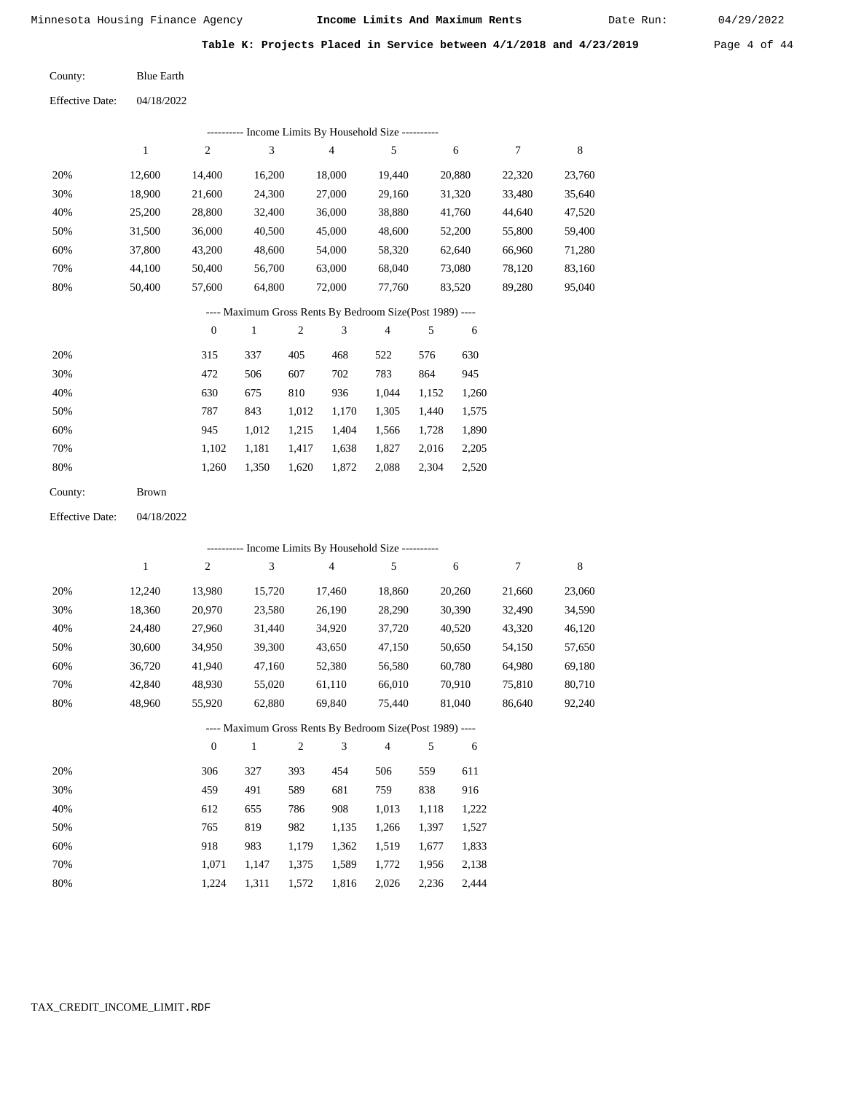Date Run:

Table K: Projects Placed in Service between 4/1/2018 and 4/23/2019 Page 4 of 44

Blue Earth County:

| Effective Date: | 04/18/2022 |
|-----------------|------------|
|                 |            |

|     | Income Limits By Household Size ---------- |                |        |        |        |        |        |        |  |  |  |  |
|-----|--------------------------------------------|----------------|--------|--------|--------|--------|--------|--------|--|--|--|--|
|     |                                            | $\overline{2}$ | 3      | 4      | 5      | 6      |        | 8      |  |  |  |  |
| 20% | 12.600                                     | 14.400         | 16.200 | 18,000 | 19.440 | 20,880 | 22,320 | 23,760 |  |  |  |  |
| 30% | 18.900                                     | 21,600         | 24,300 | 27,000 | 29,160 | 31,320 | 33,480 | 35,640 |  |  |  |  |
| 40% | 25,200                                     | 28,800         | 32,400 | 36,000 | 38,880 | 41,760 | 44,640 | 47,520 |  |  |  |  |
| 50% | 31,500                                     | 36,000         | 40,500 | 45,000 | 48,600 | 52,200 | 55,800 | 59,400 |  |  |  |  |
| 60% | 37,800                                     | 43,200         | 48,600 | 54,000 | 58,320 | 62,640 | 66,960 | 71,280 |  |  |  |  |
| 70% | 44.100                                     | 50.400         | 56,700 | 63,000 | 68,040 | 73,080 | 78,120 | 83,160 |  |  |  |  |
| 80% | 50,400                                     | 57,600         | 64,800 | 72,000 | 77,760 | 83,520 | 89,280 | 95,040 |  |  |  |  |

---- Maximum Gross Rents By Bedroom Size(Post 1989) ----

|     | $\mathbf{0}$ |       | 2     | 3     | 4     | 5     | 6     |
|-----|--------------|-------|-------|-------|-------|-------|-------|
| 20% | 315          | 337   | 405   | 468   | 522   | 576   | 630   |
| 30% | 472          | 506   | 607   | 702   | 783   | 864   | 945   |
| 40% | 630          | 675   | 810   | 936   | 1.044 | 1,152 | 1,260 |
| 50% | 787          | 843   | 1,012 | 1,170 | 1,305 | 1,440 | 1,575 |
| 60% | 945          | 1.012 | 1,215 | 1,404 | 1,566 | 1,728 | 1,890 |
| 70% | 1,102        | 1,181 | 1,417 | 1,638 | 1,827 | 2,016 | 2,205 |
| 80% | 1,260        | 1,350 | 1,620 | 1,872 | 2,088 | 2,304 | 2,520 |
|     |              |       |       |       |       |       |       |

Brown County:

04/18/2022 Effective Date:

|     |              |                |        |                | ---------- Income Limits By Household Size ----------    |                |       |        |        |        |
|-----|--------------|----------------|--------|----------------|----------------------------------------------------------|----------------|-------|--------|--------|--------|
|     | $\mathbf{1}$ | $\overline{c}$ | 3      |                | $\overline{4}$                                           | 5              |       | 6      | 7      | 8      |
| 20% | 12,240       | 13,980         | 15,720 |                | 17,460                                                   | 18,860         |       | 20,260 | 21,660 | 23,060 |
| 30% | 18,360       | 20,970         | 23,580 |                | 26,190                                                   | 28,290         |       | 30,390 | 32,490 | 34,590 |
| 40% | 24,480       | 27,960         | 31,440 |                | 34,920                                                   | 37,720         |       | 40,520 | 43,320 | 46,120 |
| 50% | 30,600       | 34,950         | 39,300 |                | 43,650                                                   | 47,150         |       | 50,650 | 54,150 | 57,650 |
| 60% | 36,720       | 41,940         | 47,160 |                | 52,380                                                   | 56,580         |       | 60,780 | 64,980 | 69,180 |
| 70% | 42,840       | 48,930         | 55,020 |                | 61,110                                                   | 66,010         |       | 70,910 | 75,810 | 80,710 |
| 80% | 48,960       | 55,920         | 62,880 |                | 69,840                                                   | 75,440         |       | 81,040 | 86,640 | 92,240 |
|     |              |                |        |                | ---- Maximum Gross Rents By Bedroom Size(Post 1989) ---- |                |       |        |        |        |
|     |              | $\mathbf{0}$   | 1      | $\overline{2}$ | 3                                                        | $\overline{4}$ | 5     | 6      |        |        |
| 20% |              | 306            | 327    | 393            | 454                                                      | 506            | 559   | 611    |        |        |
| 30% |              | 459            | 491    | 589            | 681                                                      | 759            | 838   | 916    |        |        |
| 40% |              | 612            | 655    | 786            | 908                                                      | 1,013          | 1,118 | 1,222  |        |        |
| 50% |              | 765            | 819    | 982            | 1,135                                                    | 1,266          | 1,397 | 1,527  |        |        |
| 60% |              | 918            | 983    | 1,179          | 1,362                                                    | 1,519          | 1,677 | 1,833  |        |        |

 1,071 1,224  1,147 1,311  1,375 1,572

 1,589 1,816  1,772 2,026  1,956 2,236

 2,138 2,444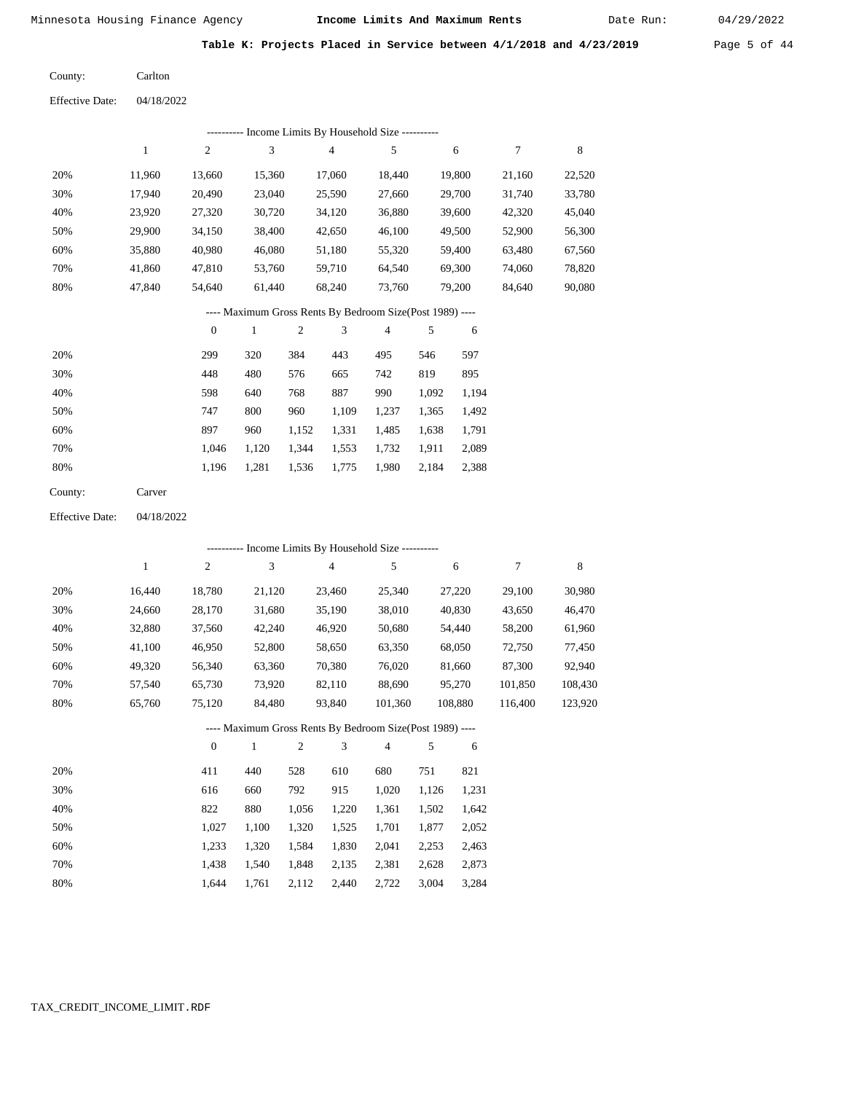Date Run:

Table K: Projects Placed in Service between  $4/1/2018$  and  $4/23/2019$  Page 5 of 44

| County: | Carlton |
|---------|---------|
|         |         |

Effective Date: 04/18/2022

|     | ---------- Income Limits By Household Size ---------- |        |        |        |        |        |        |        |  |  |  |  |  |
|-----|-------------------------------------------------------|--------|--------|--------|--------|--------|--------|--------|--|--|--|--|--|
|     |                                                       | 2      | 3      | 4      | 5      | 6      | 7      | 8      |  |  |  |  |  |
| 20% | 11.960                                                | 13.660 | 15.360 | 17.060 | 18.440 | 19,800 | 21.160 | 22,520 |  |  |  |  |  |
| 30% | 17.940                                                | 20,490 | 23,040 | 25,590 | 27,660 | 29,700 | 31,740 | 33,780 |  |  |  |  |  |
| 40% | 23,920                                                | 27,320 | 30,720 | 34,120 | 36,880 | 39,600 | 42,320 | 45,040 |  |  |  |  |  |
| 50% | 29,900                                                | 34,150 | 38,400 | 42,650 | 46,100 | 49,500 | 52,900 | 56,300 |  |  |  |  |  |
| 60% | 35,880                                                | 40,980 | 46,080 | 51,180 | 55,320 | 59,400 | 63.480 | 67,560 |  |  |  |  |  |
| 70% | 41.860                                                | 47.810 | 53,760 | 59,710 | 64.540 | 69.300 | 74,060 | 78,820 |  |  |  |  |  |
| 80% | 47.840                                                | 54,640 | 61,440 | 68,240 | 73,760 | 79,200 | 84.640 | 90,080 |  |  |  |  |  |
|     |                                                       |        |        |        |        |        |        |        |  |  |  |  |  |

# ---- Maximum Gross Rents By Bedroom Size(Post 1989) ----

|     | $\mathbf{0}$ |       | $\overline{2}$ | 3     | 4     | 5     | 6     |
|-----|--------------|-------|----------------|-------|-------|-------|-------|
| 20% | 299          | 320   | 384            | 443   | 495   | 546   | 597   |
| 30% | 448          | 480   | 576            | 665   | 742   | 819   | 895   |
| 40% | 598          | 640   | 768            | 887   | 990   | 1,092 | 1,194 |
| 50% | 747          | 800   | 960            | 1,109 | 1,237 | 1,365 | 1,492 |
| 60% | 897          | 960   | 1,152          | 1,331 | 1,485 | 1,638 | 1,791 |
| 70% | 1.046        | 1,120 | 1,344          | 1,553 | 1,732 | 1,911 | 2,089 |
| 80% | 1,196        | 1,281 | 1,536          | 1,775 | 1,980 | 2,184 | 2,388 |
|     |              |       |                |       |       |       |       |

| County: | Carver |
|---------|--------|
|---------|--------|

Effective Date: 04/18/2022

| ---------- Income Limits By Household Size ---------- |        |                |        |     |        |                                                          |     |         |         |         |  |  |
|-------------------------------------------------------|--------|----------------|--------|-----|--------|----------------------------------------------------------|-----|---------|---------|---------|--|--|
|                                                       | 1      | $\overline{2}$ | 3      |     | 4      | 5                                                        |     | 6       | 7       | 8       |  |  |
| 20%                                                   | 16,440 | 18,780         | 21,120 |     | 23,460 | 25,340                                                   |     | 27,220  | 29,100  | 30,980  |  |  |
| 30%                                                   | 24,660 | 28,170         | 31,680 |     | 35,190 | 38,010                                                   |     | 40,830  | 43,650  | 46,470  |  |  |
| 40%                                                   | 32,880 | 37,560         | 42,240 |     | 46,920 | 50,680                                                   |     | 54,440  | 58,200  | 61,960  |  |  |
| 50%                                                   | 41,100 | 46,950         | 52,800 |     | 58,650 | 63,350                                                   |     | 68,050  | 72,750  | 77,450  |  |  |
| 60%                                                   | 49.320 | 56,340         | 63,360 |     | 70,380 | 76,020                                                   |     | 81,660  | 87,300  | 92,940  |  |  |
| 70%                                                   | 57,540 | 65,730         | 73,920 |     | 82,110 | 88,690                                                   |     | 95,270  | 101,850 | 108,430 |  |  |
| 80%                                                   | 65,760 | 75,120         | 84,480 |     | 93,840 | 101,360                                                  |     | 108,880 | 116,400 | 123,920 |  |  |
|                                                       |        |                |        |     |        | ---- Maximum Gross Rents By Bedroom Size(Post 1989) ---- |     |         |         |         |  |  |
|                                                       |        | $\mathbf{0}$   | 1      | 2   | 3      | $\overline{4}$                                           | 5   | 6       |         |         |  |  |
| 20%                                                   |        | 411            | 440    | 528 | 610    | 680                                                      | 751 | 821     |         |         |  |  |

| 30% | 616   | 660   | 792   | 915   | 1.020 | 1.126 | 1,231 |
|-----|-------|-------|-------|-------|-------|-------|-------|
| 40% | 822   | 880   | 1.056 | 1.220 | 1.361 | 1.502 | 1,642 |
| 50% | 1.027 | 1.100 | 1.320 | 1.525 | 1.701 | 1.877 | 2,052 |
| 60% | 1.233 | 1.320 | 1.584 | 1.830 | 2.041 | 2.253 | 2,463 |
| 70% | 1.438 | 1.540 | 1.848 | 2.135 | 2.381 | 2.628 | 2,873 |
| 80% | 1.644 | 1.761 | 2.112 | 2.440 | 2.722 | 3.004 | 3,284 |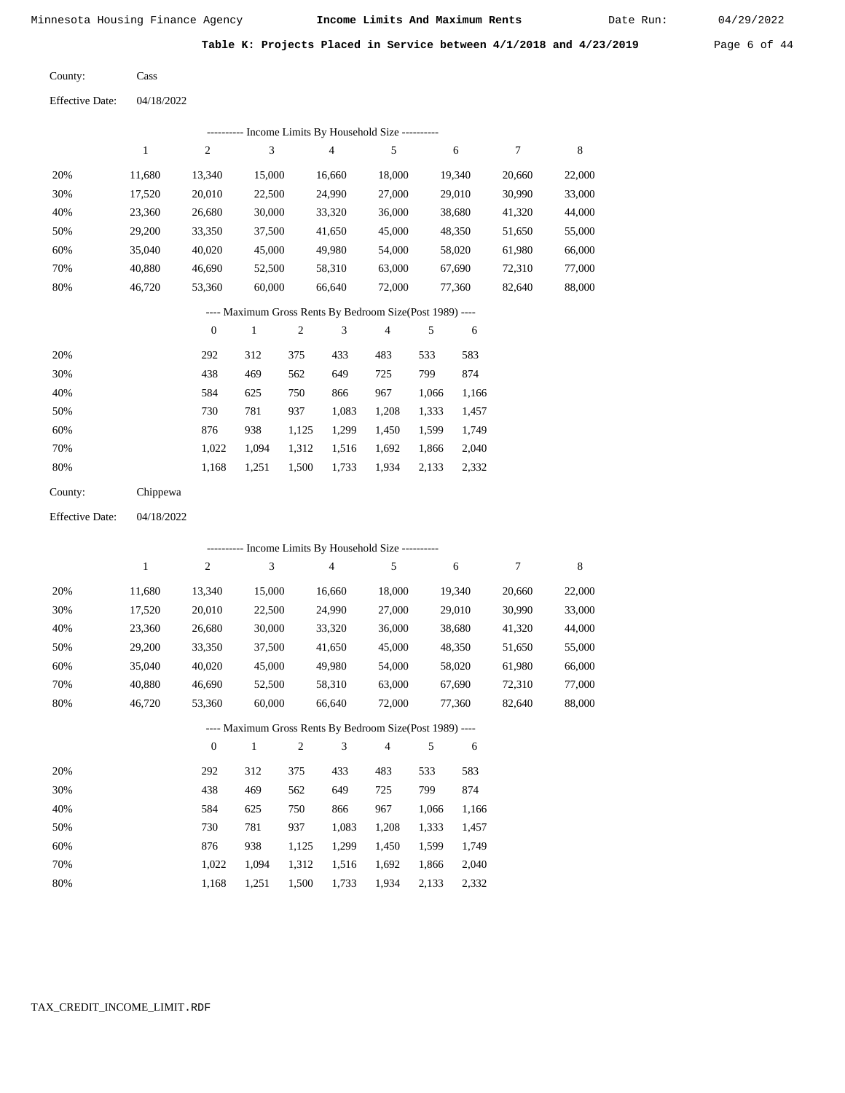Date Run:

Table K: Projects Placed in Service between  $4/1/2018$  and  $4/23/2019$  Page 6 of 44

Cass County:

04/18/2022 Effective Date:

|                        |              |                | ---------- Income Limits By Household Size ----------    |            |                         |        |       |        |        |        |
|------------------------|--------------|----------------|----------------------------------------------------------|------------|-------------------------|--------|-------|--------|--------|--------|
|                        | $\mathbf{1}$ | $\overline{c}$ | 3                                                        |            | $\overline{4}$          | 5      |       | 6      | $\tau$ | 8      |
| 20%                    | 11,680       | 13,340         | 15,000                                                   |            | 16,660                  | 18,000 |       | 19,340 | 20,660 | 22,000 |
| 30%                    | 17,520       | 20,010         | 22,500                                                   |            | 24,990                  | 27,000 |       | 29,010 | 30,990 | 33,000 |
| 40%                    | 23,360       | 26,680         | 30,000                                                   |            | 33,320                  | 36,000 |       | 38,680 | 41,320 | 44,000 |
| 50%                    | 29,200       | 33,350         | 37,500                                                   |            | 41,650                  | 45,000 |       | 48,350 | 51,650 | 55,000 |
| 60%                    | 35,040       | 40,020         | 45,000                                                   |            | 49,980                  | 54,000 |       | 58,020 | 61,980 | 66,000 |
| 70%                    | 40,880       | 46,690         | 52,500                                                   |            | 58,310                  | 63,000 |       | 67,690 | 72,310 | 77,000 |
| 80%                    | 46,720       | 53,360         | 60,000                                                   |            | 66,640                  | 72,000 |       | 77,360 | 82,640 | 88,000 |
|                        |              |                | ---- Maximum Gross Rents By Bedroom Size(Post 1989) ---- |            |                         |        |       |        |        |        |
|                        |              | $\mathbf{0}$   | $\mathbf{1}$                                             | $\sqrt{2}$ | 3                       | 4      | 5     | 6      |        |        |
| 20%                    |              | 292            | 312                                                      | 375        | 433                     | 483    | 533   | 583    |        |        |
| 30%                    |              | 438            | 469                                                      | 562        | 649                     | 725    | 799   | 874    |        |        |
| 40%                    |              | 584            | 625                                                      | 750        | 866                     | 967    | 1,066 | 1,166  |        |        |
| 50%                    |              | 730            | 781                                                      | 937        | 1,083                   | 1,208  | 1,333 | 1,457  |        |        |
| 60%                    |              | 876            | 938                                                      | 1,125      | 1,299                   | 1,450  | 1,599 | 1,749  |        |        |
| 70%                    |              | 1,022          | 1,094                                                    | 1,312      | 1,516                   | 1,692  | 1,866 | 2,040  |        |        |
| 80%                    |              | 1,168          | 1,251                                                    | 1,500      | 1,733                   | 1,934  | 2,133 | 2,332  |        |        |
| County:                | Chippewa     |                |                                                          |            |                         |        |       |        |        |        |
| <b>Effective Date:</b> | 04/18/2022   |                |                                                          |            |                         |        |       |        |        |        |
|                        |              |                | --------- Income Limits By Household Size ---------      |            |                         |        |       |        |        |        |
|                        | $\,1$        | $\sqrt{2}$     | 3                                                        |            | $\overline{\mathbf{4}}$ | 5      |       | 6      | $\tau$ | 8      |
| 20%                    | 11,680       | 13,340         | 15,000                                                   |            | 16,660                  | 18,000 |       | 19,340 | 20,660 | 22,000 |
| 30%                    | 17,520       | 20,010         | 22,500                                                   |            | 24,990                  | 27,000 |       | 29,010 | 30,990 | 33,000 |
| 40%                    | 23,360       | 26,680         | 30,000                                                   |            | 33,320                  | 36,000 |       | 38,680 | 41,320 | 44,000 |
| 50%                    | 29,200       | 33,350         | 37,500                                                   |            | 41,650                  | 45,000 |       | 48,350 | 51,650 | 55,000 |
| 60%                    | 35,040       | 40,020         | 45,000                                                   |            | 49,980                  | 54,000 |       | 58,020 | 61,980 | 66,000 |
| 70%                    | 40,880       | 46,690         | 52,500                                                   |            | 58,310                  | 63,000 |       | 67,690 | 72,310 | 77,000 |
| 80%                    | 46,720       | 53,360         | 60,000                                                   |            | 66,640                  | 72,000 |       | 77,360 | 82,640 | 88,000 |

# ---- Maximum Gross Rents By Bedroom Size(Post 1989) ----

|     | $\mathbf{0}$ |       | 2     | 3     | 4     | 5     | 6     |
|-----|--------------|-------|-------|-------|-------|-------|-------|
| 20% | 292          | 312   | 375   | 433   | 483   | 533   | 583   |
| 30% | 438          | 469   | 562   | 649   | 725   | 799   | 874   |
| 40% | 584          | 625   | 750   | 866   | 967   | 1,066 | 1,166 |
| 50% | 730          | 781   | 937   | 1,083 | 1,208 | 1,333 | 1,457 |
| 60% | 876          | 938   | 1,125 | 1,299 | 1,450 | 1,599 | 1,749 |
| 70% | 1.022        | 1.094 | 1,312 | 1,516 | 1,692 | 1,866 | 2,040 |
| 80% | 1,168        | 1,251 | 1,500 | 1,733 | 1,934 | 2,133 | 2,332 |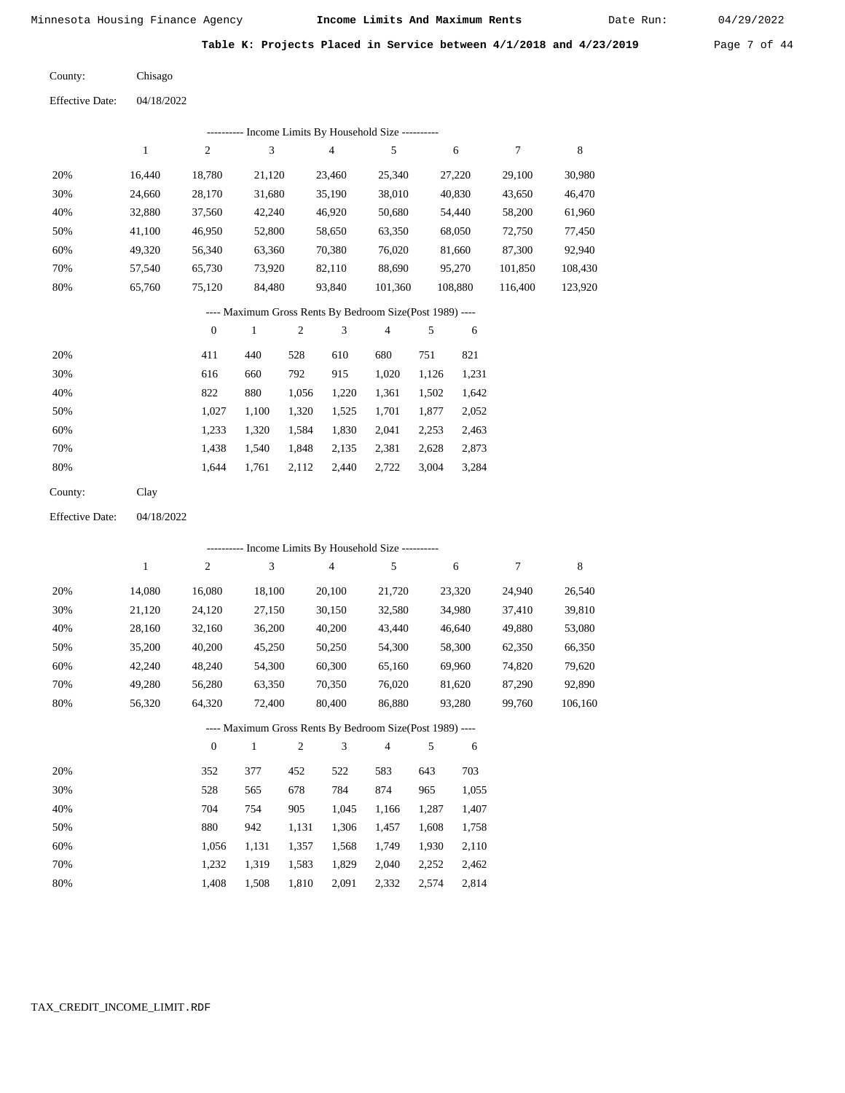Date Run:

Table K: Projects Placed in Service between 4/1/2018 and 4/23/2019 Page 7 of 44

Chisago County:

04/18/2022 Effective Date:

|     | Income Limits By Household Size ---------- |                |        |        |         |         |         |         |  |  |  |  |  |  |
|-----|--------------------------------------------|----------------|--------|--------|---------|---------|---------|---------|--|--|--|--|--|--|
|     |                                            | $\overline{c}$ | 3      | 4      | 5       | 6       |         | 8       |  |  |  |  |  |  |
| 20% | 16.440                                     | 18.780         | 21,120 | 23,460 | 25,340  | 27,220  | 29,100  | 30,980  |  |  |  |  |  |  |
| 30% | 24.660                                     | 28,170         | 31,680 | 35,190 | 38,010  | 40,830  | 43,650  | 46,470  |  |  |  |  |  |  |
| 40% | 32,880                                     | 37,560         | 42,240 | 46,920 | 50,680  | 54,440  | 58,200  | 61,960  |  |  |  |  |  |  |
| 50% | 41,100                                     | 46,950         | 52,800 | 58,650 | 63,350  | 68,050  | 72,750  | 77,450  |  |  |  |  |  |  |
| 60% | 49,320                                     | 56,340         | 63,360 | 70,380 | 76,020  | 81,660  | 87,300  | 92,940  |  |  |  |  |  |  |
| 70% | 57,540                                     | 65,730         | 73,920 | 82,110 | 88,690  | 95,270  | 101,850 | 108,430 |  |  |  |  |  |  |
| 80% | 65,760                                     | 75,120         | 84,480 | 93,840 | 101,360 | 108,880 | 116,400 | 123,920 |  |  |  |  |  |  |
|     |                                            |                |        |        |         |         |         |         |  |  |  |  |  |  |

---- Maximum Gross Rents By Bedroom Size(Post 1989) ----

|     | $\mathbf{0}$ |       | $\overline{c}$ | 3     | 4     | 5     | 6     |
|-----|--------------|-------|----------------|-------|-------|-------|-------|
| 20% | 411          | 440   | 528            | 610   | 680   | 751   | 821   |
| 30% | 616          | 660   | 792            | 915   | 1,020 | 1,126 | 1,231 |
| 40% | 822          | 880   | 1,056          | 1,220 | 1,361 | 1,502 | 1,642 |
| 50% | 1,027        | 1,100 | 1,320          | 1,525 | 1,701 | 1,877 | 2,052 |
| 60% | 1,233        | 1,320 | 1,584          | 1,830 | 2,041 | 2,253 | 2,463 |
| 70% | 1,438        | 1,540 | 1,848          | 2,135 | 2,381 | 2,628 | 2,873 |
| 80% | 1.644        | 1,761 | 2,112          | 2,440 | 2,722 | 3,004 | 3,284 |
|     |              |       |                |       |       |       |       |

Clay County:

04/18/2022 Effective Date:

|     |        |          | ---------- Income Limits By Household Size ----------    |                |        |        |       |        |        |         |
|-----|--------|----------|----------------------------------------------------------|----------------|--------|--------|-------|--------|--------|---------|
|     | 1      | 2        | 3                                                        |                | 4      | 5      |       | 6      | 7      | 8       |
| 20% | 14,080 | 16,080   | 18,100                                                   |                | 20,100 | 21,720 |       | 23,320 | 24,940 | 26,540  |
| 30% | 21,120 | 24,120   | 27,150                                                   |                | 30,150 | 32,580 |       | 34,980 | 37,410 | 39,810  |
| 40% | 28,160 | 32,160   | 36,200                                                   |                | 40,200 | 43,440 |       | 46,640 | 49,880 | 53,080  |
| 50% | 35,200 | 40,200   | 45,250                                                   |                | 50,250 | 54,300 |       | 58,300 | 62,350 | 66,350  |
| 60% | 42,240 | 48,240   | 54,300                                                   |                | 60,300 | 65,160 |       | 69,960 | 74,820 | 79,620  |
| 70% | 49,280 | 56,280   | 63,350                                                   |                | 70,350 | 76,020 |       | 81,620 | 87,290 | 92,890  |
| 80% | 56,320 | 64,320   | 72,400                                                   |                | 80,400 | 86,880 |       | 93,280 | 99,760 | 106,160 |
|     |        |          | ---- Maximum Gross Rents By Bedroom Size(Post 1989) ---- |                |        |        |       |        |        |         |
|     |        | $\theta$ | 1                                                        | $\overline{2}$ | 3      | 4      | 5     | 6      |        |         |
| 20% |        | 352      | 377                                                      | 452            | 522    | 583    | 643   | 703    |        |         |
| 30% |        | 528      | 565                                                      | 678            | 784    | 874    | 965   | 1,055  |        |         |
| 40% |        | 704      | 754                                                      | 905            | 1,045  | 1,166  | 1,287 | 1,407  |        |         |
| 50% |        | 880      | 942                                                      | 1,131          | 1,306  | 1,457  | 1,608 | 1,758  |        |         |

| 70% |  |  | 1.232 1.319 1.583 1.829 2.040 2.252 2.462 |  |
|-----|--|--|-------------------------------------------|--|
| 80% |  |  | 1.408 1.508 1.810 2.091 2.332 2.574 2.814 |  |

1,357

1,568

1,749

1,930

2,110

1,131

1,056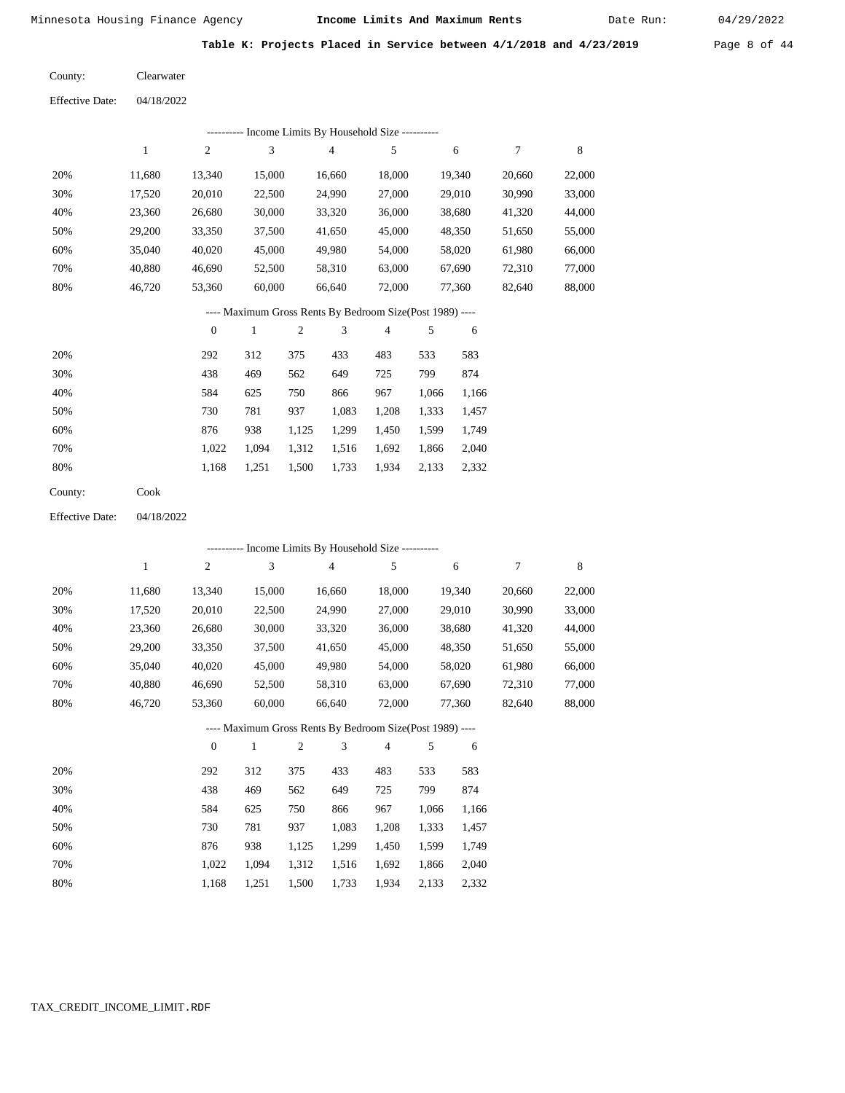Date Run:

Table K: Projects Placed in Service between 4/1/2018 and 4/23/2019 Page 8 of 44

| County: | Clearwater |
|---------|------------|
|         |            |

| <b>Effective Date:</b> | 04/18/2022 |
|------------------------|------------|
|                        |            |

|     | - Income Limits By Household Size -- |        |        |        |        |        |        |        |  |  |  |
|-----|--------------------------------------|--------|--------|--------|--------|--------|--------|--------|--|--|--|
|     |                                      | 2      | 3      | 4      | 5      | 6      | 7      | 8      |  |  |  |
| 20% | 11.680                               | 13,340 | 15,000 | 16.660 | 18,000 | 19.340 | 20,660 | 22,000 |  |  |  |
| 30% | 17,520                               | 20,010 | 22,500 | 24,990 | 27,000 | 29,010 | 30,990 | 33,000 |  |  |  |
| 40% | 23,360                               | 26,680 | 30,000 | 33,320 | 36,000 | 38,680 | 41,320 | 44,000 |  |  |  |
| 50% | 29,200                               | 33,350 | 37,500 | 41,650 | 45,000 | 48,350 | 51,650 | 55,000 |  |  |  |
| 60% | 35,040                               | 40,020 | 45,000 | 49,980 | 54,000 | 58,020 | 61,980 | 66,000 |  |  |  |
| 70% | 40,880                               | 46,690 | 52,500 | 58,310 | 63,000 | 67,690 | 72,310 | 77,000 |  |  |  |
| 80% | 46,720                               | 53,360 | 60,000 | 66,640 | 72,000 | 77,360 | 82,640 | 88,000 |  |  |  |
|     |                                      |        |        |        |        |        |        |        |  |  |  |

# ---- Maximum Gross Rents By Bedroom Size(Post 1989) ----

|     | $\mathbf{0}$ |       | 2     | 3     | 4     | 5     | 6     |
|-----|--------------|-------|-------|-------|-------|-------|-------|
| 20% | 292          | 312   | 375   | 433   | 483   | 533   | 583   |
| 30% | 438          | 469   | 562   | 649   | 725   | 799   | 874   |
| 40% | 584          | 625   | 750   | 866   | 967   | 1,066 | 1,166 |
| 50% | 730          | 781   | 937   | 1,083 | 1,208 | 1,333 | 1,457 |
| 60% | 876          | 938   | 1,125 | 1,299 | 1,450 | 1,599 | 1,749 |
| 70% | 1.022        | 1.094 | 1,312 | 1,516 | 1,692 | 1,866 | 2,040 |
| 80% | 1,168        | 1,251 | 1,500 | 1,733 | 1,934 | 2,133 | 2,332 |
|     |              |       |       |       |       |       |       |

Cook County:

04/18/2022 Effective Date:

|     |        |                |              |                | ---------- Income Limits By Household Size ----------    |                |       |        |        |             |
|-----|--------|----------------|--------------|----------------|----------------------------------------------------------|----------------|-------|--------|--------|-------------|
|     | 1      | $\overline{c}$ | 3            |                | $\overline{4}$                                           | 5              |       | 6      | 7      | $\,$ 8 $\,$ |
| 20% | 11,680 | 13,340         | 15,000       |                | 16,660                                                   | 18,000         |       | 19,340 | 20,660 | 22,000      |
| 30% | 17,520 | 20,010         | 22,500       |                | 24,990                                                   | 27,000         |       | 29,010 | 30,990 | 33,000      |
| 40% | 23,360 | 26,680         | 30,000       |                | 33,320                                                   | 36,000         |       | 38,680 | 41,320 | 44,000      |
| 50% | 29,200 | 33,350         | 37,500       |                | 41,650                                                   | 45,000         |       | 48,350 | 51,650 | 55,000      |
| 60% | 35,040 | 40,020         | 45,000       |                | 49,980                                                   | 54,000         |       | 58,020 | 61,980 | 66,000      |
| 70% | 40,880 | 46,690         | 52,500       |                | 58,310                                                   | 63,000         |       | 67,690 | 72,310 | 77,000      |
| 80% | 46,720 | 53,360         | 60,000       |                | 66,640                                                   | 72,000         |       | 77,360 | 82,640 | 88,000      |
|     |        |                |              |                | ---- Maximum Gross Rents By Bedroom Size(Post 1989) ---- |                |       |        |        |             |
|     |        | $\theta$       | $\mathbf{1}$ | $\overline{c}$ | 3                                                        | $\overline{4}$ | 5     | 6      |        |             |
| 20% |        | 292            | 312          | 375            | 433                                                      | 483            | 533   | 583    |        |             |
| 30% |        | 438            | 469          | 562            | 649                                                      | 725            | 799   | 874    |        |             |
| 40% |        | 584            | 625          | 750            | 866                                                      | 967            | 1,066 | 1,166  |        |             |
| 50% |        | 730            | 781          | 937            | 1,083                                                    | 1,208          | 1,333 | 1,457  |        |             |
| 60% |        | 876            | 938          | 1,125          | 1,299                                                    | 1,450          | 1,599 | 1,749  |        |             |
| 70% |        | 1,022          | 1,094        | 1,312          | 1,516                                                    | 1,692          | 1,866 | 2,040  |        |             |

1,168

1,251

1,500

1,733

1,934

2,133

2,332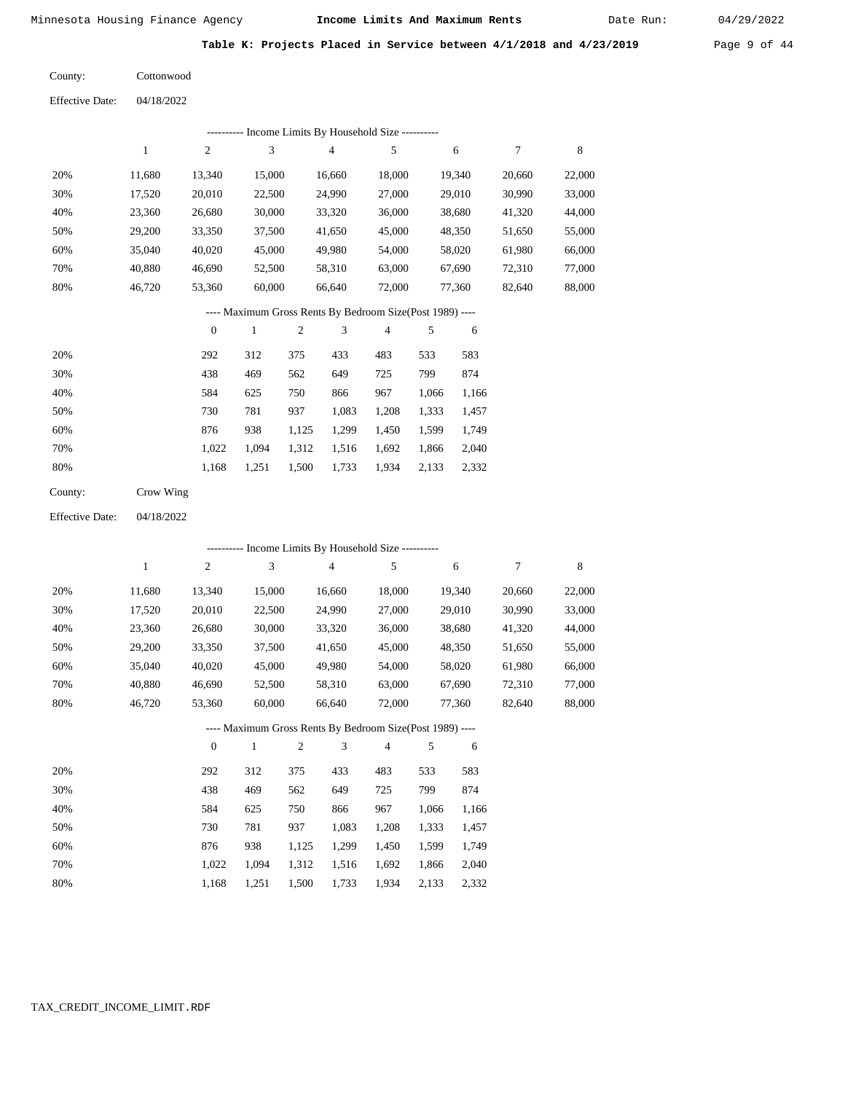Date Run:

Table K: Projects Placed in Service between 4/1/2018 and 4/23/2019 Page 9 of 44

| County: | Cottonwood |
|---------|------------|
|         |            |

Effective Date: 04/18/2022

|     | ---------- Income Limits By Household Size ----------<br>3<br>1<br>2<br>$\overline{4}$<br>7<br>5<br>6 |        |        |        |                                                          |        |        |        |  |
|-----|-------------------------------------------------------------------------------------------------------|--------|--------|--------|----------------------------------------------------------|--------|--------|--------|--|
|     |                                                                                                       |        |        |        |                                                          |        |        | 8      |  |
| 20% | 11.680                                                                                                | 13.340 | 15,000 | 16.660 | 18,000                                                   | 19.340 | 20,660 | 22,000 |  |
| 30% | 17,520                                                                                                | 20.010 | 22,500 | 24,990 | 27,000                                                   | 29.010 | 30.990 | 33,000 |  |
| 40% | 23.360                                                                                                | 26.680 | 30,000 | 33,320 | 36,000                                                   | 38,680 | 41,320 | 44,000 |  |
| 50% | 29,200                                                                                                | 33.350 | 37,500 | 41.650 | 45,000                                                   | 48,350 | 51,650 | 55,000 |  |
| 60% | 35,040                                                                                                | 40,020 | 45,000 | 49,980 | 54,000                                                   | 58,020 | 61,980 | 66,000 |  |
| 70% | 40.880                                                                                                | 46.690 | 52,500 | 58,310 | 63,000                                                   | 67,690 | 72,310 | 77,000 |  |
| 80% | 46,720                                                                                                | 53,360 | 60,000 | 66.640 | 72,000                                                   | 77.360 | 82,640 | 88,000 |  |
|     |                                                                                                       |        |        |        | ---- Maximum Gross Rents By Bedroom Size(Post 1989) ---- |        |        |        |  |

|     | $\mathbf{0}$ |       | 2     | 3     | 4     |       | 6     |
|-----|--------------|-------|-------|-------|-------|-------|-------|
| 20% | 292          | 312   | 375   | 433   | 483   | 533   | 583   |
| 30% | 438          | 469   | 562   | 649   | 725   | 799   | 874   |
| 40% | 584          | 625   | 750   | 866   | 967   | 1,066 | 1,166 |
| 50% | 730          | 781   | 937   | 1,083 | 1,208 | 1,333 | 1,457 |
| 60% | 876          | 938   | 1,125 | 1,299 | 1,450 | 1,599 | 1,749 |
| 70% | 1.022        | 1.094 | 1,312 | 1,516 | 1,692 | 1,866 | 2,040 |
| 80% | 1,168        | 1,251 | 1,500 | 1,733 | 1,934 | 2,133 | 2,332 |
|     |              |       |       |       |       |       |       |

| County: | Crow Wing |
|---------|-----------|
|---------|-----------|

Effective Date: 04/18/2022

|     |        |                  |              |                |                | ---------- Income Limits By Household Size ----------    |       |        |        |        |
|-----|--------|------------------|--------------|----------------|----------------|----------------------------------------------------------|-------|--------|--------|--------|
|     | 1      | $\overline{c}$   | 3            |                | $\overline{4}$ | 5                                                        |       | 6      | 7      | 8      |
| 20% | 11,680 | 13,340           | 15,000       |                | 16,660         | 18,000                                                   |       | 19,340 | 20,660 | 22,000 |
| 30% | 17,520 | 20,010           | 22,500       |                | 24,990         | 27,000                                                   |       | 29,010 | 30,990 | 33,000 |
| 40% | 23,360 | 26,680           | 30,000       |                | 33,320         | 36,000                                                   |       | 38,680 | 41,320 | 44,000 |
| 50% | 29,200 | 33,350           | 37,500       |                | 41,650         | 45,000                                                   |       | 48,350 | 51,650 | 55,000 |
| 60% | 35,040 | 40,020           | 45,000       |                | 49,980         | 54,000                                                   |       | 58,020 | 61,980 | 66,000 |
| 70% | 40,880 | 46,690           | 52,500       |                | 58,310         | 63,000                                                   |       | 67,690 | 72,310 | 77,000 |
| 80% | 46,720 | 53,360           | 60,000       |                | 66,640         | 72,000                                                   |       | 77,360 | 82,640 | 88,000 |
|     |        |                  |              |                |                | ---- Maximum Gross Rents By Bedroom Size(Post 1989) ---- |       |        |        |        |
|     |        | $\boldsymbol{0}$ | $\mathbf{1}$ | $\mathfrak{2}$ | 3              | $\overline{4}$                                           | 5     | 6      |        |        |
| 20% |        | 292              | 312          | 375            | 433            | 483                                                      | 533   | 583    |        |        |
| 30% |        | 438              | 469          | 562            | 649            | 725                                                      | 799   | 874    |        |        |
| 40% |        | 584              | 625          | 750            | 866            | 967                                                      | 1,066 | 1,166  |        |        |
| 50% |        | 730              | 781          | 937            | 1,083          | 1,208                                                    | 1,333 | 1,457  |        |        |
| 60% |        | 876              | 938          | 1,125          | 1,299          | 1,450                                                    | 1,599 | 1,749  |        |        |

 1,022 1,094 1,312 1,516 1,692 1,866 2,040 1,168 1,251 1,500 1,733 1,934 2,133 2,332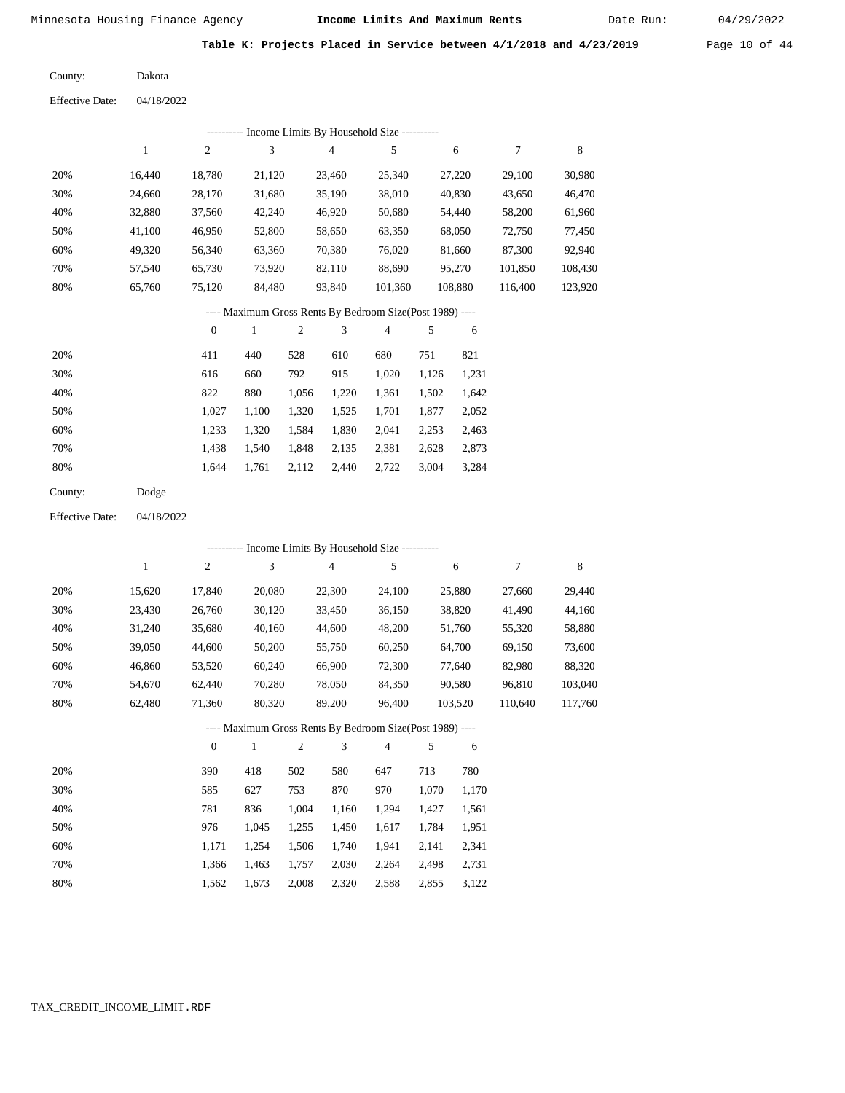Date Run:

**Table K: Projects Placed in Service between 4/1/2018 and 4/23/2019** Page 10 of 44

 2,873 3,284

| County: | Dakota |
|---------|--------|
|---------|--------|

04/18/2022 Effective Date:

|     |              |                  |        |       |        | ---------- Income Limits By Household Size ----------    |       |         |         |         |
|-----|--------------|------------------|--------|-------|--------|----------------------------------------------------------|-------|---------|---------|---------|
|     | $\mathbf{1}$ | $\mathfrak{2}$   | 3      |       | 4      | 5                                                        |       | 6       | 7       | 8       |
| 20% | 16,440       | 18,780           | 21,120 |       | 23,460 | 25,340                                                   |       | 27,220  | 29,100  | 30,980  |
| 30% | 24,660       | 28,170           | 31,680 |       | 35,190 | 38,010                                                   |       | 40,830  | 43,650  | 46,470  |
| 40% | 32,880       | 37,560           | 42,240 |       | 46,920 | 50,680                                                   |       | 54,440  | 58,200  | 61,960  |
| 50% | 41,100       | 46,950           | 52,800 |       | 58,650 | 63,350                                                   |       | 68,050  | 72,750  | 77,450  |
| 60% | 49,320       | 56,340           | 63,360 |       | 70,380 | 76,020                                                   |       | 81,660  | 87,300  | 92,940  |
| 70% | 57,540       | 65,730           | 73,920 |       | 82,110 | 88,690                                                   |       | 95,270  | 101,850 | 108,430 |
| 80% | 65,760       | 75,120           | 84,480 |       | 93,840 | 101,360                                                  |       | 108,880 | 116,400 | 123,920 |
|     |              |                  |        |       |        | ---- Maximum Gross Rents By Bedroom Size(Post 1989) ---- |       |         |         |         |
|     |              | $\boldsymbol{0}$ | 1      | 2     | 3      | $\overline{4}$                                           | 5     | 6       |         |         |
| 20% |              | 411              | 440    | 528   | 610    | 680                                                      | 751   | 821     |         |         |
| 30% |              | 616              | 660    | 792   | 915    | 1,020                                                    | 1,126 | 1,231   |         |         |
| 40% |              | 822              | 880    | 1,056 | 1,220  | 1,361                                                    | 1,502 | 1,642   |         |         |
| 50% |              | 1,027            | 1,100  | 1,320 | 1,525  | 1,701                                                    | 1,877 | 2,052   |         |         |
| 60% |              | 1,233            | 1,320  | 1,584 | 1,830  | 2,041                                                    | 2,253 | 2,463   |         |         |

| OU%     |       | $1,233$ $1,320$ $1,384$ $1,830$ $2,041$ $2,233$ |  |       |  |
|---------|-------|-------------------------------------------------|--|-------|--|
| 70%     |       | 1,438 1,540 1,848 2,135 2,381 2,628             |  |       |  |
| 80%     |       | $1,644$ $1,761$ $2,112$ $2,440$ $2,722$         |  | 3.004 |  |
| County: | Dodge |                                                 |  |       |  |

```
04/18/2022
Effective Date:
```
 20% 30% 40% 50% 60% 70% 80% 15,620 23,430 31,240 39,050 46,860 54,670 62,480 17,840 26,760 35,680 44,600 53,520 62,440 71,360 20,080 30,120 40,160 50,200 60,240 70,280 80,320 22,300 33,450 44,600 55,750 66,900 78,050 89,200 24,100 36,150 48,200 60,250 72,300 84,350 96,400 25,880 38,820 51,760 64,700 77,640 90,580 103,520 27,660 41,490 55,320 69,150 82,980 96,810 110,640 29,440 44,160 58,880 73,600 88,320 103,040 117,760 1 2 3 4 5 6 7 8 ---------- Income Limits By Household Size ---------- ---- Maximum Gross Rents By Bedroom Size(Post 1989) ----

|     | $\mathbf{0}$ |       | $\overline{c}$ | 3     | 4     | 5     | 6     |
|-----|--------------|-------|----------------|-------|-------|-------|-------|
| 20% | 390          | 418   | 502            | 580   | 647   | 713   | 780   |
| 30% | 585          | 627   | 753            | 870   | 970   | 1,070 | 1,170 |
| 40% | 781          | 836   | 1,004          | 1,160 | 1,294 | 1,427 | 1,561 |
| 50% | 976          | 1.045 | 1,255          | 1,450 | 1,617 | 1,784 | 1,951 |
| 60% | 1.171        | 1,254 | 1,506          | 1,740 | 1,941 | 2,141 | 2,341 |
| 70% | 1.366        | 1.463 | 1,757          | 2,030 | 2,264 | 2,498 | 2,731 |
| 80% | 1,562        | 1,673 | 2,008          | 2,320 | 2,588 | 2,855 | 3,122 |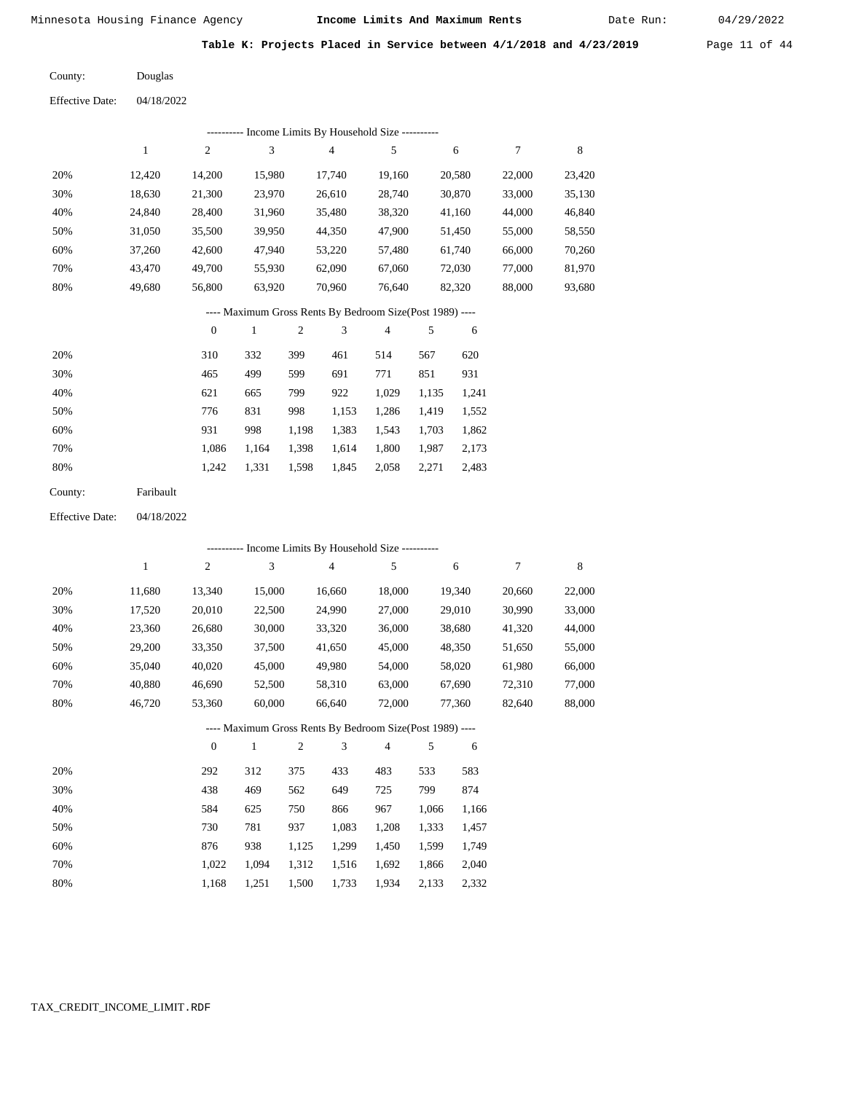Date Run:

Table K: Projects Placed in Service between 4/1/2018 and 4/23/2019 Page 11 of 44

Douglas County:

04/18/2022 Effective Date:

| ---------- Income Limits By Household Size ---------- |        |                |        |        |        |        |        |        |  |
|-------------------------------------------------------|--------|----------------|--------|--------|--------|--------|--------|--------|--|
|                                                       |        | $\overline{c}$ | 3      | 4      | 5      | 6      | 7      | 8      |  |
| 20%                                                   | 12.420 | 14.200         | 15.980 | 17.740 | 19.160 | 20,580 | 22,000 | 23,420 |  |
| 30%                                                   | 18,630 | 21,300         | 23,970 | 26,610 | 28,740 | 30,870 | 33,000 | 35,130 |  |
| 40%                                                   | 24,840 | 28,400         | 31,960 | 35,480 | 38,320 | 41,160 | 44,000 | 46,840 |  |
| 50%                                                   | 31,050 | 35,500         | 39,950 | 44,350 | 47,900 | 51,450 | 55,000 | 58,550 |  |
| 60%                                                   | 37,260 | 42,600         | 47,940 | 53,220 | 57,480 | 61,740 | 66,000 | 70,260 |  |
| 70%                                                   | 43,470 | 49,700         | 55,930 | 62,090 | 67,060 | 72,030 | 77,000 | 81,970 |  |
| 80%                                                   | 49,680 | 56,800         | 63,920 | 70,960 | 76,640 | 82,320 | 88,000 | 93,680 |  |
|                                                       |        |                |        |        |        |        |        |        |  |

### ---- Maximum Gross Rents By Bedroom Size(Post 1989) ----

|     | $\mathbf{0}$ |       | 2     | 3     | 4     | 5     | 6     |
|-----|--------------|-------|-------|-------|-------|-------|-------|
| 20% | 310          | 332   | 399   | 461   | 514   | 567   | 620   |
| 30% | 465          | 499   | 599   | 691   | 771   | 851   | 931   |
| 40% | 621          | 665   | 799   | 922   | 1,029 | 1,135 | 1,241 |
| 50% | 776          | 831   | 998   | 1,153 | 1,286 | 1,419 | 1,552 |
| 60% | 931          | 998   | 1,198 | 1,383 | 1,543 | 1,703 | 1,862 |
| 70% | 1,086        | 1.164 | 1,398 | 1,614 | 1,800 | 1,987 | 2,173 |
| 80% | 1,242        | 1,331 | 1,598 | 1,845 | 2,058 | 2,271 | 2,483 |
|     |              |       |       |       |       |       |       |

04/18/2022 Effective Date:

|     |        |                |              |                | ---------- Income Limits By Household Size ----------    |                |       |        |        |        |
|-----|--------|----------------|--------------|----------------|----------------------------------------------------------|----------------|-------|--------|--------|--------|
|     | 1      | 2              | 3            |                | $\overline{4}$                                           | 5              |       | 6      | 7      | 8      |
| 20% | 11,680 | 13,340         | 15,000       |                | 16,660                                                   | 18,000         |       | 19,340 | 20,660 | 22,000 |
| 30% | 17,520 | 20,010         | 22,500       |                | 24,990                                                   | 27,000         |       | 29,010 | 30,990 | 33,000 |
| 40% | 23,360 | 26,680         | 30,000       |                | 33,320                                                   | 36,000         |       | 38,680 | 41,320 | 44,000 |
| 50% | 29,200 | 33,350         | 37,500       |                | 41,650                                                   | 45,000         |       | 48,350 | 51,650 | 55,000 |
| 60% | 35,040 | 40,020         | 45,000       |                | 49,980                                                   | 54,000         |       | 58,020 | 61,980 | 66,000 |
| 70% | 40,880 | 46,690         | 52,500       |                | 58,310                                                   | 63,000         |       | 67,690 | 72,310 | 77,000 |
| 80% | 46,720 | 53,360         | 60,000       |                | 66,640                                                   | 72,000         |       | 77,360 | 82,640 | 88,000 |
|     |        |                |              |                | ---- Maximum Gross Rents By Bedroom Size(Post 1989) ---- |                |       |        |        |        |
|     |        | $\overline{0}$ | $\mathbf{1}$ | $\overline{c}$ | 3                                                        | $\overline{4}$ | 5     | 6      |        |        |
| 20% |        | 292            | 312          | 375            | 433                                                      | 483            | 533   | 583    |        |        |
| 30% |        | 438            | 469          | 562            | 649                                                      | 725            | 799   | 874    |        |        |
| 40% |        | 584            | 625          | 750            | 866                                                      | 967            | 1,066 | 1,166  |        |        |
| 50% |        | 730            | 781          | 937            | 1,083                                                    | 1,208          | 1,333 | 1,457  |        |        |
| 60% |        | 876            | 938          | 1,125          | 1,299                                                    | 1,450          | 1,599 | 1,749  |        |        |
| 70% |        | 1,022          | 1,094        | 1,312          | 1,516                                                    | 1,692          | 1,866 | 2,040  |        |        |

1,251 1,500 1,733 1,934 2,133 2,332

1,168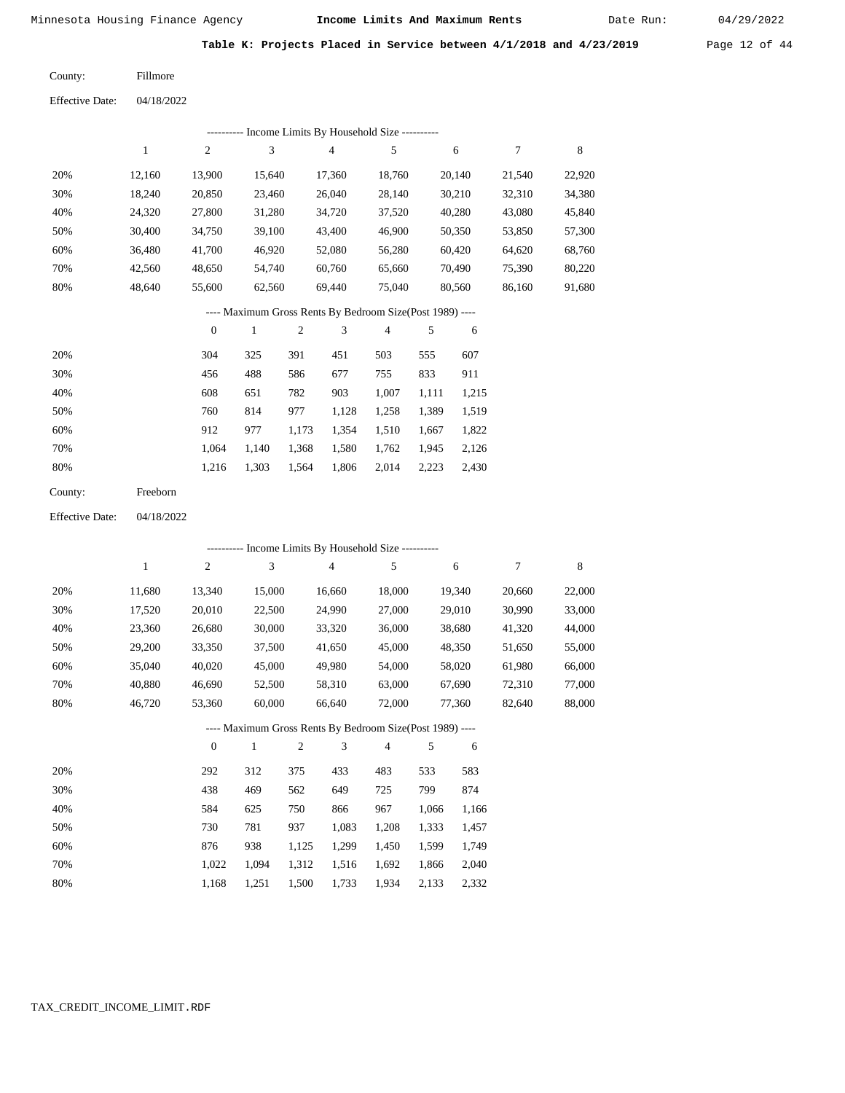Date Run:

Table K: Projects Placed in Service between 4/1/2018 and 4/23/2019 Page 12 of 44

| County: | Fillmore |
|---------|----------|
|---------|----------|

04/18/2022 Effective Date:

| ---------- Income Limits By Household Size ---------- |        |        |        |        |        |        |        |        |  |
|-------------------------------------------------------|--------|--------|--------|--------|--------|--------|--------|--------|--|
|                                                       |        | 2      | 3      | 4      | 5      | 6      | 7      | 8      |  |
| 20%                                                   | 12.160 | 13.900 | 15.640 | 17.360 | 18.760 | 20.140 | 21,540 | 22,920 |  |
| 30%                                                   | 18,240 | 20,850 | 23,460 | 26,040 | 28,140 | 30,210 | 32,310 | 34,380 |  |
| 40%                                                   | 24,320 | 27,800 | 31,280 | 34,720 | 37,520 | 40,280 | 43,080 | 45,840 |  |
| 50%                                                   | 30,400 | 34,750 | 39,100 | 43,400 | 46,900 | 50,350 | 53,850 | 57,300 |  |
| 60%                                                   | 36,480 | 41,700 | 46,920 | 52,080 | 56,280 | 60,420 | 64,620 | 68,760 |  |
| 70%                                                   | 42,560 | 48,650 | 54.740 | 60,760 | 65.660 | 70,490 | 75,390 | 80,220 |  |
| 80%                                                   | 48.640 | 55,600 | 62,560 | 69,440 | 75,040 | 80,560 | 86,160 | 91,680 |  |
|                                                       |        |        |        |        |        |        |        |        |  |

## ---- Maximum Gross Rents By Bedroom Size(Post 1989) ----

|     | $\mathbf{0}$ |       | 2     | 3     | 4     |       | 6     |
|-----|--------------|-------|-------|-------|-------|-------|-------|
| 20% | 304          | 325   | 391   | 451   | 503   | 555   | 607   |
| 30% | 456          | 488   | 586   | 677   | 755   | 833   | 911   |
| 40% | 608          | 651   | 782   | 903   | 1,007 | 1,111 | 1,215 |
| 50% | 760          | 814   | 977   | 1,128 | 1,258 | 1,389 | 1,519 |
| 60% | 912          | 977   | 1,173 | 1,354 | 1,510 | 1,667 | 1,822 |
| 70% | 1.064        | 1.140 | 1,368 | 1,580 | 1,762 | 1,945 | 2,126 |
| 80% | 1,216        | 1,303 | 1,564 | 1,806 | 2,014 | 2,223 | 2,430 |
|     |              |       |       |       |       |       |       |

| County: | Freeborn |
|---------|----------|
|---------|----------|

04/18/2022 Effective Date:

|                                                          | ---------- Income Limits By Household Size ---------- |                |              |                |                |                |       |        |        |             |  |  |
|----------------------------------------------------------|-------------------------------------------------------|----------------|--------------|----------------|----------------|----------------|-------|--------|--------|-------------|--|--|
|                                                          | 1                                                     | $\overline{c}$ | 3            |                | $\overline{4}$ | 5              |       | 6      | 7      | $\,$ 8 $\,$ |  |  |
| 20%                                                      | 11,680                                                | 13,340         | 15,000       |                | 16,660         | 18,000         |       | 19,340 | 20,660 | 22,000      |  |  |
| 30%                                                      | 17,520                                                | 20,010         | 22,500       |                | 24,990         | 27,000         |       | 29,010 | 30,990 | 33,000      |  |  |
| 40%                                                      | 23,360                                                | 26,680         | 30,000       |                | 33,320         | 36,000         |       | 38,680 | 41,320 | 44,000      |  |  |
| 50%                                                      | 29,200                                                | 33,350         | 37,500       |                | 41,650         | 45,000         |       | 48,350 | 51,650 | 55,000      |  |  |
| 60%                                                      | 35,040                                                | 40,020         | 45,000       |                | 49,980         | 54,000         |       | 58,020 | 61,980 | 66,000      |  |  |
| 70%                                                      | 40,880                                                | 46,690         | 52,500       |                | 58,310         | 63,000         |       | 67,690 | 72,310 | 77,000      |  |  |
| 80%                                                      | 46,720                                                | 53,360         | 60,000       |                | 66,640         | 72,000         |       | 77,360 | 82,640 | 88,000      |  |  |
| ---- Maximum Gross Rents By Bedroom Size(Post 1989) ---- |                                                       |                |              |                |                |                |       |        |        |             |  |  |
|                                                          |                                                       | $\overline{0}$ | $\mathbf{1}$ | $\overline{c}$ | 3              | $\overline{4}$ | 5     | 6      |        |             |  |  |
| 20%                                                      |                                                       | 292            | 312          | 375            | 433            | 483            | 533   | 583    |        |             |  |  |
| 30%                                                      |                                                       | 438            | 469          | 562            | 649            | 725            | 799   | 874    |        |             |  |  |
| 40%                                                      |                                                       | 584            | 625          | 750            | 866            | 967            | 1,066 | 1,166  |        |             |  |  |
| 50%                                                      |                                                       | 730            | 781          | 937            | 1,083          | 1,208          | 1,333 | 1,457  |        |             |  |  |
| 60%                                                      |                                                       | 876            | 938          | 1,125          | 1,299          | 1,450          | 1,599 | 1,749  |        |             |  |  |
| 70%                                                      |                                                       | 1,022          | 1,094        | 1,312          | 1,516          | 1,692          | 1,866 | 2,040  |        |             |  |  |

1,168

1,251

1,500

1,733

1,934 2,133

2,332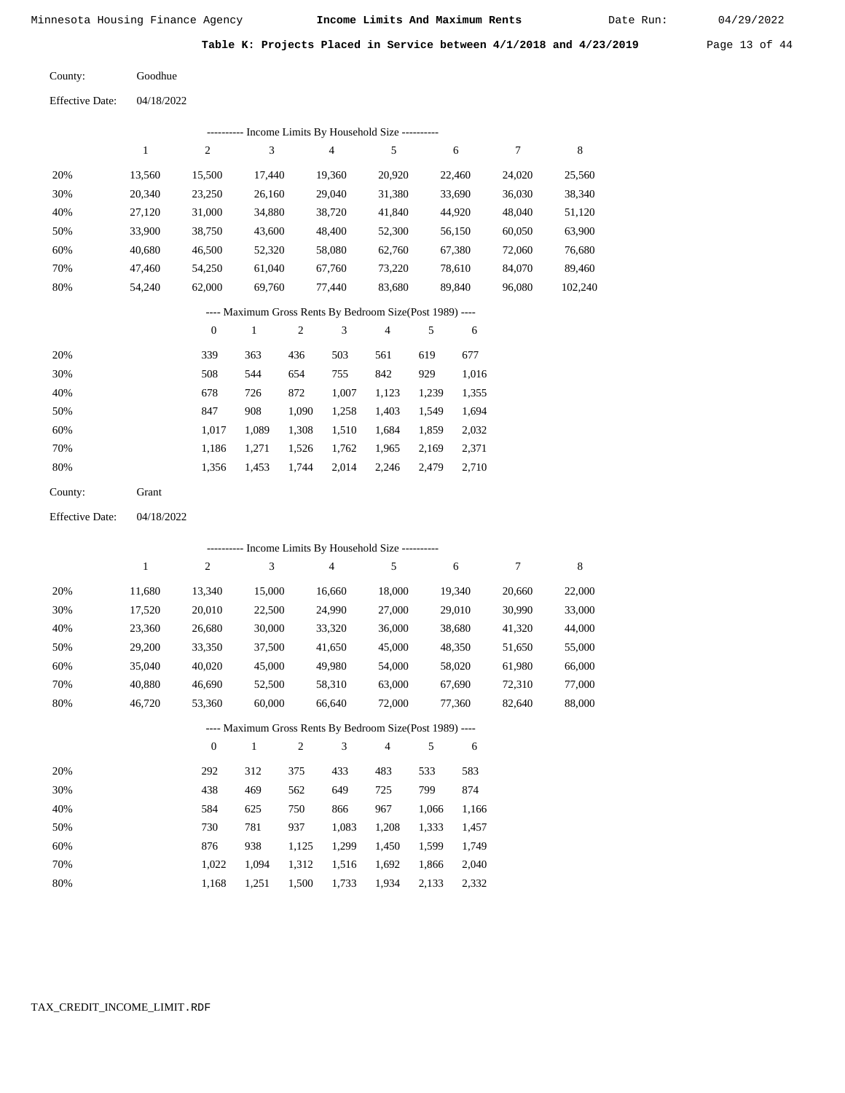54,240

62,000

Minnesota Housing Finance Agency **Income Limits And Maximum Rents** 04/29/2022

Date Run:

Table K: Projects Placed in Service between 4/1/2018 and 4/23/2019 Page 13 of 44

Goodhue County:

| <b>Effective Date:</b> | 04/18/2022 |                                                       |        |        |        |        |        |  |  |  |  |  |
|------------------------|------------|-------------------------------------------------------|--------|--------|--------|--------|--------|--|--|--|--|--|
|                        |            | ---------- Income Limits By Household Size ---------- |        |        |        |        |        |  |  |  |  |  |
|                        | 1          | 2                                                     | 3      | 4      | 5      | 6      | 7      |  |  |  |  |  |
| 20%                    | 13.560     | 15.500                                                | 17.440 | 19,360 | 20.920 | 22,460 | 24,020 |  |  |  |  |  |
| 30%                    | 20,340     | 23,250                                                | 26.160 | 29,040 | 31.380 | 33,690 | 36,030 |  |  |  |  |  |
| 40%                    | 27,120     | 31,000                                                | 34,880 | 38,720 | 41,840 | 44,920 | 48,040 |  |  |  |  |  |
| 50%                    | 33,900     | 38,750                                                | 43,600 | 48,400 | 52,300 | 56,150 | 60,050 |  |  |  |  |  |
| 60%                    | 40.680     | 46,500                                                | 52,320 | 58,080 | 62.760 | 67,380 | 72,060 |  |  |  |  |  |
| 70%                    | 47.460     | 54.250                                                | 61,040 | 67.760 | 73.220 | 78,610 | 84,070 |  |  |  |  |  |

#### ---- Maximum Gross Rents By Bedroom Size(Post 1989) ----

83,680

89,840

96,080

 25,560 38,340 51,120 63,900 76,680 89,460 102,240

8

77,440

|     | $\mathbf{0}$ |       | 2     | 3     | $\overline{4}$ | 5     | 6     |
|-----|--------------|-------|-------|-------|----------------|-------|-------|
| 20% | 339          | 363   | 436   | 503   | 561            | 619   | 677   |
| 30% | 508          | 544   | 654   | 755   | 842            | 929   | 1,016 |
| 40% | 678          | 726   | 872   | 1,007 | 1,123          | 1,239 | 1,355 |
| 50% | 847          | 908   | 1,090 | 1,258 | 1,403          | 1,549 | 1,694 |
| 60% | 1,017        | 1,089 | 1,308 | 1,510 | 1,684          | 1,859 | 2,032 |
| 70% | 1.186        | 1,271 | 1,526 | 1,762 | 1,965          | 2,169 | 2,371 |
| 80% | 1,356        | 1,453 | 1,744 | 2,014 | 2,246          | 2,479 | 2,710 |
|     |              |       |       |       |                |       |       |

69,760

| County: | Grant |
|---------|-------|
|---------|-------|

80%

04/18/2022 Effective Date:

|                                                          | --------- Income Limits By Household Size ---------- |                |              |                |                |        |       |        |        |        |  |  |
|----------------------------------------------------------|------------------------------------------------------|----------------|--------------|----------------|----------------|--------|-------|--------|--------|--------|--|--|
|                                                          | $\mathbf{1}$                                         | 2              | 3            |                | $\overline{4}$ | 5      |       | 6      | $\tau$ | 8      |  |  |
| 20%                                                      | 11,680                                               | 13,340         | 15,000       |                | 16,660         | 18,000 |       | 19,340 | 20,660 | 22,000 |  |  |
| 30%                                                      | 17,520                                               | 20,010         | 22,500       |                | 24,990         | 27,000 |       | 29,010 | 30,990 | 33,000 |  |  |
| 40%                                                      | 23,360                                               | 26,680         | 30,000       |                | 33,320         | 36,000 |       | 38,680 | 41,320 | 44,000 |  |  |
| 50%                                                      | 29,200                                               | 33,350         | 37,500       |                | 41,650         | 45,000 |       | 48,350 | 51,650 | 55,000 |  |  |
| 60%                                                      | 35,040                                               | 40,020         | 45,000       |                | 49,980         | 54,000 |       | 58,020 | 61,980 | 66,000 |  |  |
| 70%                                                      | 40,880                                               | 46,690         | 52,500       |                | 58,310         | 63,000 |       | 67,690 | 72,310 | 77,000 |  |  |
| 80%                                                      | 46,720                                               | 53,360         | 60,000       |                | 66,640         | 72,000 |       | 77,360 | 82,640 | 88,000 |  |  |
| ---- Maximum Gross Rents By Bedroom Size(Post 1989) ---- |                                                      |                |              |                |                |        |       |        |        |        |  |  |
|                                                          |                                                      | $\overline{0}$ | $\mathbf{1}$ | $\overline{c}$ | 3              | 4      | 5     | 6      |        |        |  |  |
| 20%                                                      |                                                      | 292            | 312          | 375            | 433            | 483    | 533   | 583    |        |        |  |  |
| 30%                                                      |                                                      | 438            | 469          | 562            | 649            | 725    | 799   | 874    |        |        |  |  |
| 40%                                                      |                                                      | 584            | 625          | 750            | 866            | 967    | 1,066 | 1,166  |        |        |  |  |
| 50%                                                      |                                                      | 730            | 781          | 937            | 1,083          | 1,208  | 1,333 | 1,457  |        |        |  |  |
| 60%                                                      |                                                      | 876            | 938          | 1,125          | 1,299          | 1,450  | 1,599 | 1,749  |        |        |  |  |
| 70%                                                      |                                                      | 1,022          | 1,094        | 1,312          | 1,516          | 1,692  | 1,866 | 2,040  |        |        |  |  |

1,168

1,251

1,500

1,733

1,934

2,133

2,332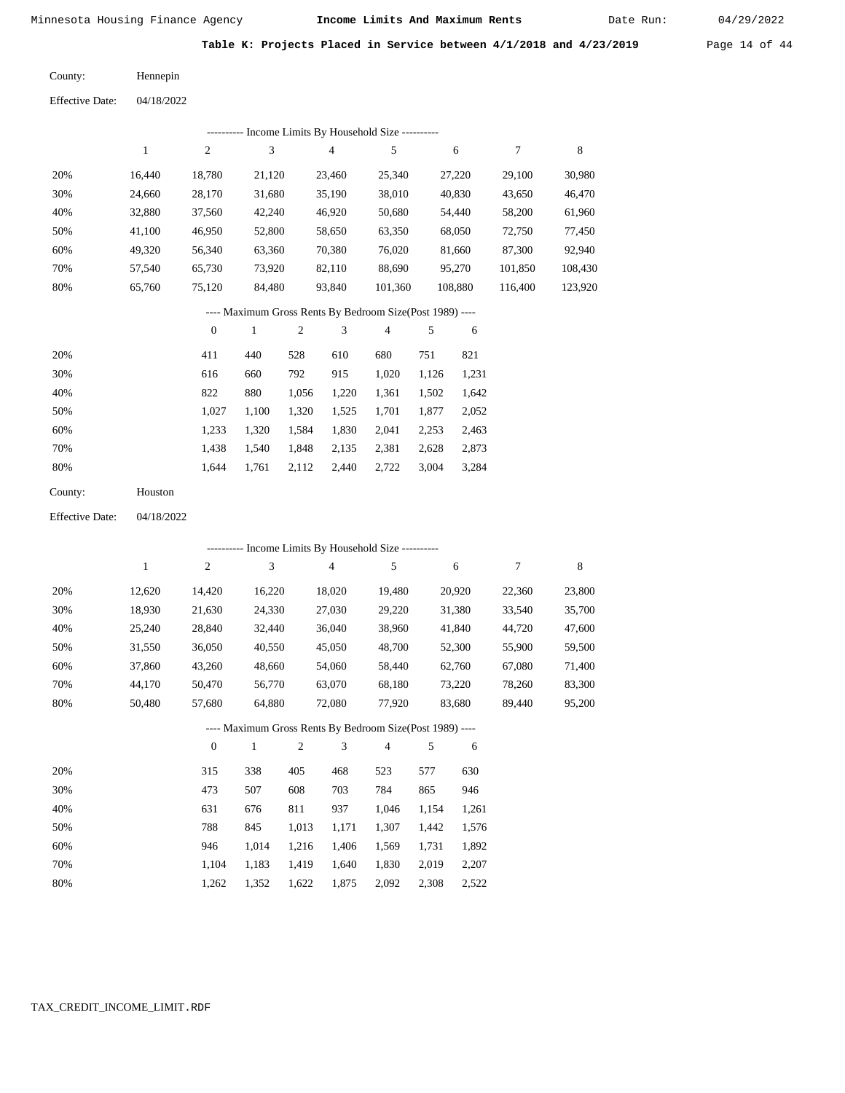Date Run:

Table K: Projects Placed in Service between  $4/1/2018$  and  $4/23/2019$  Page 14 of 44

Hennepin County:

04/18/2022 Effective Date:

| ---------- Income Limits By Household Size ---------- |        |        |        |        |         |         |         |         |  |  |  |  |
|-------------------------------------------------------|--------|--------|--------|--------|---------|---------|---------|---------|--|--|--|--|
|                                                       |        | 2      | 3      | 4      | 5       | 6       |         | 8       |  |  |  |  |
| 20%                                                   | 16.440 | 18,780 | 21,120 | 23,460 | 25,340  | 27,220  | 29.100  | 30,980  |  |  |  |  |
| 30%                                                   | 24.660 | 28,170 | 31,680 | 35,190 | 38,010  | 40,830  | 43,650  | 46,470  |  |  |  |  |
| 40%                                                   | 32,880 | 37,560 | 42,240 | 46,920 | 50,680  | 54,440  | 58,200  | 61,960  |  |  |  |  |
| 50%                                                   | 41,100 | 46,950 | 52,800 | 58,650 | 63,350  | 68,050  | 72,750  | 77,450  |  |  |  |  |
| 60%                                                   | 49.320 | 56,340 | 63,360 | 70,380 | 76,020  | 81,660  | 87,300  | 92,940  |  |  |  |  |
| 70%                                                   | 57,540 | 65,730 | 73.920 | 82,110 | 88,690  | 95,270  | 101,850 | 108,430 |  |  |  |  |
| 80%                                                   | 65,760 | 75,120 | 84.480 | 93,840 | 101,360 | 108,880 | 116.400 | 123,920 |  |  |  |  |

### ---- Maximum Gross Rents By Bedroom Size(Post 1989) ----

|     | $\mathbf{0}$ |       | $\overline{c}$ | 3     | $\overline{4}$ | 5     | 6     |
|-----|--------------|-------|----------------|-------|----------------|-------|-------|
| 20% | 411          | 440   | 528            | 610   | 680            | 751   | 821   |
| 30% | 616          | 660   | 792            | 915   | 1,020          | 1,126 | 1,231 |
| 40% | 822          | 880   | 1,056          | 1,220 | 1,361          | 1,502 | 1,642 |
| 50% | 1.027        | 1,100 | 1,320          | 1,525 | 1,701          | 1,877 | 2,052 |
| 60% | 1,233        | 1,320 | 1,584          | 1,830 | 2,041          | 2,253 | 2,463 |
| 70% | 1,438        | 1,540 | 1,848          | 2,135 | 2,381          | 2,628 | 2,873 |
| 80% | 1.644        | 1,761 | 2,112          | 2,440 | 2,722          | 3,004 | 3.284 |
|     |              |       |                |       |                |       |       |

04/18/2022 Effective Date:

|     |        |                |              |                |                | ---------- Income Limits By Household Size ----------    |       |        |        |        |
|-----|--------|----------------|--------------|----------------|----------------|----------------------------------------------------------|-------|--------|--------|--------|
|     | 1      | $\overline{c}$ | 3            |                | $\overline{4}$ | 5                                                        |       | 6      | 7      | 8      |
| 20% | 12,620 | 14,420         | 16,220       |                | 18,020         | 19,480                                                   |       | 20,920 | 22,360 | 23,800 |
| 30% | 18,930 | 21,630         | 24,330       |                | 27,030         | 29,220                                                   |       | 31,380 | 33,540 | 35,700 |
| 40% | 25,240 | 28,840         | 32,440       |                | 36,040         | 38,960                                                   |       | 41,840 | 44,720 | 47,600 |
| 50% | 31,550 | 36,050         | 40,550       |                | 45,050         | 48,700                                                   |       | 52,300 | 55,900 | 59,500 |
| 60% | 37,860 | 43,260         | 48,660       |                | 54,060         | 58,440                                                   |       | 62,760 | 67,080 | 71,400 |
| 70% | 44,170 | 50,470         | 56,770       |                | 63,070         | 68,180                                                   |       | 73,220 | 78,260 | 83,300 |
| 80% | 50,480 | 57,680         | 64,880       |                | 72,080         | 77,920                                                   |       | 83,680 | 89,440 | 95,200 |
|     |        |                |              |                |                | ---- Maximum Gross Rents By Bedroom Size(Post 1989) ---- |       |        |        |        |
|     |        | $\overline{0}$ | $\mathbf{1}$ | $\mathfrak{2}$ | 3              | $\overline{4}$                                           | 5     | 6      |        |        |
| 20% |        | 315            | 338          | 405            | 468            | 523                                                      | 577   | 630    |        |        |
| 30% |        | 473            | 507          | 608            | 703            | 784                                                      | 865   | 946    |        |        |
| 40% |        | 631            | 676          | 811            | 937            | 1,046                                                    | 1,154 | 1,261  |        |        |
| 50% |        | 788            | 845          | 1,013          | 1,171          | 1,307                                                    | 1,442 | 1,576  |        |        |
| 60% |        | 946            | 1,014        | 1,216          | 1,406          | 1,569                                                    | 1,731 | 1,892  |        |        |

 1,104 1,262

 1,183 1,352  1,419 1,622  1,640 1,875

 1,830 2,092  2,019 2,308

 2,207 2,522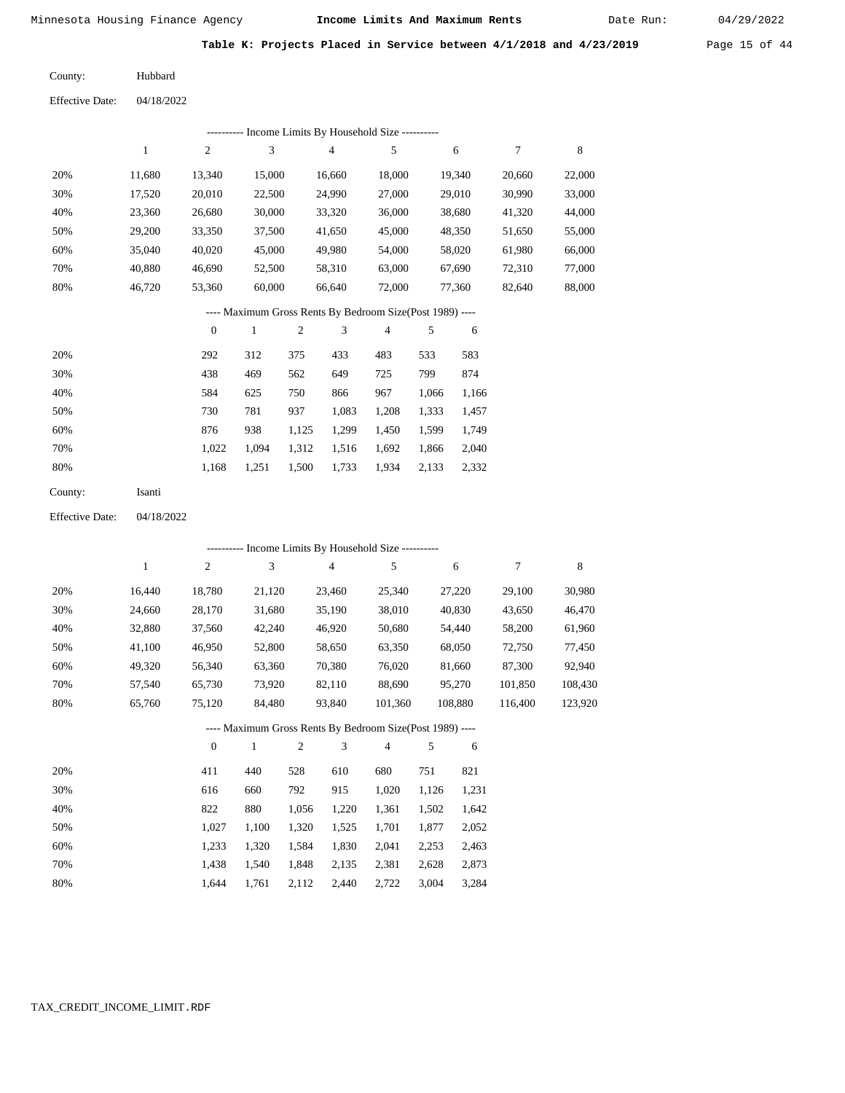Date Run:

Table K: Projects Placed in Service between  $4/1/2018$  and  $4/23/2019$  Page 15 of 44

Hubbard County:

| <b>Effective Date:</b> | 04/18/2022 |
|------------------------|------------|
|------------------------|------------|

| ---------- Income Limits By Household Size ---------- |        |        |        |        |        |        |        |        |  |  |  |
|-------------------------------------------------------|--------|--------|--------|--------|--------|--------|--------|--------|--|--|--|
|                                                       |        | 2      | 3      | 4      | 5      | 6      |        | 8      |  |  |  |
| 20%                                                   | 11.680 | 13,340 | 15,000 | 16,660 | 18,000 | 19.340 | 20,660 | 22,000 |  |  |  |
| 30%                                                   | 17,520 | 20,010 | 22,500 | 24,990 | 27,000 | 29,010 | 30,990 | 33,000 |  |  |  |
| 40%                                                   | 23,360 | 26,680 | 30,000 | 33,320 | 36,000 | 38,680 | 41,320 | 44,000 |  |  |  |
| 50%                                                   | 29,200 | 33,350 | 37,500 | 41,650 | 45,000 | 48,350 | 51,650 | 55,000 |  |  |  |
| 60%                                                   | 35,040 | 40,020 | 45,000 | 49,980 | 54,000 | 58,020 | 61,980 | 66,000 |  |  |  |
| 70%                                                   | 40.880 | 46.690 | 52,500 | 58,310 | 63,000 | 67,690 | 72,310 | 77,000 |  |  |  |
| 80%                                                   | 46.720 | 53,360 | 60,000 | 66,640 | 72,000 | 77.360 | 82,640 | 88,000 |  |  |  |

# ---- Maximum Gross Rents By Bedroom Size(Post 1989) ----

|     | $\mathbf{0}$ |       | $\overline{c}$ | 3     | 4     | 5     | 6     |
|-----|--------------|-------|----------------|-------|-------|-------|-------|
| 20% | 292          | 312   | 375            | 433   | 483   | 533   | 583   |
| 30% | 438          | 469   | 562            | 649   | 725   | 799   | 874   |
| 40% | 584          | 625   | 750            | 866   | 967   | 1,066 | 1,166 |
| 50% | 730          | 781   | 937            | 1,083 | 1,208 | 1,333 | 1,457 |
| 60% | 876          | 938   | 1,125          | 1.299 | 1.450 | 1,599 | 1,749 |
| 70% | 1.022        | 1.094 | 1,312          | 1,516 | 1,692 | 1,866 | 2,040 |
| 80% | 1,168        | 1,251 | 1,500          | 1,733 | 1,934 | 2,133 | 2,332 |

| County: | Isanti |
|---------|--------|
|---------|--------|

Effective Date: 04/18/2022

|                                                          |        |              |              |     |        | ---------- Income Limits By Household Size ---------- |     |         |         |         |
|----------------------------------------------------------|--------|--------------|--------------|-----|--------|-------------------------------------------------------|-----|---------|---------|---------|
|                                                          | 1      | 2            | 3            |     | 4      | 5                                                     |     | 6       | 7       | 8       |
| 20%                                                      | 16.440 | 18,780       | 21,120       |     | 23,460 | 25,340                                                |     | 27,220  | 29,100  | 30,980  |
| 30%                                                      | 24,660 | 28,170       | 31,680       |     | 35,190 | 38,010                                                |     | 40,830  | 43,650  | 46,470  |
| 40%                                                      | 32,880 | 37,560       | 42,240       |     | 46,920 | 50,680                                                |     | 54,440  | 58,200  | 61,960  |
| 50%                                                      | 41,100 | 46,950       | 52,800       |     | 58,650 | 63,350                                                |     | 68,050  | 72,750  | 77,450  |
| 60%                                                      | 49,320 | 56,340       | 63,360       |     | 70,380 | 76,020                                                |     | 81,660  | 87,300  | 92,940  |
| 70%                                                      | 57,540 | 65,730       | 73,920       |     | 82,110 | 88,690                                                |     | 95,270  | 101,850 | 108,430 |
| 80%                                                      | 65,760 | 75,120       | 84,480       |     | 93,840 | 101,360                                               |     | 108,880 | 116.400 | 123,920 |
| ---- Maximum Gross Rents By Bedroom Size(Post 1989) ---- |        |              |              |     |        |                                                       |     |         |         |         |
|                                                          |        | $\mathbf{0}$ | $\mathbf{1}$ | 2   | 3      | $\overline{4}$                                        | 5   | 6       |         |         |
| 20%                                                      |        | 411          | 440          | 528 | 610    | 680                                                   | 751 | 821     |         |         |

| 30% | 616   | 660   | 792   | 915   | 1.020 | 1.126 | 1,231 |
|-----|-------|-------|-------|-------|-------|-------|-------|
| 40% | 822   | 880   | 1.056 | 1.220 | 1.361 | 1.502 | 1,642 |
| 50% | 1.027 | 1.100 | 1.320 | 1,525 | 1.701 | 1.877 | 2,052 |
| 60% | 1.233 | 1.320 | 1.584 | 1.830 | 2.041 | 2.253 | 2,463 |
| 70% | 1.438 | 1.540 | 1.848 | 2.135 | 2,381 | 2.628 | 2,873 |
| 80% | 1.644 | 1.761 | 2,112 | 2,440 | 2,722 | 3,004 | 3,284 |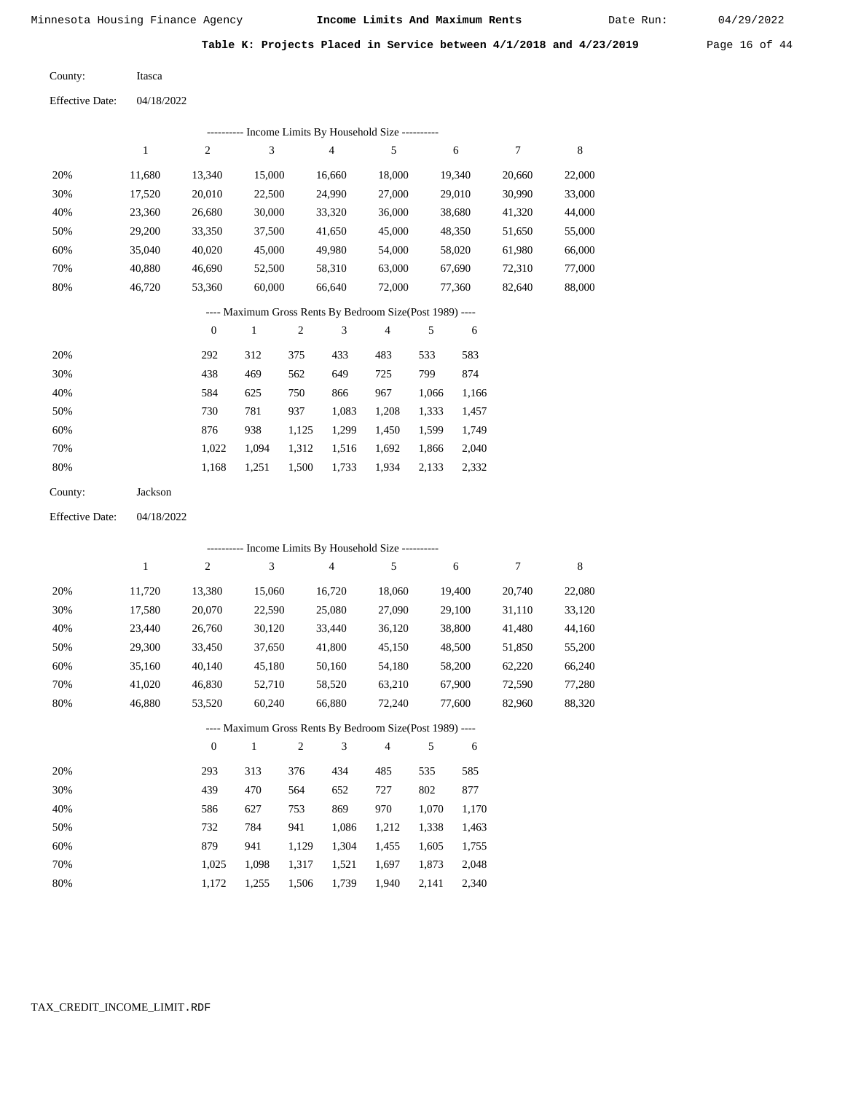Date Run:

Table K: Projects Placed in Service between  $4/1/2018$  and  $4/23/2019$  Page 16 of 44

Itasca County:

04/18/2022 Effective Date:

|                        |              |                  | --------- Income Limits By Household Size ---------      |            |                         |                |        |        |                  |             |
|------------------------|--------------|------------------|----------------------------------------------------------|------------|-------------------------|----------------|--------|--------|------------------|-------------|
|                        | $\mathbf{1}$ | 2                | 3                                                        |            | $\overline{\mathbf{4}}$ | $\sqrt{5}$     |        | 6      | $\boldsymbol{7}$ | $\,$ 8 $\,$ |
| 20%                    | 11,680       | 13,340           | 15,000                                                   |            | 16,660                  | 18,000         | 19,340 |        | 20,660           | 22,000      |
| 30%                    | 17,520       | 20,010           | 22,500                                                   |            | 24,990                  | 27,000         |        | 29,010 | 30,990           | 33,000      |
| 40%                    | 23,360       | 26,680           | 30,000                                                   |            | 33,320                  | 36,000         |        | 38,680 | 41,320           | 44,000      |
| 50%                    | 29,200       | 33,350           | 37,500                                                   |            | 41,650                  | 45,000         |        | 48,350 | 51,650           | 55,000      |
| 60%                    | 35,040       | 40,020           | 45,000                                                   |            | 49,980                  | 54,000         |        | 58,020 | 61,980           | 66,000      |
| 70%                    | 40,880       | 46,690           | 52,500                                                   |            | 58,310                  | 63,000         |        | 67,690 | 72,310           | 77,000      |
| 80%                    | 46,720       | 53,360           | 60,000                                                   |            | 66,640                  | 72,000         | 77,360 |        | 82,640           | 88,000      |
|                        |              |                  | ---- Maximum Gross Rents By Bedroom Size(Post 1989) ---- |            |                         |                |        |        |                  |             |
|                        |              | $\boldsymbol{0}$ | $\mathbf{1}$                                             | $\sqrt{2}$ | 3                       | $\overline{4}$ | 5      | 6      |                  |             |
| 20%                    |              | 292              | 312                                                      | 375        | 433                     | 483            | 533    | 583    |                  |             |
| 30%                    |              | 438              | 469                                                      | 562        | 649                     | 725            | 799    | 874    |                  |             |
| 40%                    |              | 584              | 625                                                      | 750        | 866                     | 967            | 1,066  | 1,166  |                  |             |
| 50%                    |              | 730              | 781                                                      | 937        | 1,083                   | 1,208          | 1,333  | 1,457  |                  |             |
| 60%                    |              | 876              | 938                                                      | 1,125      | 1,299                   | 1,450          | 1,599  | 1,749  |                  |             |
| 70%                    |              | 1,022            | 1,094                                                    | 1,312      | 1,516                   | 1,692          | 1,866  | 2,040  |                  |             |
| 80%                    |              | 1,168            | 1,251                                                    | 1,500      | 1,733                   | 1,934          | 2,133  | 2,332  |                  |             |
| County:                | Jackson      |                  |                                                          |            |                         |                |        |        |                  |             |
| <b>Effective Date:</b> | 04/18/2022   |                  |                                                          |            |                         |                |        |        |                  |             |
|                        |              |                  | --------- Income Limits By Household Size ----------     |            |                         |                |        |        |                  |             |
|                        | $\mathbf{1}$ | 2                | 3                                                        |            | 4                       | 5              |        | 6      | $\boldsymbol{7}$ | 8           |
| 20%                    | 11,720       | 13,380           | 15,060                                                   |            | 16,720                  | 18,060         |        | 19,400 | 20,740           | 22,080      |
| 30%                    | 17,580       | 20,070           | 22,590                                                   |            | 25,080                  | 27,090         |        | 29,100 | 31,110           | 33,120      |
| 40%                    | 23,440       | 26,760           | 30,120                                                   |            | 33,440                  | 36,120         |        | 38,800 | 41,480           | 44,160      |
| 50%                    | 29,300       | 33,450           | 37,650                                                   |            | 41,800                  | 45,150         |        | 48,500 | 51,850           | 55,200      |
| 60%                    | 35,160       | 40,140           | 45,180                                                   |            | 50,160                  | 54,180         |        | 58,200 | 62,220           | 66,240      |
| 70%                    | 41,020       | 46,830           | 52,710                                                   |            | 58,520                  | 63,210         |        | 67,900 | 72,590           | 77,280      |
| 80%                    | 46,880       | 53,520           | 60,240                                                   |            | 66,880                  | 72,240         |        | 77,600 | 82,960           | 88,320      |
|                        |              |                  | ---- Maximum Gross Rents By Bedroom Size(Post 1989) ---- |            |                         |                |        |        |                  |             |
|                        |              | $\mathbf{0}$     | 1                                                        | 2          | 3                       | 4              | 5      | 6      |                  |             |

|     | $\Omega$ |       | $\overline{c}$ | 3     | 4     |       | 6     |
|-----|----------|-------|----------------|-------|-------|-------|-------|
| 20% | 293      | 313   | 376            | 434   | 485   | 535   | 585   |
| 30% | 439      | 470   | 564            | 652   | 727   | 802   | 877   |
| 40% | 586      | 627   | 753            | 869   | 970   | 1,070 | 1,170 |
| 50% | 732      | 784   | 941            | 1,086 | 1,212 | 1,338 | 1,463 |
| 60% | 879      | 941   | 1.129          | 1,304 | 1,455 | 1,605 | 1,755 |
| 70% | 1.025    | 1.098 | 1,317          | 1,521 | 1,697 | 1,873 | 2,048 |
| 80% | 1.172    | 1.255 | 1,506          | 1,739 | 1,940 | 2.141 | 2,340 |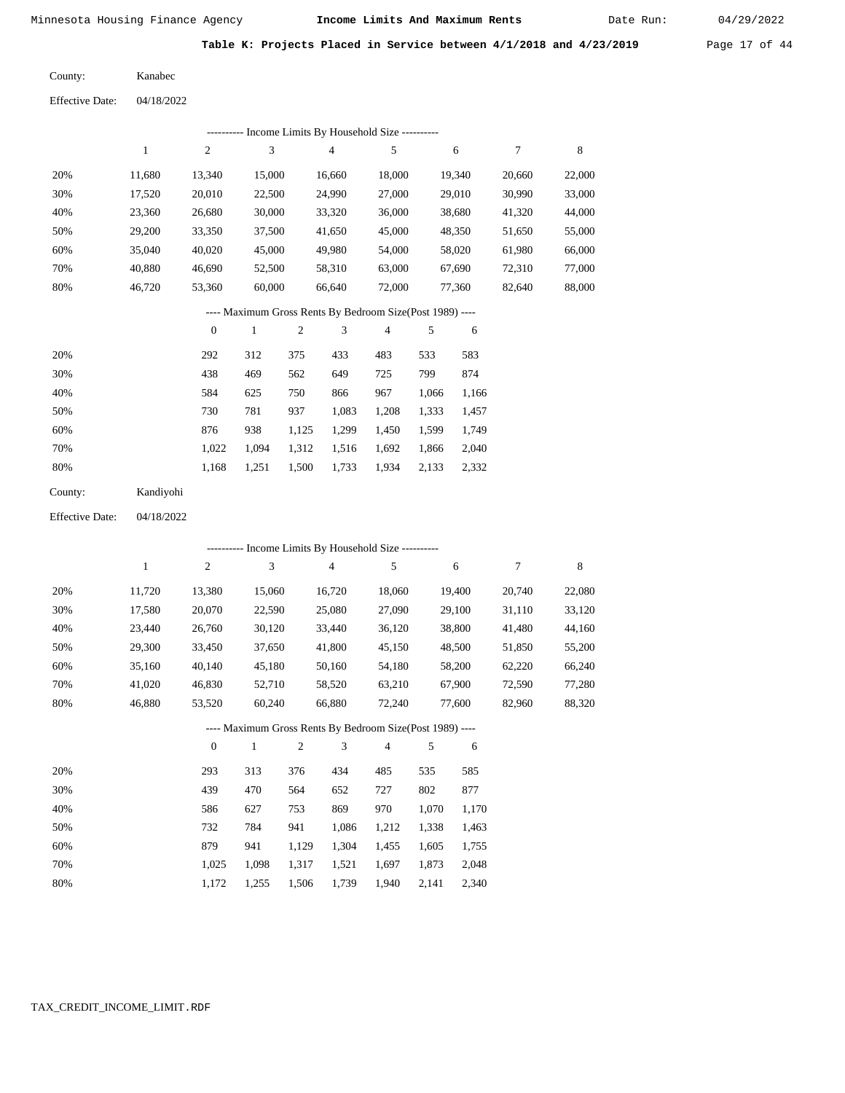Date Run:

Table K: Projects Placed in Service between 4/1/2018 and 4/23/2019 Page 17 of 44

Kanabec County:

04/18/2022 Effective Date:

|     |        |        | ---------- Income Limits By Household Size ---------- |        |        |        |        |        |
|-----|--------|--------|-------------------------------------------------------|--------|--------|--------|--------|--------|
|     |        | 2      | 3                                                     | 4      |        | 6      |        | 8      |
| 20% | 11.680 | 13,340 | 15,000                                                | 16,660 | 18,000 | 19.340 | 20,660 | 22,000 |
| 30% | 17,520 | 20,010 | 22,500                                                | 24,990 | 27,000 | 29,010 | 30,990 | 33,000 |
| 40% | 23,360 | 26,680 | 30,000                                                | 33,320 | 36,000 | 38,680 | 41,320 | 44,000 |
| 50% | 29,200 | 33,350 | 37,500                                                | 41,650 | 45,000 | 48,350 | 51,650 | 55,000 |
| 60% | 35,040 | 40,020 | 45,000                                                | 49,980 | 54,000 | 58,020 | 61,980 | 66,000 |
| 70% | 40,880 | 46,690 | 52,500                                                | 58,310 | 63,000 | 67,690 | 72,310 | 77,000 |
| 80% | 46,720 | 53,360 | 60,000                                                | 66,640 | 72,000 | 77,360 | 82,640 | 88,000 |
|     |        |        |                                                       |        |        |        |        |        |

### ---- Maximum Gross Rents By Bedroom Size(Post 1989) ----

|     | $\mathbf{0}$ |       | $\overline{c}$ | 3     | 4     | 5     | 6     |
|-----|--------------|-------|----------------|-------|-------|-------|-------|
| 20% | 292          | 312   | 375            | 433   | 483   | 533   | 583   |
| 30% | 438          | 469   | 562            | 649   | 725   | 799   | 874   |
| 40% | 584          | 625   | 750            | 866   | 967   | 1,066 | 1,166 |
| 50% | 730          | 781   | 937            | 1,083 | 1,208 | 1,333 | 1,457 |
| 60% | 876          | 938   | 1,125          | 1,299 | 1,450 | 1,599 | 1,749 |
| 70% | 1.022        | 1.094 | 1,312          | 1,516 | 1,692 | 1,866 | 2,040 |
| 80% | 1,168        | 1,251 | 1,500          | 1,733 | 1,934 | 2,133 | 2,332 |
|     |              |       |                |       |       |       |       |

| County: | Kandiyohi |
|---------|-----------|
|         |           |

04/18/2022 Effective Date:

|     |        |                  |              |                | ---------- Income Limits By Household Size ----------    |                |       |        |        |        |
|-----|--------|------------------|--------------|----------------|----------------------------------------------------------|----------------|-------|--------|--------|--------|
|     | 1      | $\overline{c}$   | 3            |                | $\overline{4}$                                           | 5              |       | 6      | 7      | 8      |
| 20% | 11,720 | 13,380           | 15,060       |                | 16,720                                                   | 18,060         |       | 19,400 | 20,740 | 22,080 |
| 30% | 17,580 | 20,070           | 22,590       |                | 25,080                                                   | 27,090         |       | 29,100 | 31,110 | 33,120 |
| 40% | 23,440 | 26,760           | 30,120       |                | 33,440                                                   | 36,120         |       | 38,800 | 41,480 | 44,160 |
| 50% | 29,300 | 33,450           | 37,650       |                | 41,800                                                   | 45,150         |       | 48,500 | 51,850 | 55,200 |
| 60% | 35,160 | 40,140           | 45,180       |                | 50,160                                                   | 54,180         |       | 58,200 | 62,220 | 66,240 |
| 70% | 41,020 | 46,830           | 52,710       |                | 58,520                                                   | 63,210         |       | 67,900 | 72,590 | 77,280 |
| 80% | 46,880 | 53,520           | 60,240       |                | 66,880                                                   | 72,240         |       | 77,600 | 82,960 | 88,320 |
|     |        |                  |              |                | ---- Maximum Gross Rents By Bedroom Size(Post 1989) ---- |                |       |        |        |        |
|     |        | $\boldsymbol{0}$ | $\mathbf{1}$ | $\mathfrak{2}$ | 3                                                        | $\overline{4}$ | 5     | 6      |        |        |
| 20% |        | 293              | 313          | 376            | 434                                                      | 485            | 535   | 585    |        |        |
| 30% |        | 439              | 470          | 564            | 652                                                      | 727            | 802   | 877    |        |        |
| 40% |        | 586              | 627          | 753            | 869                                                      | 970            | 1,070 | 1,170  |        |        |
| 50% |        | 732              | 784          | 941            | 1,086                                                    | 1,212          | 1,338 | 1,463  |        |        |
| 60% |        | 879              | 941          | 1,129          | 1,304                                                    | 1,455          | 1,605 | 1,755  |        |        |

 1,025 1,172

 1,098 1,255  1,317 1,506  1,521 1,739  1,697 1,940

 1,873 2,141  2,048 2,340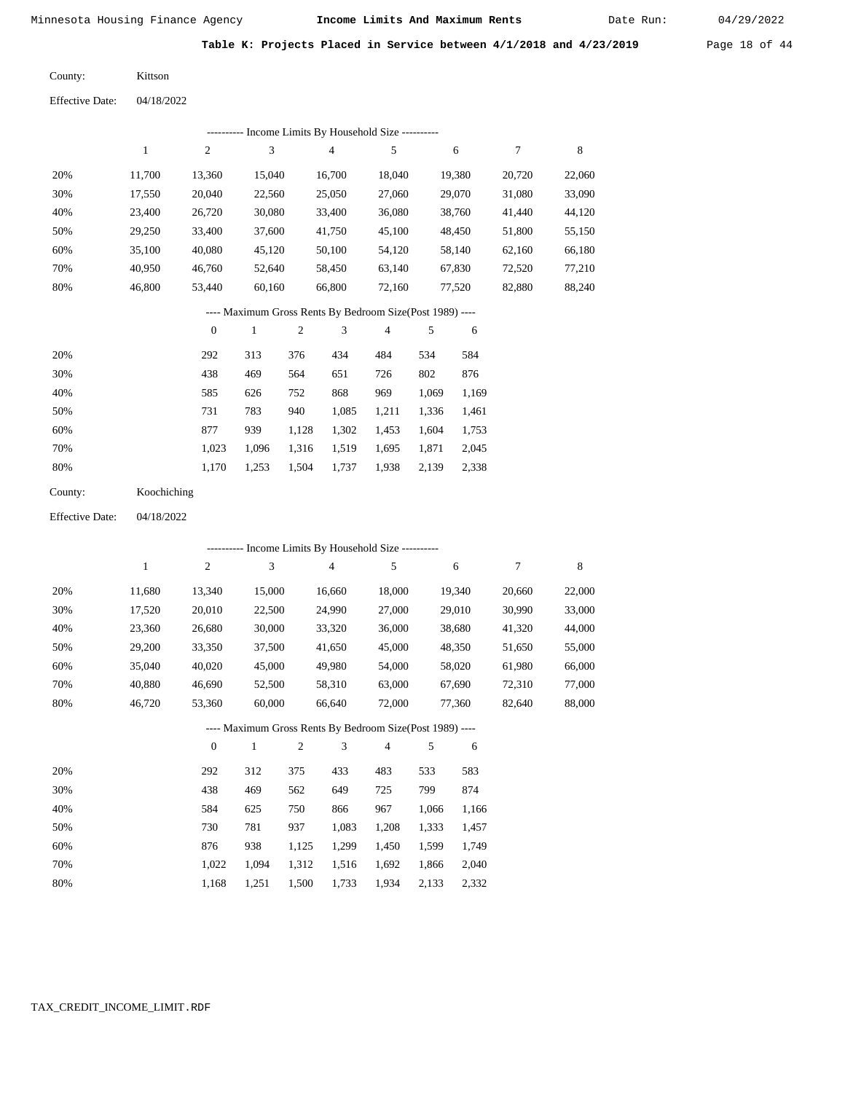Date Run:

Table K: Projects Placed in Service between 4/1/2018 and 4/23/2019 Page 18 of 44

Kittson County:

04/18/2022 Effective Date:

|     |        |        |        | Income Limits By Household Size ---------- |        |        |        |        |
|-----|--------|--------|--------|--------------------------------------------|--------|--------|--------|--------|
|     |        | 2      | 3      | 4                                          | 5      | 6      |        | 8      |
| 20% | 11.700 | 13.360 | 15.040 | 16.700                                     | 18.040 | 19,380 | 20.720 | 22,060 |
| 30% | 17,550 | 20,040 | 22,560 | 25,050                                     | 27,060 | 29,070 | 31,080 | 33,090 |
| 40% | 23,400 | 26,720 | 30,080 | 33,400                                     | 36,080 | 38,760 | 41,440 | 44,120 |
| 50% | 29,250 | 33,400 | 37,600 | 41,750                                     | 45,100 | 48,450 | 51,800 | 55,150 |
| 60% | 35,100 | 40,080 | 45,120 | 50,100                                     | 54,120 | 58,140 | 62,160 | 66,180 |
| 70% | 40.950 | 46.760 | 52,640 | 58,450                                     | 63,140 | 67,830 | 72,520 | 77,210 |
| 80% | 46.800 | 53.440 | 60,160 | 66,800                                     | 72,160 | 77.520 | 82,880 | 88,240 |

### ---- Maximum Gross Rents By Bedroom Size(Post 1989) ----

|     | $\mathbf{0}$ |       | $\overline{c}$ | 3     | 4     | 5     | 6     |
|-----|--------------|-------|----------------|-------|-------|-------|-------|
| 20% | 292          | 313   | 376            | 434   | 484   | 534   | 584   |
| 30% | 438          | 469   | 564            | 651   | 726   | 802   | 876   |
| 40% | 585          | 626   | 752            | 868   | 969   | 1,069 | 1,169 |
| 50% | 731          | 783   | 940            | 1,085 | 1.211 | 1,336 | 1,461 |
| 60% | 877          | 939   | 1,128          | 1,302 | 1,453 | 1,604 | 1,753 |
| 70% | 1,023        | 1.096 | 1,316          | 1,519 | 1,695 | 1,871 | 2,045 |
| 80% | 1,170        | 1,253 | 1,504          | 1,737 | 1,938 | 2,139 | 2,338 |

| County: | Koochiching |
|---------|-------------|
|---------|-------------|

04/18/2022 Effective Date:

|     | ---------- Income Limits By Household Size ---------- |                |              |                |                                                          |                |       |        |        |        |
|-----|-------------------------------------------------------|----------------|--------------|----------------|----------------------------------------------------------|----------------|-------|--------|--------|--------|
|     | 1                                                     | 2              | 3            |                | $\overline{4}$                                           | 5              |       | 6      | 7      | 8      |
| 20% | 11,680                                                | 13,340         | 15,000       |                | 16,660                                                   | 18,000         |       | 19,340 | 20,660 | 22,000 |
| 30% | 17,520                                                | 20,010         | 22,500       |                | 24,990                                                   | 27,000         |       | 29,010 | 30,990 | 33,000 |
| 40% | 23,360                                                | 26,680         | 30,000       |                | 33,320                                                   | 36,000         |       | 38,680 | 41,320 | 44,000 |
| 50% | 29,200                                                | 33,350         | 37,500       |                | 41,650                                                   | 45,000         |       | 48,350 | 51,650 | 55,000 |
| 60% | 35,040                                                | 40,020         | 45,000       |                | 49,980                                                   | 54,000         |       | 58,020 | 61,980 | 66,000 |
| 70% | 40,880                                                | 46,690         | 52,500       |                | 58,310                                                   | 63,000         |       | 67,690 | 72,310 | 77,000 |
| 80% | 46,720                                                | 53,360         | 60,000       |                | 66,640                                                   | 72,000         |       | 77,360 | 82,640 | 88,000 |
|     |                                                       |                |              |                | ---- Maximum Gross Rents By Bedroom Size(Post 1989) ---- |                |       |        |        |        |
|     |                                                       | $\overline{0}$ | $\mathbf{1}$ | $\overline{c}$ | 3                                                        | $\overline{4}$ | 5     | 6      |        |        |
| 20% |                                                       | 292            | 312          | 375            | 433                                                      | 483            | 533   | 583    |        |        |
| 30% |                                                       | 438            | 469          | 562            | 649                                                      | 725            | 799   | 874    |        |        |
| 40% |                                                       | 584            | 625          | 750            | 866                                                      | 967            | 1,066 | 1,166  |        |        |
| 50% |                                                       | 730            | 781          | 937            | 1,083                                                    | 1,208          | 1,333 | 1,457  |        |        |
| 60% |                                                       | 876            | 938          | 1,125          | 1,299                                                    | 1,450          | 1,599 | 1,749  |        |        |
| 70% |                                                       | 1,022          | 1,094        | 1,312          | 1,516                                                    | 1,692          | 1,866 | 2,040  |        |        |

1,733 1,934 2,133 2,332

1,168

1,251 1,500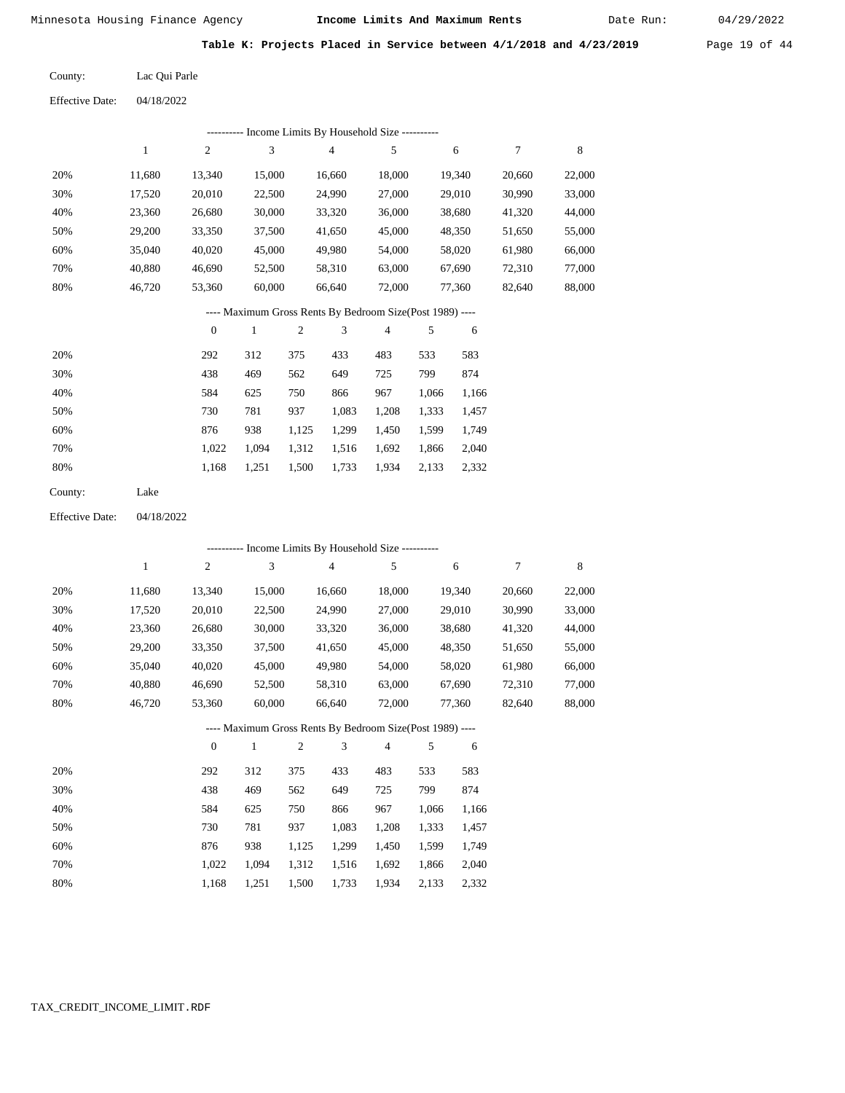Date Run:

Table K: Projects Placed in Service between 4/1/2018 and 4/23/2019 Page 19 of 44

Lac Qui Parle County:

04/18/2022 Effective Date:

|                        |            |                  |                             |            | --------- Income Limits By Household Size ---------      |                |       |        |        |        |
|------------------------|------------|------------------|-----------------------------|------------|----------------------------------------------------------|----------------|-------|--------|--------|--------|
|                        | 1          | $\overline{c}$   | $\ensuremath{\mathfrak{Z}}$ |            | 4                                                        | $\sqrt{5}$     |       | 6      | 7      | 8      |
| 20%                    | 11,680     | 13,340           | 15,000                      |            | 16,660                                                   | 18,000         |       | 19,340 | 20,660 | 22,000 |
| 30%                    | 17,520     | 20,010           | 22,500                      |            | 24,990                                                   | 27,000         |       | 29,010 | 30,990 | 33,000 |
| 40%                    | 23,360     | 26,680           | 30,000                      |            | 33,320                                                   | 36,000         |       | 38,680 | 41,320 | 44,000 |
| 50%                    | 29,200     | 33,350           | 37,500                      |            | 41,650                                                   | 45,000         |       | 48,350 | 51,650 | 55,000 |
| 60%                    | 35,040     | 40,020           | 45,000                      |            | 49,980                                                   | 54,000         |       | 58,020 | 61,980 | 66,000 |
| 70%                    | 40,880     | 46,690           | 52,500                      |            | 58,310                                                   | 63,000         |       | 67,690 | 72,310 | 77,000 |
| 80%                    | 46,720     | 53,360           | 60,000                      |            | 66,640                                                   | 72,000         |       | 77,360 | 82,640 | 88,000 |
|                        |            |                  |                             |            | ---- Maximum Gross Rents By Bedroom Size(Post 1989) ---- |                |       |        |        |        |
|                        |            | $\boldsymbol{0}$ | $\mathbf{1}$                | $\sqrt{2}$ | 3                                                        | $\overline{4}$ | 5     | 6      |        |        |
| 20%                    |            | 292              | 312                         | 375        | 433                                                      | 483            | 533   | 583    |        |        |
| 30%                    |            | 438              | 469                         | 562        | 649                                                      | 725            | 799   | 874    |        |        |
| 40%                    |            | 584              | 625                         | 750        | 866                                                      | 967            | 1,066 | 1,166  |        |        |
| 50%                    |            | 730              | 781                         | 937        | 1,083                                                    | 1,208          | 1,333 | 1,457  |        |        |
| 60%                    |            | 876              | 938                         | 1,125      | 1,299                                                    | 1,450          | 1,599 | 1,749  |        |        |
| 70%                    |            | 1,022            | 1,094                       | 1,312      | 1,516                                                    | 1,692          | 1,866 | 2,040  |        |        |
| 80%                    |            | 1,168            | 1,251                       | 1,500      | 1,733                                                    | 1,934          | 2,133 | 2,332  |        |        |
| County:                | Lake       |                  |                             |            |                                                          |                |       |        |        |        |
| <b>Effective Date:</b> | 04/18/2022 |                  |                             |            |                                                          |                |       |        |        |        |
|                        |            |                  |                             |            | ---------- Income Limits By Household Size ----------    |                |       |        |        |        |
|                        | 1          | $\boldsymbol{2}$ | 3                           |            | 4                                                        | 5              |       | 6      | 7      | 8      |
| 20%                    | 11,680     | 13,340           | 15,000                      |            | 16,660                                                   | 18,000         |       | 19,340 | 20,660 | 22,000 |
| 30%                    | 17,520     | 20,010           | 22,500                      |            | 24,990                                                   | 27,000         |       | 29,010 | 30,990 | 33,000 |
| 40%                    | 23,360     | 26,680           | 30,000                      |            | 33,320                                                   | 36,000         |       | 38,680 | 41,320 | 44,000 |
| 50%                    | 29,200     | 33,350           | 37,500                      |            | 41,650                                                   | 45,000         |       | 48,350 | 51,650 | 55,000 |
| 60%                    | 35,040     | 40,020           | 45,000                      |            | 49,980                                                   | 54,000         |       | 58,020 | 61,980 | 66,000 |
| 70%                    | 40,880     | 46,690           | 52,500                      |            | 58,310                                                   | 63,000         |       | 67,690 | 72,310 | 77,000 |
| $80\%$                 | 46,720     | 53,360           | 60,000                      |            | 66,640                                                   | 72,000         |       | 77,360 | 82,640 | 88,000 |
|                        |            |                  |                             |            | ---- Maximum Gross Rents By Bedroom Size(Post 1989) ---- |                |       |        |        |        |
|                        |            | $\boldsymbol{0}$ | $\,1$                       | $\sqrt{2}$ | 3                                                        | $\overline{4}$ | 5     | 6      |        |        |
| 20%                    |            | 292              | 312                         | 375        | 433                                                      | 483            | 533   | 583    |        |        |
| 30%                    |            | 438              | 469                         | 562        | 649                                                      | 725            | 799   | 874    |        |        |
| 40%                    |            | 584              | 625                         | 750        | 866                                                      | 967            | 1,066 | 1,166  |        |        |
| 50%                    |            | 730              | 781                         | 937        | 1,083                                                    | 1,208          | 1,333 | 1,457  |        |        |
| 60%                    |            | 876              | 938                         | 1,125      | 1,299                                                    | 1,450          | 1,599 | 1,749  |        |        |
| 70%                    |            | 1,022            | 1,094                       | 1,312      | 1,516                                                    | 1,692          | 1,866 | 2,040  |        |        |
| 80%                    |            | 1,168            | 1,251                       | 1,500      | 1,733                                                    | 1,934          | 2,133 | 2,332  |        |        |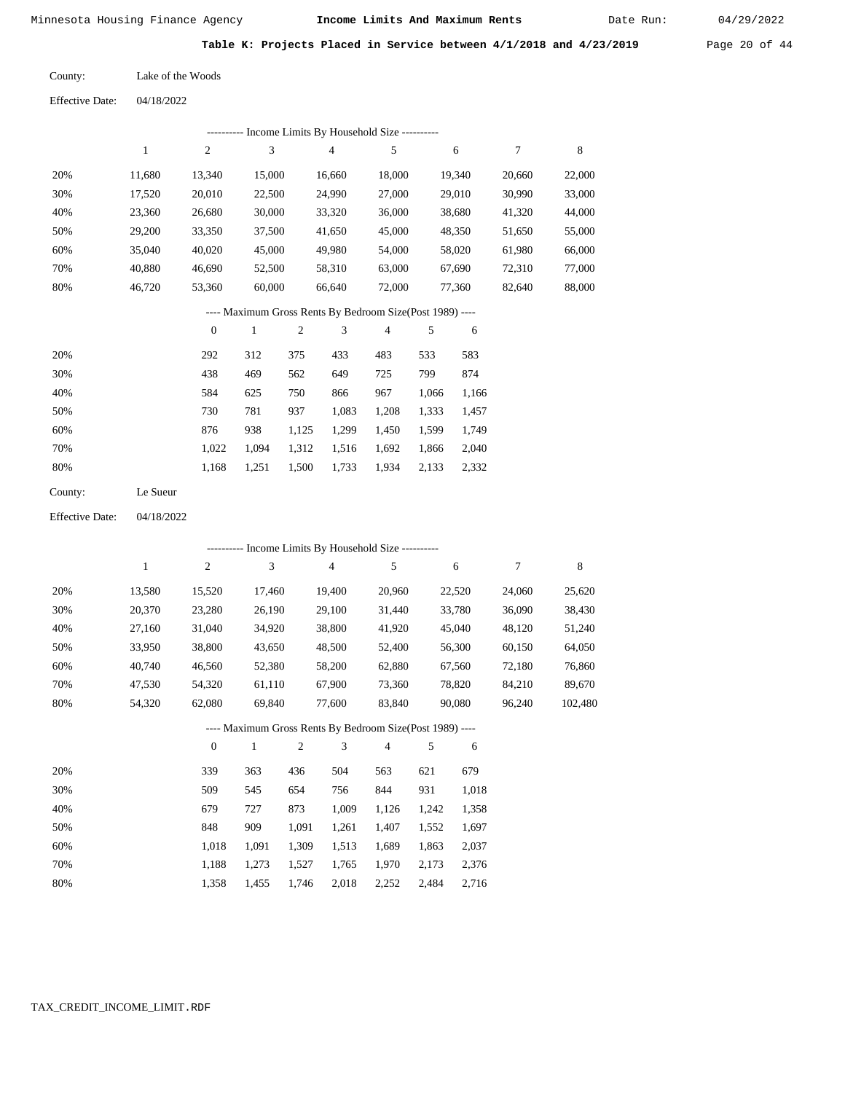Date Run:

Table K: Projects Placed in Service between 4/1/2018 and 4/23/2019 Page 20 of 44

Effective Date: 04/18/2022

| ---------- Income Limits By Household Size ---------- |              |                |              |                |                                                          |                |       |        |        |        |
|-------------------------------------------------------|--------------|----------------|--------------|----------------|----------------------------------------------------------|----------------|-------|--------|--------|--------|
|                                                       | $\mathbf{1}$ | $\overline{c}$ | 3            |                | $\overline{4}$                                           | 5              |       | 6      | $\tau$ | 8      |
| 20%                                                   | 11,680       | 13,340         | 15,000       |                | 16.660                                                   | 18,000         |       | 19,340 | 20,660 | 22,000 |
| 30%                                                   | 17,520       | 20,010         | 22,500       |                | 24,990                                                   | 27,000         |       | 29,010 | 30,990 | 33,000 |
| 40%                                                   | 23,360       | 26,680         | 30,000       |                | 33,320                                                   | 36,000         |       | 38,680 | 41,320 | 44,000 |
| 50%                                                   | 29,200       | 33,350         | 37,500       |                | 41,650                                                   | 45,000         |       | 48,350 | 51,650 | 55,000 |
| 60%                                                   | 35,040       | 40,020         | 45,000       |                | 49,980                                                   | 54,000         |       | 58,020 | 61,980 | 66,000 |
| 70%                                                   | 40,880       | 46,690         | 52,500       |                | 58,310                                                   | 63,000         |       | 67,690 | 72,310 | 77,000 |
| 80%                                                   | 46,720       | 53,360         | 60,000       |                | 66,640                                                   | 72,000         |       | 77,360 | 82,640 | 88,000 |
|                                                       |              |                |              |                | ---- Maximum Gross Rents By Bedroom Size(Post 1989) ---- |                |       |        |        |        |
|                                                       |              | $\overline{0}$ | $\mathbf{1}$ | $\mathfrak{2}$ | 3                                                        | $\overline{4}$ | 5     | 6      |        |        |
| 20%                                                   |              | 292            | 312          | 375            | 433                                                      | 483            | 533   | 583    |        |        |
| 30%                                                   |              | 438            | 469          | 562            | 649                                                      | 725            | 799   | 874    |        |        |
| 40%                                                   |              | 584            | 625          | 750            | 866                                                      | 967            | 1.066 | 1,166  |        |        |
| 50%                                                   |              | 730            | 781          | 937            | 1,083                                                    | 1,208          | 1,333 | 1,457  |        |        |
| 60%                                                   |              | 876            | 938          | 1,125          | 1,299                                                    | 1,450          | 1,599 | 1,749  |        |        |
| 70%                                                   |              | 1,022          | 1,094        | 1,312          | 1,516                                                    | 1,692          | 1,866 | 2,040  |        |        |
| 80%                                                   |              | 1,168          | 1,251        | 1,500          | 1,733                                                    | 1,934          | 2,133 | 2,332  |        |        |
| County:                                               | Le Sueur     |                |              |                |                                                          |                |       |        |        |        |

Effective Date: 04/18/2022

|     |        |              | ---------- Income Limits By Household Size ----------    |                |                |        |       |        |        |         |
|-----|--------|--------------|----------------------------------------------------------|----------------|----------------|--------|-------|--------|--------|---------|
|     | 1      | $\mathbf{2}$ | 3                                                        |                | $\overline{4}$ | 5      |       | 6      | 7      | 8       |
| 20% | 13,580 | 15,520       | 17,460                                                   |                | 19,400         | 20,960 |       | 22,520 | 24,060 | 25,620  |
| 30% | 20,370 | 23,280       | 26,190                                                   |                | 29,100         | 31,440 |       | 33,780 | 36,090 | 38,430  |
| 40% | 27,160 | 31,040       | 34,920                                                   |                | 38,800         | 41,920 |       | 45,040 | 48,120 | 51,240  |
| 50% | 33,950 | 38,800       | 43,650                                                   |                | 48,500         | 52,400 |       | 56,300 | 60,150 | 64,050  |
| 60% | 40,740 | 46,560       | 52,380                                                   |                | 58,200         | 62,880 |       | 67,560 | 72,180 | 76,860  |
| 70% | 47,530 | 54,320       | 61,110                                                   |                | 67,900         | 73,360 |       | 78,820 | 84,210 | 89,670  |
| 80% | 54,320 | 62,080       | 69,840                                                   |                | 77,600         | 83,840 |       | 90,080 | 96,240 | 102,480 |
|     |        |              | ---- Maximum Gross Rents By Bedroom Size(Post 1989) ---- |                |                |        |       |        |        |         |
|     |        | $\mathbf{0}$ | 1                                                        | $\overline{c}$ | 3              | 4      | 5     | 6      |        |         |
| 20% |        | 339          | 363                                                      | 436            | 504            | 563    | 621   | 679    |        |         |
| 30% |        | 509          | 545                                                      | 654            | 756            | 844    | 931   | 1,018  |        |         |
| 40% |        | 679          | 727                                                      | 873            | 1,009          | 1,126  | 1,242 | 1,358  |        |         |
| 50% |        | 848          | 909                                                      | 1,091          | 1,261          | 1,407  | 1,552 | 1,697  |        |         |

|  |  | 1,188 1,273 1,527 1,765 1,970 2,173 2,376 |  |  |
|--|--|-------------------------------------------|--|--|
|  |  | 1,358 1,455 1,746 2,018 2,252 2,484 2,716 |  |  |

1,309

1,513

1,689

1,863

2,037

1,091

1,018

 60% 70% 80%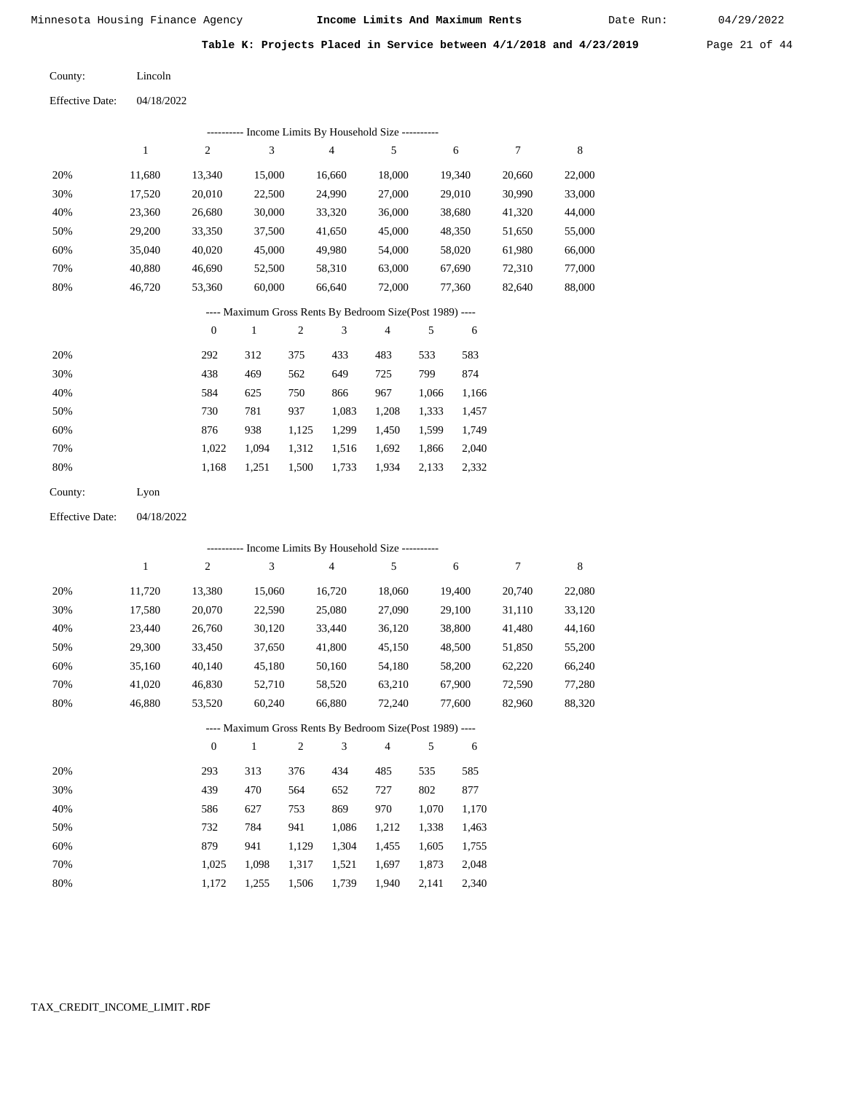Date Run:

Table K: Projects Placed in Service between  $4/1/2018$  and  $4/23/2019$  Page 21 of 44

Lincoln County:

04/18/2022 Effective Date:

|                        |              |                  |              |       | ---------- Income Limits By Household Size ----------    |        |       |        |        |             |
|------------------------|--------------|------------------|--------------|-------|----------------------------------------------------------|--------|-------|--------|--------|-------------|
|                        | $\mathbf{1}$ | $\mathfrak{2}$   | 3            |       | 4                                                        | 5      |       | 6      | $\tau$ | $\,$ 8 $\,$ |
| 20%                    | 11,680       | 13,340           | 15,000       |       | 16,660                                                   | 18,000 |       | 19,340 | 20,660 | 22,000      |
| 30%                    | 17,520       | 20,010           | 22,500       |       | 24,990                                                   | 27,000 |       | 29,010 | 30,990 | 33,000      |
| 40%                    | 23,360       | 26,680           | 30,000       |       | 33,320                                                   | 36,000 |       | 38,680 | 41,320 | 44,000      |
| 50%                    | 29,200       | 33,350           | 37,500       |       | 41,650                                                   | 45,000 |       | 48,350 | 51,650 | 55,000      |
| 60%                    | 35,040       | 40,020           | 45,000       |       | 49,980                                                   | 54,000 |       | 58,020 | 61,980 | 66,000      |
| 70%                    | 40,880       | 46,690           | 52,500       |       | 58,310                                                   | 63,000 |       | 67,690 | 72,310 | 77,000      |
| 80%                    | 46,720       | 53,360           | 60,000       |       | 66,640                                                   | 72,000 |       | 77,360 | 82,640 | 88,000      |
|                        |              |                  |              |       | ---- Maximum Gross Rents By Bedroom Size(Post 1989) ---- |        |       |        |        |             |
|                        |              | $\boldsymbol{0}$ | $\mathbf{1}$ | 2     | 3                                                        | 4      | 5     | 6      |        |             |
| 20%                    |              | 292              | 312          | 375   | 433                                                      | 483    | 533   | 583    |        |             |
| 30%                    |              | 438              | 469          | 562   | 649                                                      | 725    | 799   | 874    |        |             |
| 40%                    |              | 584              | 625          | 750   | 866                                                      | 967    | 1,066 | 1,166  |        |             |
| 50%                    |              | 730              | 781          | 937   | 1,083                                                    | 1,208  | 1,333 | 1,457  |        |             |
| 60%                    |              | 876              | 938          | 1,125 | 1,299                                                    | 1,450  | 1,599 | 1,749  |        |             |
| 70%                    |              | 1,022            | 1,094        | 1,312 | 1,516                                                    | 1,692  | 1,866 | 2,040  |        |             |
| 80%                    |              | 1,168            | 1,251        | 1,500 | 1,733                                                    | 1,934  | 2,133 | 2,332  |        |             |
| County:                | Lyon         |                  |              |       |                                                          |        |       |        |        |             |
| <b>Effective Date:</b> | 04/18/2022   |                  |              |       |                                                          |        |       |        |        |             |

|     |        |                |              |                | ---------- Income Limits By Household Size ----------    |                |       |        |        |        |
|-----|--------|----------------|--------------|----------------|----------------------------------------------------------|----------------|-------|--------|--------|--------|
|     | 1      | $\overline{c}$ | 3            |                | 4                                                        | 5              |       | 6      | 7      | 8      |
| 20% | 11,720 | 13,380         | 15,060       |                | 16,720                                                   | 18,060         |       | 19,400 | 20,740 | 22,080 |
| 30% | 17,580 | 20,070         | 22,590       |                | 25,080                                                   | 27,090         |       | 29,100 | 31,110 | 33,120 |
| 40% | 23,440 | 26,760         | 30,120       |                | 33,440                                                   | 36,120         |       | 38,800 | 41,480 | 44,160 |
| 50% | 29,300 | 33,450         | 37,650       |                | 41,800                                                   | 45,150         |       | 48,500 | 51,850 | 55,200 |
| 60% | 35,160 | 40,140         | 45,180       |                | 50,160                                                   | 54,180         |       | 58,200 | 62,220 | 66,240 |
| 70% | 41,020 | 46,830         | 52,710       |                | 58,520                                                   | 63,210         |       | 67,900 | 72,590 | 77,280 |
| 80% | 46,880 | 53,520         | 60,240       |                | 66,880                                                   | 72,240         |       | 77,600 | 82,960 | 88,320 |
|     |        |                |              |                | ---- Maximum Gross Rents By Bedroom Size(Post 1989) ---- |                |       |        |        |        |
|     |        | $\overline{0}$ | $\mathbf{1}$ | $\mathfrak{2}$ | 3                                                        | $\overline{4}$ | 5     | 6      |        |        |
| 20% |        | 293            | 313          | 376            | 434                                                      | 485            | 535   | 585    |        |        |
| 30% |        | 439            | 470          | 564            | 652                                                      | 727            | 802   | 877    |        |        |
| 40% |        | 586            | 627          | 753            | 869                                                      | 970            | 1,070 | 1,170  |        |        |
| 50% |        | 732            | 784          | 941            | 1,086                                                    | 1,212          | 1,338 | 1,463  |        |        |
| 60% |        | 879            | 941          | 1,129          | 1,304                                                    | 1,455          | 1,605 | 1,755  |        |        |
| 70% |        | 1,025          | 1,098        | 1,317          | 1,521                                                    | 1,697          | 1,873 | 2,048  |        |        |

1,172 1,255 1,506 1,739 1,940 2,141 2,340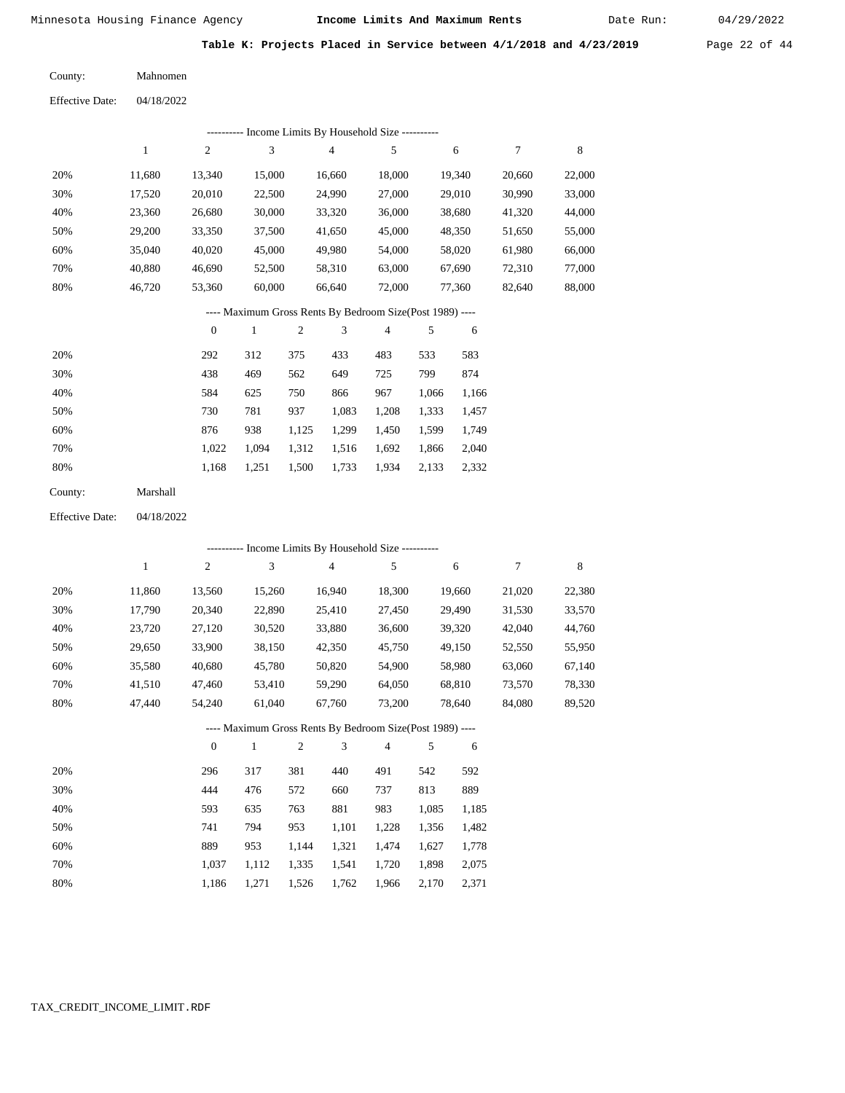Date Run:

Table K: Projects Placed in Service between  $4/1/2018$  and  $4/23/2019$  Page 22 of 44

Mahnomen County:

| <b>Effective Date:</b> | 04/18/2022 |
|------------------------|------------|
|------------------------|------------|

|     | ---------- Income Limits By Household Size ---------- |        |        |        |        |        |        |        |  |
|-----|-------------------------------------------------------|--------|--------|--------|--------|--------|--------|--------|--|
|     |                                                       | 2      | 3      | 4      | 5      | 6      | 7      | 8      |  |
| 20% | 11,680                                                | 13,340 | 15,000 | 16,660 | 18,000 | 19,340 | 20,660 | 22,000 |  |
| 30% | 17,520                                                | 20,010 | 22,500 | 24,990 | 27,000 | 29,010 | 30,990 | 33,000 |  |
| 40% | 23,360                                                | 26,680 | 30,000 | 33,320 | 36,000 | 38,680 | 41,320 | 44,000 |  |
| 50% | 29,200                                                | 33,350 | 37,500 | 41,650 | 45,000 | 48,350 | 51,650 | 55,000 |  |
| 60% | 35,040                                                | 40,020 | 45,000 | 49,980 | 54,000 | 58,020 | 61,980 | 66,000 |  |
| 70% | 40,880                                                | 46,690 | 52,500 | 58,310 | 63,000 | 67,690 | 72,310 | 77,000 |  |
| 80% | 46,720                                                | 53,360 | 60,000 | 66,640 | 72,000 | 77.360 | 82,640 | 88,000 |  |
|     |                                                       |        |        |        |        |        |        |        |  |

### ---- Maximum Gross Rents By Bedroom Size(Post 1989) ----

|     | $\mathbf{0}$ |       | $\overline{c}$ | 3     | $\overline{4}$ | 5     | 6     |
|-----|--------------|-------|----------------|-------|----------------|-------|-------|
| 20% | 292          | 312   | 375            | 433   | 483            | 533   | 583   |
| 30% | 438          | 469   | 562            | 649   | 725            | 799   | 874   |
| 40% | 584          | 625   | 750            | 866   | 967            | 1,066 | 1,166 |
| 50% | 730          | 781   | 937            | 1,083 | 1,208          | 1,333 | 1,457 |
| 60% | 876          | 938   | 1,125          | 1,299 | 1,450          | 1,599 | 1,749 |
| 70% | 1.022        | 1.094 | 1,312          | 1,516 | 1,692          | 1,866 | 2,040 |
| 80% | 1,168        | 1,251 | 1,500          | 1,733 | 1,934          | 2,133 | 2,332 |
|     |              |       |                |       |                |       |       |

| County: | Marshall |
|---------|----------|
|---------|----------|

04/18/2022 Effective Date:

|     |        |                  |              |                |                | ---------- Income Limits By Household Size ----------    |       |        |        |             |
|-----|--------|------------------|--------------|----------------|----------------|----------------------------------------------------------|-------|--------|--------|-------------|
|     | 1      | $\boldsymbol{2}$ | 3            |                | $\overline{4}$ | 5                                                        |       | 6      | 7      | $\,$ 8 $\,$ |
| 20% | 11,860 | 13,560           | 15,260       |                | 16,940         | 18,300                                                   |       | 19,660 | 21,020 | 22,380      |
| 30% | 17,790 | 20,340           | 22,890       |                | 25,410         | 27,450                                                   |       | 29,490 | 31,530 | 33,570      |
| 40% | 23,720 | 27,120           | 30,520       |                | 33,880         | 36,600                                                   |       | 39,320 | 42,040 | 44,760      |
| 50% | 29,650 | 33,900           | 38,150       |                | 42,350         | 45,750                                                   |       | 49,150 | 52,550 | 55,950      |
| 60% | 35,580 | 40,680           | 45,780       |                | 50,820         | 54,900                                                   |       | 58,980 | 63,060 | 67,140      |
| 70% | 41,510 | 47,460           | 53,410       |                | 59,290         | 64,050                                                   |       | 68,810 | 73,570 | 78,330      |
| 80% | 47,440 | 54,240           | 61,040       |                | 67,760         | 73,200                                                   |       | 78,640 | 84,080 | 89,520      |
|     |        |                  |              |                |                | ---- Maximum Gross Rents By Bedroom Size(Post 1989) ---- |       |        |        |             |
|     |        | $\overline{0}$   | $\mathbf{1}$ | $\overline{2}$ | 3              | $\overline{4}$                                           | 5     | 6      |        |             |
| 20% |        | 296              | 317          | 381            | 440            | 491                                                      | 542   | 592    |        |             |
| 30% |        | 444              | 476          | 572            | 660            | 737                                                      | 813   | 889    |        |             |
| 40% |        | 593              | 635          | 763            | 881            | 983                                                      | 1,085 | 1,185  |        |             |
| 50% |        | 741              | 794          | 953            | 1,101          | 1,228                                                    | 1,356 | 1,482  |        |             |
| 60% |        | 889              | 953          | 1,144          | 1,321          | 1,474                                                    | 1,627 | 1,778  |        |             |
| 70% |        | 1,037            | 1,112        | 1,335          | 1,541          | 1,720                                                    | 1,898 | 2,075  |        |             |

1,186

 1,112 1,335 1,271

1,526

 1,541 1,720 1,762 1,966

2,170

2,371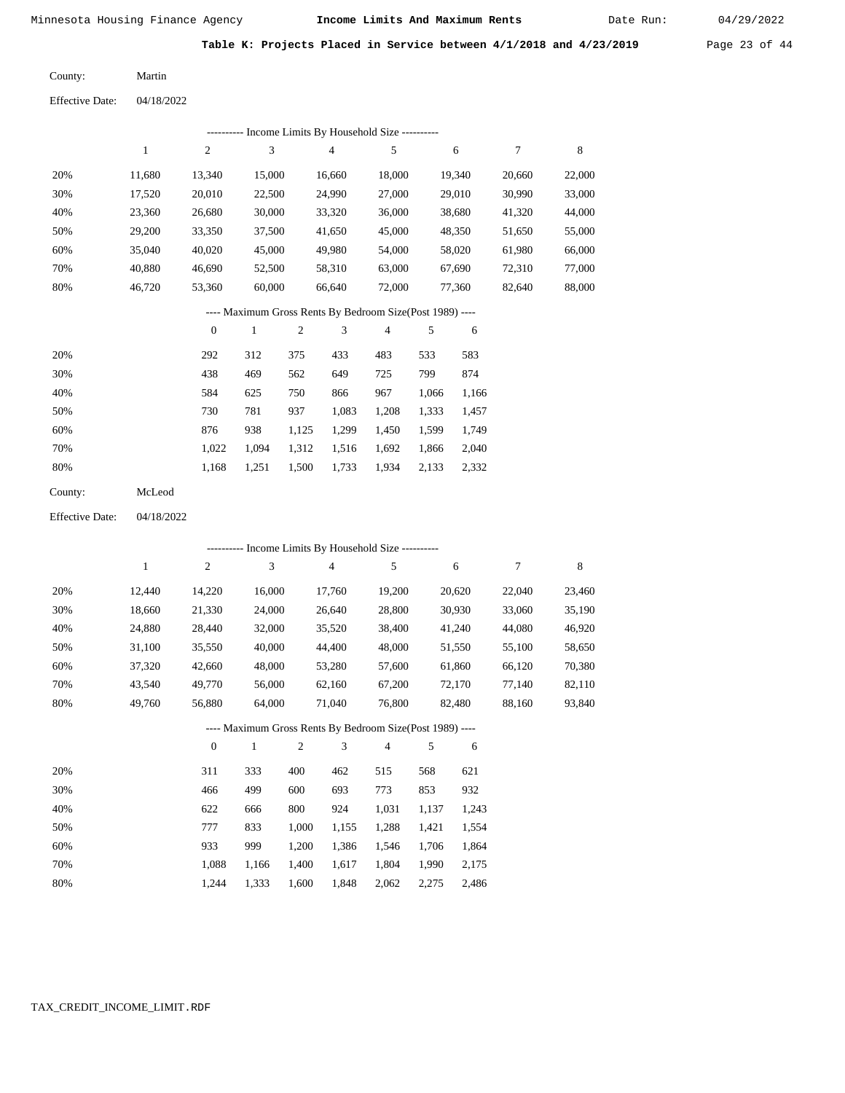Date Run:

Table K: Projects Placed in Service between  $4/1/2018$  and  $4/23/2019$  Page 23 of 44

Martin County:

04/18/2022 Effective Date:

|                        |              |                  |                             |                | --------- Income Limits By Household Size ---------      |        |            |            |                  |        |
|------------------------|--------------|------------------|-----------------------------|----------------|----------------------------------------------------------|--------|------------|------------|------------------|--------|
|                        | $\mathbf{1}$ | $\mathfrak{2}$   | $\mathfrak{Z}$              |                | 4                                                        | 5      |            | 6          | $\tau$           | 8      |
| 20%                    | 11,680       | 13,340           | 15,000                      |                | 16,660                                                   | 18,000 |            | 19,340     | 20,660           | 22,000 |
| 30%                    | 17,520       | 20,010           | 22,500                      |                | 24,990                                                   | 27,000 |            | 29,010     | 30,990           | 33,000 |
| 40%                    | 23,360       | 26,680           | 30,000                      |                | 33,320                                                   | 36,000 |            | 38,680     | 41,320           | 44,000 |
| 50%                    | 29,200       | 33,350           | 37,500                      |                | 41,650                                                   | 45,000 |            | 48,350     | 51,650           | 55,000 |
| 60%                    | 35,040       | 40,020           | 45,000                      |                | 49,980                                                   | 54,000 |            | 58,020     | 61,980           | 66,000 |
| 70%                    | 40,880       | 46,690           | 52,500                      |                | 58,310                                                   | 63,000 |            | 67,690     | 72,310           | 77,000 |
| 80%                    | 46,720       | 53,360           | 60,000                      |                | 66,640                                                   | 72,000 |            | 77,360     | 82,640           | 88,000 |
|                        |              |                  |                             |                | ---- Maximum Gross Rents By Bedroom Size(Post 1989) ---- |        |            |            |                  |        |
|                        |              | $\boldsymbol{0}$ | 1                           | $\overline{c}$ | 3                                                        | 4      | 5          | 6          |                  |        |
| 20%                    |              | 292              | 312                         | 375            | 433                                                      | 483    | 533        | 583        |                  |        |
| 30%                    |              | 438              | 469                         | 562            | 649                                                      | 725    | 799        | 874        |                  |        |
| 40%                    |              | 584              | 625                         | 750            | 866                                                      | 967    | 1,066      | 1,166      |                  |        |
| 50%                    |              | 730              | 781                         | 937            | 1,083                                                    | 1,208  | 1,333      | 1,457      |                  |        |
| 60%                    |              | 876              | 938                         | 1,125          | 1,299                                                    | 1,450  | 1,599      | 1,749      |                  |        |
| 70%                    |              | 1,022            | 1,094                       | 1,312          | 1,516                                                    | 1,692  | 1,866      | 2,040      |                  |        |
| 80%                    |              | 1,168            | 1,251                       | 1,500          | 1,733                                                    | 1,934  | 2,133      | 2,332      |                  |        |
| County:                | McLeod       |                  |                             |                |                                                          |        |            |            |                  |        |
| <b>Effective Date:</b> | 04/18/2022   |                  |                             |                |                                                          |        |            |            |                  |        |
|                        |              |                  |                             |                | ---------- Income Limits By Household Size ----------    |        |            |            |                  |        |
|                        | $\mathbf{1}$ | $\boldsymbol{2}$ | $\ensuremath{\mathfrak{Z}}$ |                | $\overline{4}$                                           | 5      |            | 6          | $\boldsymbol{7}$ | 8      |
| 20%                    | 12,440       | 14,220           | 16,000                      |                | 17,760                                                   | 19,200 |            | 20,620     | 22,040           | 23,460 |
| 30%                    | 18,660       | 21,330           | 24,000                      |                | 26,640                                                   | 28,800 |            | 30,930     | 33,060           | 35,190 |
| 40%                    | 24,880       | 28,440           | 32,000                      |                | 35,520                                                   | 38,400 |            | 41,240     | 44,080           | 46,920 |
| 50%                    | 31,100       | 35,550           | 40,000                      |                | 44,400                                                   | 48,000 |            | 51,550     | 55,100           | 58,650 |
| 60%                    | 37,320       | 42,660           | 48,000                      |                | 53,280                                                   | 57,600 |            | 61,860     | 66,120           | 70,380 |
| 70%                    | 43,540       | 49,770           | 56,000                      |                | 62,160                                                   | 67,200 |            | 72,170     | 77,140           | 82,110 |
| 80%                    | 49,760       | 56,880           | 64,000                      |                | 71,040                                                   | 76,800 |            | 82,480     | 88,160           | 93,840 |
|                        |              |                  |                             |                | ---- Maximum Gross Rents By Bedroom Size(Post 1989) ---- |        |            |            |                  |        |
|                        |              | $\boldsymbol{0}$ | $\mathbf{1}$                | $\overline{c}$ | 3                                                        | 4      | $\sqrt{5}$ | $\sqrt{6}$ |                  |        |
| 20%                    |              | 311              | 333                         | 400            | 462                                                      | 515    | 568        | 621        |                  |        |
| 30%                    |              | 466              | 499                         | 600            | 693                                                      | 773    | 853        | 932        |                  |        |
| 40%                    |              | 622              | 666                         | 800            | 924                                                      | 1,031  | 1,137      | 1,243      |                  |        |
| 50%                    |              | 777              | 833                         | 1,000          | 1,155                                                    | 1,288  | 1,421      | 1,554      |                  |        |
| 60%                    |              | 933              | 999                         | 1,200          | 1,386                                                    | 1,546  | 1,706      | 1,864      |                  |        |
| 70%                    |              | 1,088            | 1,166                       | 1,400          | 1,617                                                    | 1,804  | 1,990      | 2,175      |                  |        |

1,244 1,333 1,600 1,848 2,062 2,275 2,486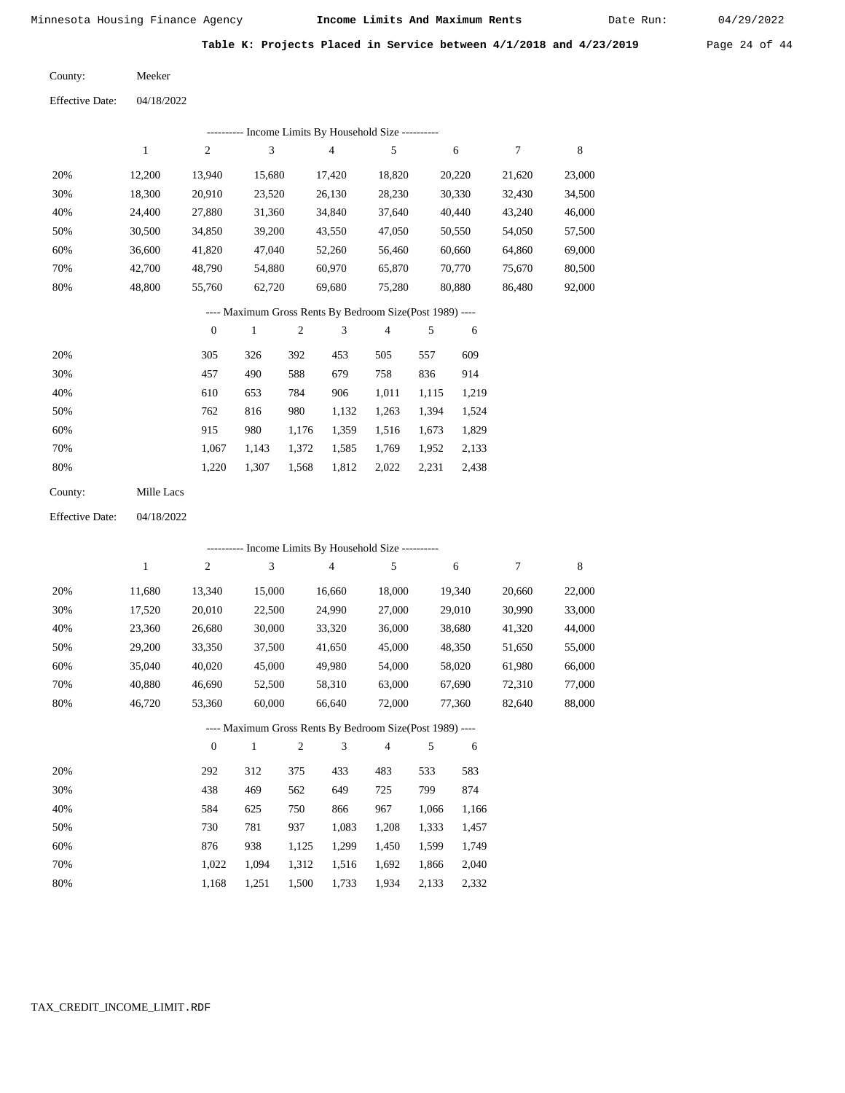Date Run:

Table K: Projects Placed in Service between 4/1/2018 and 4/23/2019 Page 24 of 44

Meeker County:

04/18/2022 Effective Date:

|     | Income Limits By Household Size --<br>---------- |                |        |        |        |        |        |        |  |  |  |  |  |
|-----|--------------------------------------------------|----------------|--------|--------|--------|--------|--------|--------|--|--|--|--|--|
|     |                                                  | $\overline{c}$ | 3      | 4      | 5      | 6      | 7      | 8      |  |  |  |  |  |
| 20% | 12.200                                           | 13.940         | 15.680 | 17.420 | 18,820 | 20,220 | 21,620 | 23,000 |  |  |  |  |  |
| 30% | 18,300                                           | 20,910         | 23,520 | 26,130 | 28,230 | 30,330 | 32,430 | 34,500 |  |  |  |  |  |
| 40% | 24.400                                           | 27,880         | 31,360 | 34,840 | 37,640 | 40.440 | 43,240 | 46,000 |  |  |  |  |  |
| 50% | 30,500                                           | 34,850         | 39,200 | 43,550 | 47,050 | 50,550 | 54,050 | 57,500 |  |  |  |  |  |
| 60% | 36,600                                           | 41,820         | 47,040 | 52,260 | 56,460 | 60,660 | 64,860 | 69,000 |  |  |  |  |  |
| 70% | 42,700                                           | 48,790         | 54,880 | 60,970 | 65,870 | 70,770 | 75,670 | 80,500 |  |  |  |  |  |
| 80% | 48,800                                           | 55,760         | 62,720 | 69,680 | 75,280 | 80,880 | 86,480 | 92,000 |  |  |  |  |  |

---- Maximum Gross Rents By Bedroom Size(Post 1989) ----

|     | 0     |       | $\overline{c}$ | 3     | 4     | 5     | 6     |
|-----|-------|-------|----------------|-------|-------|-------|-------|
| 20% | 305   | 326   | 392            | 453   | 505   | 557   | 609   |
| 30% | 457   | 490   | 588            | 679   | 758   | 836   | 914   |
| 40% | 610   | 653   | 784            | 906   | 1,011 | 1,115 | 1,219 |
| 50% | 762   | 816   | 980            | 1,132 | 1,263 | 1,394 | 1,524 |
| 60% | 915   | 980   | 1,176          | 1,359 | 1,516 | 1,673 | 1,829 |
| 70% | 1,067 | 1.143 | 1,372          | 1,585 | 1,769 | 1,952 | 2,133 |
| 80% | 1,220 | 1,307 | 1,568          | 1,812 | 2,022 | 2,231 | 2,438 |
|     |       |       |                |       |       |       |       |

Mille Lacs County:

04/18/2022 Effective Date:

|     |        |                  |              |                | ---------- Income Limits By Household Size ----------    |                |       |        |        |        |
|-----|--------|------------------|--------------|----------------|----------------------------------------------------------|----------------|-------|--------|--------|--------|
|     | 1      | $\overline{c}$   | 3            |                | $\overline{4}$                                           | 5              |       | 6      | 7      | 8      |
| 20% | 11,680 | 13,340           | 15,000       |                | 16,660                                                   | 18,000         |       | 19,340 | 20,660 | 22,000 |
| 30% | 17,520 | 20,010           | 22,500       |                | 24,990                                                   | 27,000         |       | 29,010 | 30,990 | 33,000 |
| 40% | 23,360 | 26,680           | 30,000       |                | 33,320                                                   | 36,000         |       | 38,680 | 41,320 | 44,000 |
| 50% | 29,200 | 33,350           | 37,500       |                | 41,650                                                   | 45,000         |       | 48,350 | 51,650 | 55,000 |
| 60% | 35,040 | 40,020           | 45,000       |                | 49,980                                                   | 54,000         |       | 58,020 | 61,980 | 66,000 |
| 70% | 40,880 | 46,690           | 52,500       |                | 58,310                                                   | 63,000         |       | 67,690 | 72,310 | 77,000 |
| 80% | 46,720 | 53,360           | 60,000       |                | 66,640                                                   | 72,000         |       | 77,360 | 82,640 | 88,000 |
|     |        |                  |              |                | ---- Maximum Gross Rents By Bedroom Size(Post 1989) ---- |                |       |        |        |        |
|     |        | $\boldsymbol{0}$ | $\mathbf{1}$ | $\mathfrak{2}$ | 3                                                        | $\overline{4}$ | 5     | 6      |        |        |
| 20% |        | 292              | 312          | 375            | 433                                                      | 483            | 533   | 583    |        |        |
| 30% |        | 438              | 469          | 562            | 649                                                      | 725            | 799   | 874    |        |        |
| 40% |        | 584              | 625          | 750            | 866                                                      | 967            | 1,066 | 1,166  |        |        |
| 50% |        | 730              | 781          | 937            | 1,083                                                    | 1,208          | 1,333 | 1,457  |        |        |
| 60% |        | 876              | 938          | 1,125          | 1,299                                                    | 1,450          | 1,599 | 1,749  |        |        |

 1,022 1,168  1,094 1,251

 1,312 1,500  1,516 1,733

 1,692 1,934  1,866 2,133

 2,040 2,332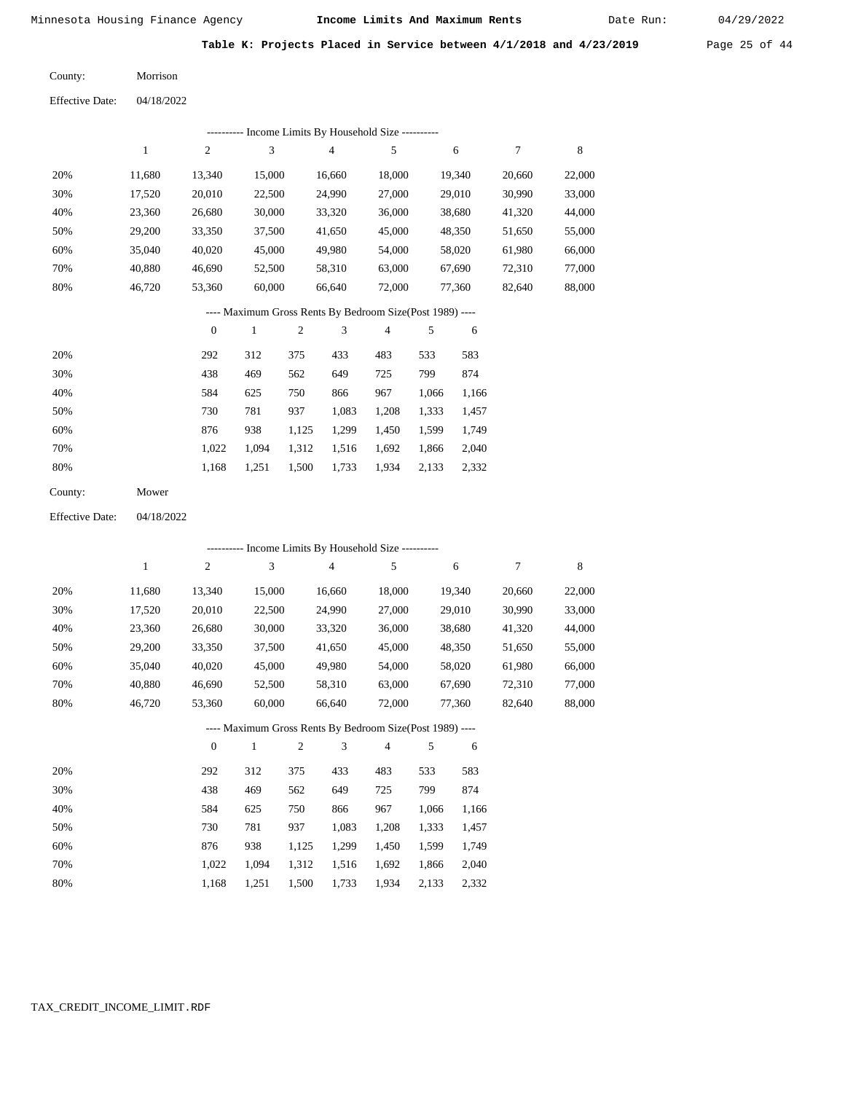Date Run:

Table K: Projects Placed in Service between 4/1/2018 and 4/23/2019 Page 25 of 44

| County: | Morrison |
|---------|----------|
|---------|----------|

04/18/2022 Effective Date:

|     |        |                |        |     | ---------- Income Limits By Household Size ----------    |                |     |        |        |        |
|-----|--------|----------------|--------|-----|----------------------------------------------------------|----------------|-----|--------|--------|--------|
|     | 1      | 2              | 3      |     | $\overline{4}$                                           | 5              |     | 6      | 7      | 8      |
| 20% | 11,680 | 13,340         | 15,000 |     | 16,660                                                   | 18,000         |     | 19,340 | 20,660 | 22,000 |
| 30% | 17,520 | 20,010         | 22,500 |     | 24,990                                                   | 27,000         |     | 29,010 | 30,990 | 33,000 |
| 40% | 23,360 | 26,680         | 30,000 |     | 33,320                                                   | 36,000         |     | 38,680 | 41,320 | 44,000 |
| 50% | 29,200 | 33,350         | 37,500 |     | 41,650                                                   | 45,000         |     | 48.350 | 51,650 | 55,000 |
| 60% | 35,040 | 40,020         | 45,000 |     | 49,980                                                   | 54,000         |     | 58,020 | 61,980 | 66,000 |
| 70% | 40,880 | 46,690         | 52,500 |     | 58,310                                                   | 63,000         |     | 67,690 | 72,310 | 77,000 |
| 80% | 46,720 | 53,360         | 60,000 |     | 66,640                                                   | 72,000         |     | 77,360 | 82,640 | 88,000 |
|     |        |                |        |     | ---- Maximum Gross Rents By Bedroom Size(Post 1989) ---- |                |     |        |        |        |
|     |        | $\overline{0}$ | 1      | 2   | 3                                                        | $\overline{4}$ | 5   | 6      |        |        |
| 20% |        | 292            | 312    | 375 | 433                                                      | 483            | 533 | 583    |        |        |

| 30% | 438   | 469   | 562   | 649   | 725   | 799   | 874   |
|-----|-------|-------|-------|-------|-------|-------|-------|
| 40% | 584   | 625   | 750   | 866   | 967   | 1.066 | 1,166 |
| 50% | 730   | 781   | 937   | 1,083 | 1,208 | 1,333 | 1,457 |
| 60% | 876   | 938   | 1.125 | 1.299 | 1.450 | 1.599 | 1,749 |
| 70% | 1.022 | 1.094 | 1.312 | 1.516 | 1,692 | 1,866 | 2,040 |
| 80% | 1.168 | 1.251 | 1,500 | 1,733 | 1,934 | 2,133 | 2,332 |
|     |       |       |       |       |       |       |       |

| County: | Mower |
|---------|-------|
|---------|-------|

04/18/2022 Effective Date:

|     |              |                |        |                | ---------- Income Limits By Household Size ----------    |                |       |        |        |        |
|-----|--------------|----------------|--------|----------------|----------------------------------------------------------|----------------|-------|--------|--------|--------|
|     | $\mathbf{1}$ | $\overline{c}$ | 3      |                | $\overline{4}$                                           | 5              |       | 6      | 7      | 8      |
| 20% | 11,680       | 13,340         | 15,000 |                | 16,660                                                   | 18,000         |       | 19,340 | 20,660 | 22,000 |
| 30% | 17,520       | 20,010         | 22,500 |                | 24,990                                                   | 27,000         |       | 29,010 | 30,990 | 33,000 |
| 40% | 23,360       | 26,680         | 30,000 |                | 33,320                                                   | 36,000         |       | 38,680 | 41,320 | 44,000 |
| 50% | 29,200       | 33,350         | 37,500 |                | 41,650                                                   | 45,000         |       | 48,350 | 51,650 | 55,000 |
| 60% | 35,040       | 40,020         | 45,000 |                | 49,980                                                   | 54,000         |       | 58,020 | 61,980 | 66,000 |
| 70% | 40,880       | 46,690         | 52,500 |                | 58,310                                                   | 63,000         |       | 67,690 | 72,310 | 77,000 |
| 80% | 46,720       | 53,360         | 60,000 |                | 66,640                                                   | 72,000         |       | 77,360 | 82,640 | 88,000 |
|     |              |                |        |                | ---- Maximum Gross Rents By Bedroom Size(Post 1989) ---- |                |       |        |        |        |
|     |              | $\mathbf{0}$   | 1      | $\mathfrak{2}$ | 3                                                        | $\overline{4}$ | 5     | 6      |        |        |
| 20% |              | 292            | 312    | 375            | 433                                                      | 483            | 533   | 583    |        |        |
| 30% |              | 438            | 469    | 562            | 649                                                      | 725            | 799   | 874    |        |        |
| 40% |              | 584            | 625    | 750            | 866                                                      | 967            | 1,066 | 1,166  |        |        |
| 50% |              | 730            | 781    | 937            | 1,083                                                    | 1,208          | 1,333 | 1,457  |        |        |
| 60% |              | 876            | 938    | 1,125          | 1,299                                                    | 1,450          | 1,599 | 1,749  |        |        |

1,500

1,733

1,312 1,516 1,692 1,866 2,040

1,934 2,133 2,332

 1,022 1,094 1,168 1,251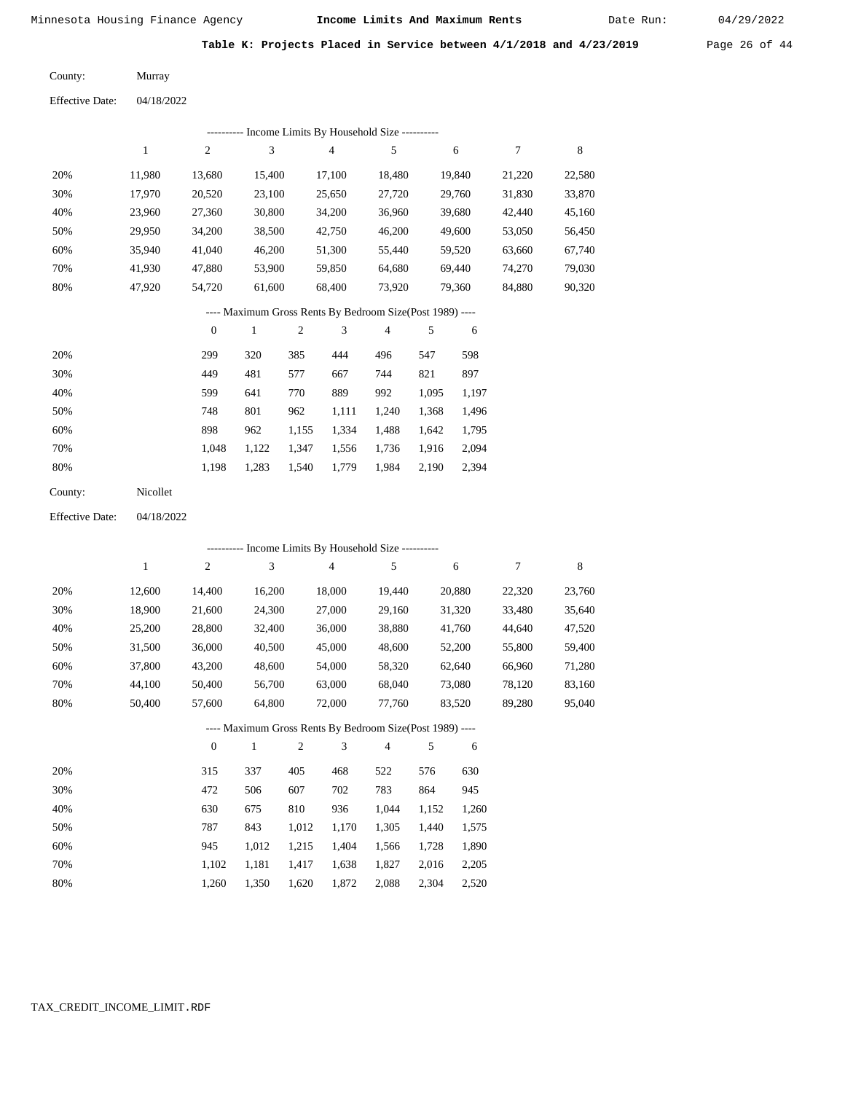Date Run:

Table K: Projects Placed in Service between 4/1/2018 and 4/23/2019 Page 26 of 44

Murray County:

04/18/2022 Effective Date:

|     |        |        |        | ---------- Income Limits By Household Size ----------                                                                                                                                                                                                                                                                              |        |        |        |        |
|-----|--------|--------|--------|------------------------------------------------------------------------------------------------------------------------------------------------------------------------------------------------------------------------------------------------------------------------------------------------------------------------------------|--------|--------|--------|--------|
|     |        | 2      | 3      | 4                                                                                                                                                                                                                                                                                                                                  | 5      | 6      | 7      | 8      |
| 20% | 11.980 | 13,680 | 15,400 | 17,100                                                                                                                                                                                                                                                                                                                             | 18.480 | 19.840 | 21.220 | 22,580 |
| 30% | 17,970 | 20,520 | 23,100 | 25,650                                                                                                                                                                                                                                                                                                                             | 27,720 | 29,760 | 31,830 | 33,870 |
| 40% | 23.960 | 27.360 | 30,800 | 34,200                                                                                                                                                                                                                                                                                                                             | 36,960 | 39,680 | 42,440 | 45,160 |
| 50% | 29.950 | 34,200 | 38,500 | 42,750                                                                                                                                                                                                                                                                                                                             | 46,200 | 49,600 | 53,050 | 56,450 |
| 60% | 35.940 | 41,040 | 46,200 | 51,300                                                                                                                                                                                                                                                                                                                             | 55.440 | 59,520 | 63.660 | 67,740 |
| 70% | 41.930 | 47,880 | 53,900 | 59,850                                                                                                                                                                                                                                                                                                                             | 64,680 | 69.440 | 74,270 | 79,030 |
| 80% | 47.920 | 54.720 | 61,600 | 68,400                                                                                                                                                                                                                                                                                                                             | 73,920 | 79.360 | 84,880 | 90,320 |
|     |        |        |        | $\mathbf{M}$ $\mathbf{A}$ $\mathbf{A}$ $\mathbf{A}$ $\mathbf{A}$ $\mathbf{A}$ $\mathbf{A}$ $\mathbf{A}$ $\mathbf{A}$ $\mathbf{A}$ $\mathbf{A}$ $\mathbf{A}$ $\mathbf{A}$ $\mathbf{A}$ $\mathbf{A}$ $\mathbf{A}$ $\mathbf{A}$ $\mathbf{A}$ $\mathbf{A}$ $\mathbf{A}$ $\mathbf{A}$ $\mathbf{A}$ $\mathbf{A}$ $\mathbf{A}$ $\mathbf{$ |        |        |        |        |

#### ---- Maximum Gross Rents By Bedroom Size(Post 1989) ----

|     | $\mathbf{0}$ |       | $\overline{c}$ | 3     | 4     | 5     | 6     |
|-----|--------------|-------|----------------|-------|-------|-------|-------|
| 20% | 299          | 320   | 385            | 444   | 496   | 547   | 598   |
| 30% | 449          | 481   | 577            | 667   | 744   | 821   | 897   |
| 40% | 599          | 641   | 770            | 889   | 992   | 1.095 | 1,197 |
| 50% | 748          | 801   | 962            | 1,111 | 1,240 | 1,368 | 1,496 |
| 60% | 898          | 962   | 1,155          | 1,334 | 1,488 | 1,642 | 1,795 |
| 70% | 1.048        | 1,122 | 1,347          | 1,556 | 1,736 | 1,916 | 2,094 |
| 80% | 1,198        | 1,283 | 1,540          | 1,779 | 1,984 | 2,190 | 2,394 |
|     |              |       |                |       |       |       |       |

| County: | Nicollet |
|---------|----------|
|---------|----------|

04/18/2022 Effective Date:

|     |        |              |              |                |                | ---------- Income Limits By Household Size ----------    |       |        |        |        |
|-----|--------|--------------|--------------|----------------|----------------|----------------------------------------------------------|-------|--------|--------|--------|
|     | 1      | 2            | 3            |                | $\overline{4}$ | 5                                                        |       | 6      | $\tau$ | 8      |
| 20% | 12,600 | 14,400       | 16,200       |                | 18,000         | 19,440                                                   |       | 20,880 | 22,320 | 23,760 |
| 30% | 18,900 | 21,600       | 24,300       |                | 27,000         | 29,160                                                   |       | 31,320 | 33,480 | 35,640 |
| 40% | 25,200 | 28,800       | 32,400       |                | 36,000         | 38,880                                                   |       | 41,760 | 44,640 | 47,520 |
| 50% | 31,500 | 36,000       | 40,500       |                | 45,000         | 48,600                                                   |       | 52,200 | 55,800 | 59,400 |
| 60% | 37,800 | 43,200       | 48,600       |                | 54,000         | 58,320                                                   |       | 62,640 | 66,960 | 71,280 |
| 70% | 44,100 | 50,400       | 56,700       |                | 63,000         | 68,040                                                   |       | 73,080 | 78,120 | 83,160 |
| 80% | 50,400 | 57,600       | 64,800       |                | 72,000         | 77,760                                                   |       | 83,520 | 89,280 | 95,040 |
|     |        |              |              |                |                | ---- Maximum Gross Rents By Bedroom Size(Post 1989) ---- |       |        |        |        |
|     |        | $\mathbf{0}$ | $\mathbf{1}$ | $\mathfrak{2}$ | 3              | $\overline{4}$                                           | 5     | 6      |        |        |
| 20% |        | 315          | 337          | 405            | 468            | 522                                                      | 576   | 630    |        |        |
| 30% |        | 472          | 506          | 607            | 702            | 783                                                      | 864   | 945    |        |        |
| 40% |        | 630          | 675          | 810            | 936            | 1,044                                                    | 1,152 | 1,260  |        |        |
| 50% |        | 787          | 843          | 1,012          | 1,170          | 1,305                                                    | 1,440 | 1,575  |        |        |
| 60% |        | 945          | 1,012        | 1,215          | 1,404          | 1,566                                                    | 1,728 | 1,890  |        |        |

1,417 1,638 1,827

1,872 2,088

 2,016 2,205 2,304

2,520

1,620

 1,102 1,181 1,260 1,350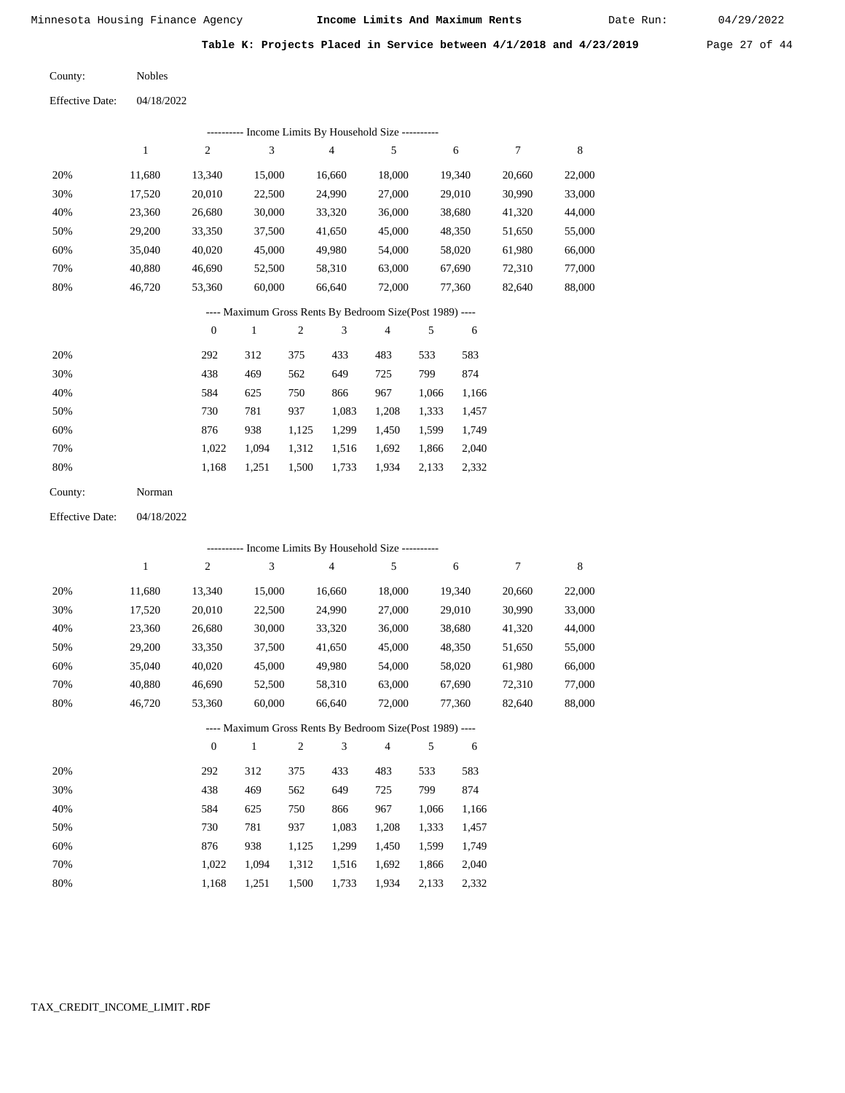Date Run:

Table K: Projects Placed in Service between 4/1/2018 and 4/23/2019 Page 27 of 44

Nobles County:

04/18/2022 Effective Date:

|     | Income Limits By Household Size ---------- |        |        |        |        |        |        |        |  |  |  |  |
|-----|--------------------------------------------|--------|--------|--------|--------|--------|--------|--------|--|--|--|--|
|     |                                            | 2      | 3      | 4      | 5      | 6      |        | 8      |  |  |  |  |
| 20% | 11,680                                     | 13,340 | 15,000 | 16,660 | 18,000 | 19,340 | 20,660 | 22,000 |  |  |  |  |
| 30% | 17.520                                     | 20,010 | 22,500 | 24,990 | 27,000 | 29,010 | 30,990 | 33,000 |  |  |  |  |
| 40% | 23,360                                     | 26,680 | 30,000 | 33,320 | 36,000 | 38,680 | 41,320 | 44,000 |  |  |  |  |
| 50% | 29,200                                     | 33,350 | 37,500 | 41,650 | 45,000 | 48,350 | 51,650 | 55,000 |  |  |  |  |
| 60% | 35,040                                     | 40,020 | 45,000 | 49,980 | 54,000 | 58,020 | 61,980 | 66,000 |  |  |  |  |
| 70% | 40,880                                     | 46,690 | 52,500 | 58,310 | 63,000 | 67,690 | 72,310 | 77,000 |  |  |  |  |
| 80% | 46,720                                     | 53,360 | 60,000 | 66,640 | 72,000 | 77,360 | 82,640 | 88,000 |  |  |  |  |
|     |                                            |        |        |        |        |        |        |        |  |  |  |  |

### ---- Maximum Gross Rents By Bedroom Size(Post 1989) ----

|     | $\overline{0}$ |       | $\overline{c}$ | 3     | 4     | 5     | 6     |
|-----|----------------|-------|----------------|-------|-------|-------|-------|
| 20% | 292            | 312   | 375            | 433   | 483   | 533   | 583   |
| 30% | 438            | 469   | 562            | 649   | 725   | 799   | 874   |
| 40% | 584            | 625   | 750            | 866   | 967   | 1,066 | 1,166 |
| 50% | 730            | 781   | 937            | 1,083 | 1,208 | 1,333 | 1,457 |
| 60% | 876            | 938   | 1,125          | 1,299 | 1,450 | 1,599 | 1,749 |
| 70% | 1.022          | 1.094 | 1,312          | 1,516 | 1,692 | 1,866 | 2,040 |
| 80% | 1,168          | 1,251 | 1,500          | 1,733 | 1,934 | 2,133 | 2,332 |

| County: | Norman |
|---------|--------|
|---------|--------|

04/18/2022 Effective Date:

|                                                          |        |                  |              |                |        | ---------- Income Limits By Household Size ---------- |       |        |        |             |
|----------------------------------------------------------|--------|------------------|--------------|----------------|--------|-------------------------------------------------------|-------|--------|--------|-------------|
|                                                          | 1      | $\boldsymbol{2}$ | 3            |                | 4      | 5                                                     |       | 6      | 7      | $\,$ 8 $\,$ |
| 20%                                                      | 11,680 | 13,340           | 15,000       |                | 16,660 | 18,000                                                |       | 19,340 | 20,660 | 22,000      |
| 30%                                                      | 17,520 | 20,010           | 22,500       |                | 24,990 | 27,000                                                |       | 29,010 | 30,990 | 33,000      |
| 40%                                                      | 23,360 | 26,680           | 30,000       |                | 33,320 | 36,000                                                |       | 38,680 | 41,320 | 44,000      |
| 50%                                                      | 29,200 | 33,350           | 37,500       |                | 41,650 | 45,000                                                |       | 48,350 | 51,650 | 55,000      |
| 60%                                                      | 35,040 | 40,020           | 45,000       |                | 49,980 | 54,000                                                |       | 58,020 | 61,980 | 66,000      |
| 70%                                                      | 40,880 | 46,690           | 52,500       |                | 58,310 | 63,000                                                |       | 67,690 | 72,310 | 77,000      |
| 80%                                                      | 46,720 | 53,360           | 60,000       |                | 66,640 | 72,000                                                |       | 77,360 | 82,640 | 88,000      |
| ---- Maximum Gross Rents By Bedroom Size(Post 1989) ---- |        |                  |              |                |        |                                                       |       |        |        |             |
|                                                          |        | $\overline{0}$   | $\mathbf{1}$ | $\overline{2}$ | 3      | $\overline{4}$                                        | 5     | 6      |        |             |
| 20%                                                      |        | 292              | 312          | 375            | 433    | 483                                                   | 533   | 583    |        |             |
| 30%                                                      |        | 438              | 469          | 562            | 649    | 725                                                   | 799   | 874    |        |             |
| 40%                                                      |        | 584              | 625          | 750            | 866    | 967                                                   | 1,066 | 1,166  |        |             |
| 50%                                                      |        | 730              | 781          | 937            | 1,083  | 1,208                                                 | 1,333 | 1,457  |        |             |
| 60%                                                      |        | 876              | 938          | 1,125          | 1,299  | 1,450                                                 | 1,599 | 1,749  |        |             |
| 70%                                                      |        | 1,022            | 1,094        | 1,312          | 1,516  | 1,692                                                 | 1,866 | 2,040  |        |             |

1,733

1,934

2,133

2,332

1,168

1,251

1,500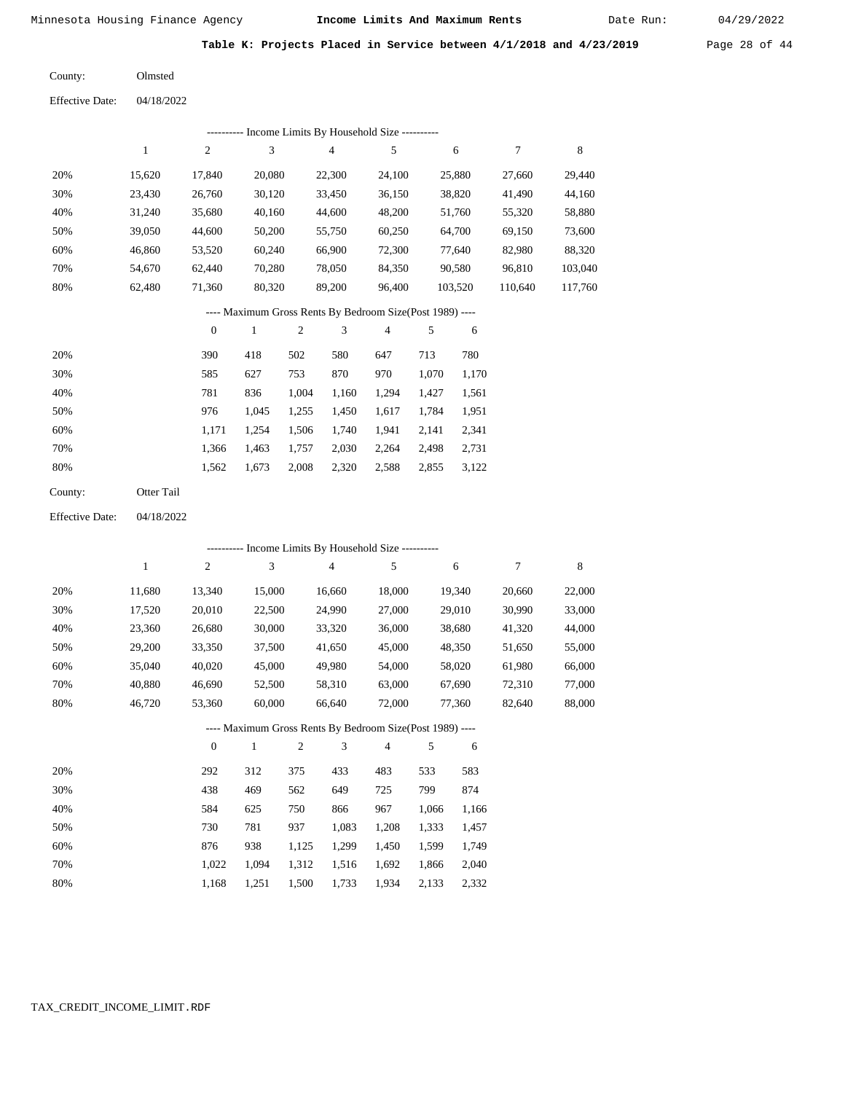Date Run:

Table K: Projects Placed in Service between  $4/1/2018$  and  $4/23/2019$  Page 28 of 44

Olmsted County:

04/18/2022 Effective Date:

|     | ---------- Income Limits By Household Size ---------- |        |        |        |        |         |         |         |  |  |  |  |  |
|-----|-------------------------------------------------------|--------|--------|--------|--------|---------|---------|---------|--|--|--|--|--|
|     |                                                       | 2      | 3      | 4      | 5      | 6       |         | 8       |  |  |  |  |  |
| 20% | 15,620                                                | 17,840 | 20,080 | 22,300 | 24,100 | 25,880  | 27.660  | 29,440  |  |  |  |  |  |
| 30% | 23,430                                                | 26,760 | 30,120 | 33,450 | 36,150 | 38,820  | 41,490  | 44,160  |  |  |  |  |  |
| 40% | 31,240                                                | 35,680 | 40,160 | 44,600 | 48,200 | 51,760  | 55,320  | 58,880  |  |  |  |  |  |
| 50% | 39,050                                                | 44,600 | 50,200 | 55,750 | 60,250 | 64,700  | 69,150  | 73,600  |  |  |  |  |  |
| 60% | 46,860                                                | 53,520 | 60,240 | 66,900 | 72,300 | 77,640  | 82,980  | 88,320  |  |  |  |  |  |
| 70% | 54.670                                                | 62,440 | 70,280 | 78,050 | 84,350 | 90,580  | 96,810  | 103,040 |  |  |  |  |  |
| 80% | 62,480                                                | 71,360 | 80,320 | 89,200 | 96,400 | 103,520 | 110,640 | 117,760 |  |  |  |  |  |
|     |                                                       |        |        |        |        |         |         |         |  |  |  |  |  |

### ---- Maximum Gross Rents By Bedroom Size(Post 1989) ----

|     | $\mathbf{0}$ |       | 2     | 3     | 4     | 5     | 6     |
|-----|--------------|-------|-------|-------|-------|-------|-------|
| 20% | 390          | 418   | 502   | 580   | 647   | 713   | 780   |
| 30% | 585          | 627   | 753   | 870   | 970   | 1,070 | 1,170 |
| 40% | 781          | 836   | 1,004 | 1,160 | 1,294 | 1,427 | 1,561 |
| 50% | 976          | 1,045 | 1,255 | 1,450 | 1,617 | 1,784 | 1,951 |
| 60% | 1,171        | 1.254 | 1,506 | 1,740 | 1,941 | 2,141 | 2,341 |
| 70% | 1,366        | 1,463 | 1,757 | 2,030 | 2,264 | 2,498 | 2,731 |
| 80% | 1,562        | 1,673 | 2,008 | 2,320 | 2,588 | 2,855 | 3,122 |
|     |              |       |       |       |       |       |       |

| County: | Otter Tail |
|---------|------------|
|---------|------------|

04/18/2022 Effective Date:

|     | ---------- Income Limits By Household Size ---------- |                |              |                |                                                          |                |       |        |        |        |  |  |
|-----|-------------------------------------------------------|----------------|--------------|----------------|----------------------------------------------------------|----------------|-------|--------|--------|--------|--|--|
|     | $\mathbf{1}$                                          | $\overline{c}$ | 3            |                | $\overline{4}$                                           | 5              |       | 6      | 7      | 8      |  |  |
| 20% | 11,680                                                | 13,340         | 15,000       |                | 16,660                                                   | 18,000         |       | 19,340 | 20,660 | 22,000 |  |  |
| 30% | 17,520                                                | 20,010         | 22,500       |                | 24,990                                                   | 27,000         |       | 29,010 | 30,990 | 33,000 |  |  |
| 40% | 23,360                                                | 26,680         | 30,000       |                | 33,320                                                   | 36,000         |       | 38,680 | 41,320 | 44,000 |  |  |
| 50% | 29,200                                                | 33,350         | 37,500       |                | 41,650                                                   | 45,000         |       | 48,350 | 51,650 | 55,000 |  |  |
| 60% | 35,040                                                | 40,020         | 45,000       |                | 49,980                                                   | 54,000         |       | 58,020 | 61,980 | 66,000 |  |  |
| 70% | 40,880                                                | 46,690         | 52,500       |                | 58,310                                                   | 63,000         |       | 67,690 | 72,310 | 77,000 |  |  |
| 80% | 46,720                                                | 53,360         | 60,000       |                | 66,640                                                   | 72,000         |       | 77,360 | 82,640 | 88,000 |  |  |
|     |                                                       |                |              |                | ---- Maximum Gross Rents By Bedroom Size(Post 1989) ---- |                |       |        |        |        |  |  |
|     |                                                       | $\mathbf{0}$   | $\mathbf{1}$ | $\mathfrak{2}$ | 3                                                        | $\overline{4}$ | 5     | 6      |        |        |  |  |
| 20% |                                                       | 292            | 312          | 375            | 433                                                      | 483            | 533   | 583    |        |        |  |  |
| 30% |                                                       | 438            | 469          | 562            | 649                                                      | 725            | 799   | 874    |        |        |  |  |
| 40% |                                                       | 584            | 625          | 750            | 866                                                      | 967            | 1,066 | 1,166  |        |        |  |  |
| 50% |                                                       | 730            | 781          | 937            | 1,083                                                    | 1,208          | 1,333 | 1,457  |        |        |  |  |
| 60% |                                                       | 876            | 938          | 1,125          | 1,299                                                    | 1,450          | 1,599 | 1,749  |        |        |  |  |

 1,022 1,168  1,094 1,251  1,312 1,500  1,516 1,733

 1,692 1,934  1,866 2,133

 2,040 2,332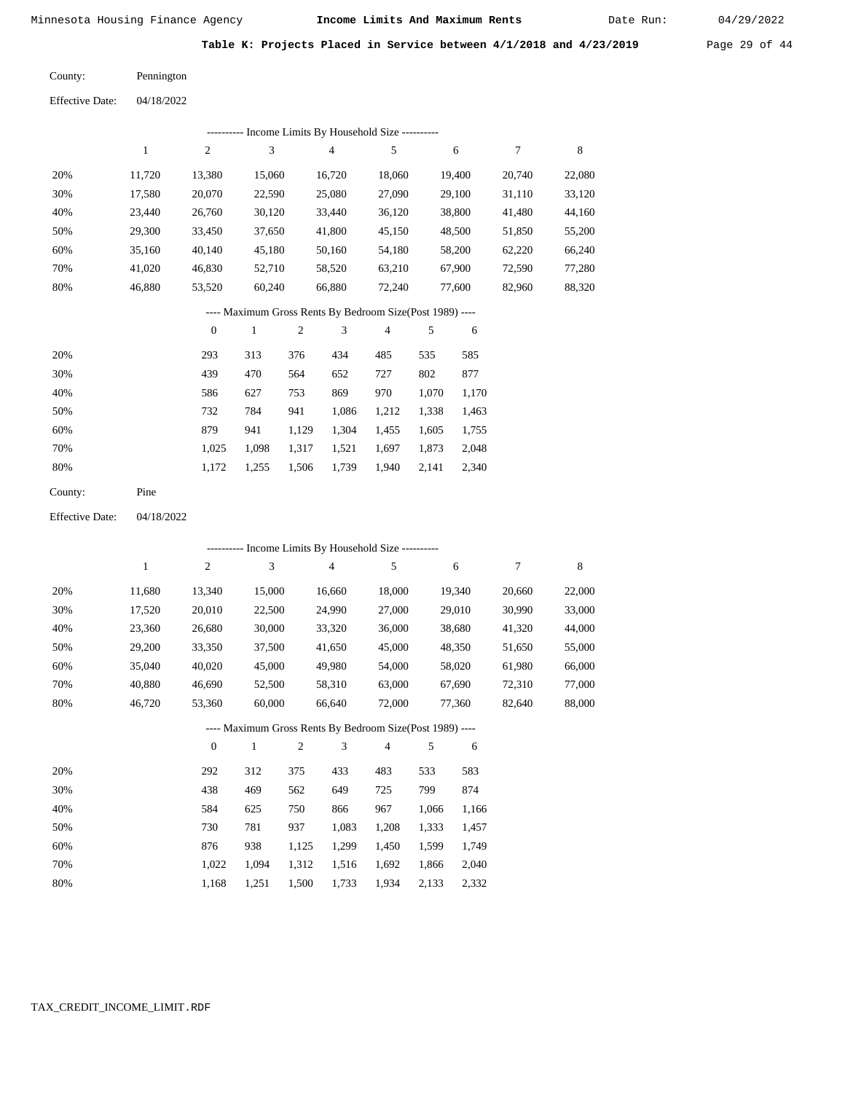Date Run:

Table K: Projects Placed in Service between 4/1/2018 and 4/23/2019 Page 29 of 44

Pennington County:

04/18/2022 Effective Date:

|     | Income Limits By Household Size ---------- |        |        |        |        |        |        |        |  |  |  |  |  |
|-----|--------------------------------------------|--------|--------|--------|--------|--------|--------|--------|--|--|--|--|--|
|     |                                            | 2      | 3      | 4      |        | 6      |        | 8      |  |  |  |  |  |
| 20% | 11.720                                     | 13,380 | 15,060 | 16,720 | 18.060 | 19.400 | 20,740 | 22,080 |  |  |  |  |  |
| 30% | 17,580                                     | 20,070 | 22,590 | 25,080 | 27,090 | 29,100 | 31,110 | 33,120 |  |  |  |  |  |
| 40% | 23,440                                     | 26,760 | 30,120 | 33,440 | 36,120 | 38,800 | 41,480 | 44,160 |  |  |  |  |  |
| 50% | 29,300                                     | 33,450 | 37,650 | 41,800 | 45,150 | 48,500 | 51,850 | 55,200 |  |  |  |  |  |
| 60% | 35,160                                     | 40,140 | 45,180 | 50,160 | 54,180 | 58,200 | 62,220 | 66,240 |  |  |  |  |  |
| 70% | 41.020                                     | 46.830 | 52,710 | 58,520 | 63,210 | 67,900 | 72.590 | 77,280 |  |  |  |  |  |
| 80% | 46.880                                     | 53,520 | 60,240 | 66,880 | 72,240 | 77,600 | 82,960 | 88,320 |  |  |  |  |  |

### ---- Maximum Gross Rents By Bedroom Size(Post 1989) ----

|     | $\mathbf{0}$ |       | $\overline{c}$ | 3     | $\overline{4}$ | 5     | 6     |
|-----|--------------|-------|----------------|-------|----------------|-------|-------|
| 20% | 293          | 313   | 376            | 434   | 485            | 535   | 585   |
| 30% | 439          | 470   | 564            | 652   | 727            | 802   | 877   |
| 40% | 586          | 627   | 753            | 869   | 970            | 1,070 | 1,170 |
| 50% | 732          | 784   | 941            | 1,086 | 1,212          | 1,338 | 1,463 |
| 60% | 879          | 941   | 1,129          | 1,304 | 1,455          | 1,605 | 1,755 |
| 70% | 1,025        | 1,098 | 1,317          | 1,521 | 1,697          | 1,873 | 2,048 |
| 80% | 1,172        | 1,255 | 1,506          | 1,739 | 1,940          | 2,141 | 2,340 |
|     |              |       |                |       |                |       |       |

| County:<br>Pine |  |
|-----------------|--|
|-----------------|--|

04/18/2022 Effective Date:

|     |              |                  |        |                |                | ---------- Income Limits By Household Size ----------    |       |        |        |        |
|-----|--------------|------------------|--------|----------------|----------------|----------------------------------------------------------|-------|--------|--------|--------|
|     | $\mathbf{1}$ | $\boldsymbol{2}$ | 3      |                | $\overline{4}$ | 5                                                        |       | 6      | 7      | 8      |
| 20% | 11,680       | 13,340           | 15,000 |                | 16,660         | 18,000                                                   |       | 19,340 | 20,660 | 22,000 |
| 30% | 17,520       | 20,010           | 22,500 |                | 24,990         | 27,000                                                   |       | 29,010 | 30,990 | 33,000 |
| 40% | 23,360       | 26,680           | 30,000 |                | 33,320         | 36,000                                                   |       | 38,680 | 41,320 | 44,000 |
| 50% | 29,200       | 33,350           | 37,500 |                | 41,650         | 45,000                                                   |       | 48,350 | 51,650 | 55,000 |
| 60% | 35,040       | 40,020           | 45,000 |                | 49,980         | 54,000                                                   |       | 58,020 | 61,980 | 66,000 |
| 70% | 40,880       | 46,690           | 52,500 |                | 58,310         | 63,000                                                   |       | 67,690 | 72,310 | 77,000 |
| 80% | 46,720       | 53,360           | 60,000 |                | 66,640         | 72,000                                                   |       | 77,360 | 82,640 | 88,000 |
|     |              |                  |        |                |                | ---- Maximum Gross Rents By Bedroom Size(Post 1989) ---- |       |        |        |        |
|     |              | $\overline{0}$   | 1      | $\overline{2}$ | 3              | 4                                                        | 5     | 6      |        |        |
| 20% |              | 292              | 312    | 375            | 433            | 483                                                      | 533   | 583    |        |        |
| 30% |              | 438              | 469    | 562            | 649            | 725                                                      | 799   | 874    |        |        |
| 40% |              | 584              | 625    | 750            | 866            | 967                                                      | 1,066 | 1,166  |        |        |
| 50% |              | 730              | 781    | 937            | 1,083          | 1,208                                                    | 1,333 | 1,457  |        |        |
| 60% |              | 876              | 938    | 1,125          | 1,299          | 1,450                                                    | 1,599 | 1,749  |        |        |
| 70% |              | 1,022            | 1,094  | 1,312          | 1,516          | 1,692                                                    | 1,866 | 2,040  |        |        |

1,168

1,251

1,500

1,733

1,934 2,133

2,332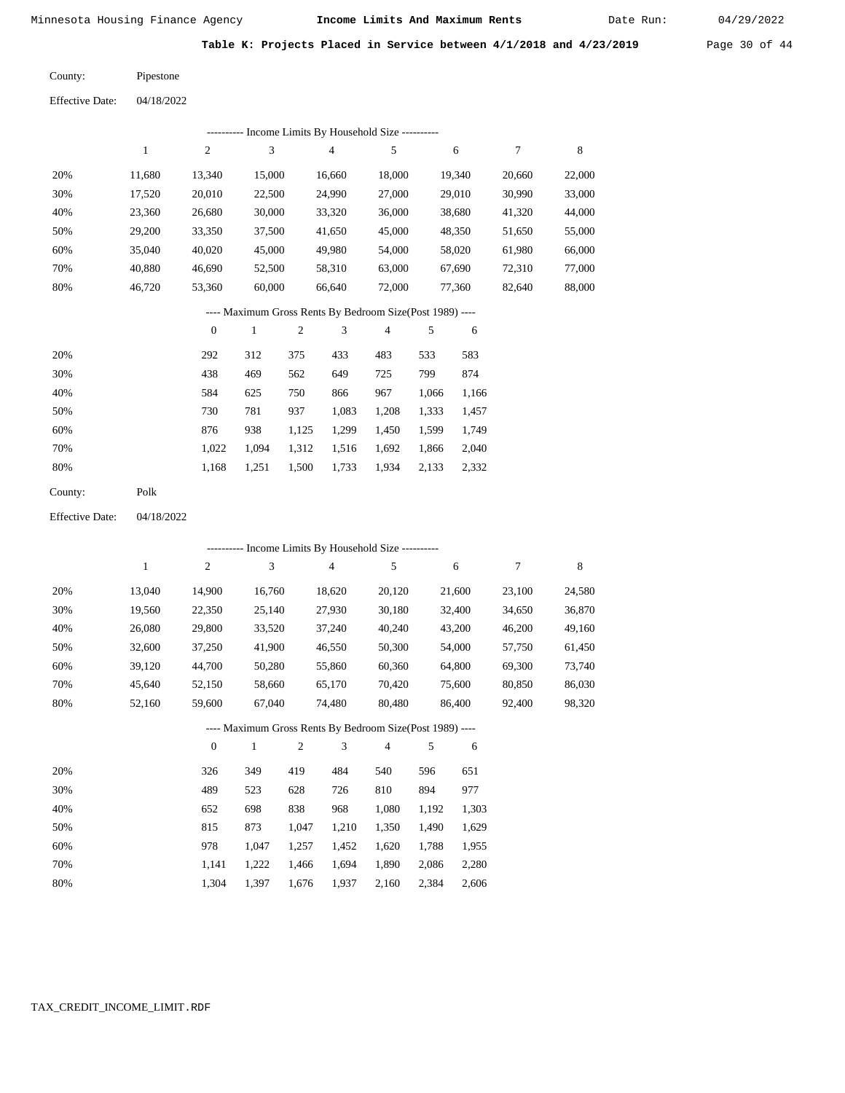Date Run:

Table K: Projects Placed in Service between  $4/1/2018$  and  $4/23/2019$  Page 30 of 44

Pipestone County:

| <b>Effective Date:</b> | 04/18/2022 |
|------------------------|------------|
|------------------------|------------|

|     | ---------- Income Limits By Household Size ---------- |        |        |                |        |        |        |        |  |  |  |  |  |
|-----|-------------------------------------------------------|--------|--------|----------------|--------|--------|--------|--------|--|--|--|--|--|
|     | 1                                                     | 2      | 3      | $\overline{4}$ | 5      | 6      | 7      | 8      |  |  |  |  |  |
| 20% | 11,680                                                | 13,340 | 15,000 | 16,660         | 18,000 | 19,340 | 20,660 | 22,000 |  |  |  |  |  |
| 30% | 17,520                                                | 20,010 | 22,500 | 24,990         | 27,000 | 29,010 | 30,990 | 33,000 |  |  |  |  |  |
| 40% | 23,360                                                | 26,680 | 30,000 | 33,320         | 36,000 | 38,680 | 41,320 | 44,000 |  |  |  |  |  |
| 50% | 29,200                                                | 33,350 | 37,500 | 41,650         | 45,000 | 48,350 | 51,650 | 55,000 |  |  |  |  |  |
| 60% | 35,040                                                | 40,020 | 45,000 | 49,980         | 54,000 | 58,020 | 61,980 | 66,000 |  |  |  |  |  |
| 70% | 40,880                                                | 46,690 | 52,500 | 58,310         | 63,000 | 67,690 | 72,310 | 77,000 |  |  |  |  |  |
| 80% | 46,720                                                | 53,360 | 60,000 | 66,640         | 72,000 | 77,360 | 82,640 | 88,000 |  |  |  |  |  |
|     |                                                       |        |        |                |        |        |        |        |  |  |  |  |  |

### ---- Maximum Gross Rents By Bedroom Size(Post 1989) ----

|     | $\mathbf{0}$ |       | 2     | 3     | 4     | 5     | 6     |
|-----|--------------|-------|-------|-------|-------|-------|-------|
| 20% | 292          | 312   | 375   | 433   | 483   | 533   | 583   |
| 30% | 438          | 469   | 562   | 649   | 725   | 799   | 874   |
| 40% | 584          | 625   | 750   | 866   | 967   | 1,066 | 1,166 |
| 50% | 730          | 781   | 937   | 1,083 | 1,208 | 1,333 | 1,457 |
| 60% | 876          | 938   | 1,125 | 1,299 | 1,450 | 1,599 | 1,749 |
| 70% | 1.022        | 1.094 | 1,312 | 1,516 | 1,692 | 1,866 | 2,040 |
| 80% | 1,168        | 1,251 | 1,500 | 1,733 | 1,934 | 2,133 | 2,332 |
|     |              |       |       |       |       |       |       |

Polk County:

04/18/2022 Effective Date:

|     |        |                  |        |                |        | ---------- Income Limits By Household Size ----------    |       |        |        |        |
|-----|--------|------------------|--------|----------------|--------|----------------------------------------------------------|-------|--------|--------|--------|
|     | 1      | $\boldsymbol{2}$ | 3      |                | 4      | 5                                                        |       | 6      | 7      | 8      |
| 20% | 13,040 | 14,900           | 16,760 |                | 18,620 | 20,120                                                   |       | 21,600 | 23,100 | 24,580 |
| 30% | 19,560 | 22,350           | 25,140 |                | 27,930 | 30,180                                                   |       | 32,400 | 34,650 | 36,870 |
| 40% | 26,080 | 29,800           | 33,520 |                | 37,240 | 40,240                                                   |       | 43,200 | 46,200 | 49,160 |
| 50% | 32,600 | 37,250           | 41,900 |                | 46,550 | 50,300                                                   |       | 54,000 | 57,750 | 61,450 |
| 60% | 39,120 | 44,700           | 50,280 |                | 55,860 | 60,360                                                   |       | 64,800 | 69,300 | 73,740 |
| 70% | 45,640 | 52,150           | 58,660 |                | 65,170 | 70,420                                                   |       | 75,600 | 80,850 | 86,030 |
| 80% | 52,160 | 59,600           | 67,040 |                | 74,480 | 80,480                                                   |       | 86,400 | 92,400 | 98,320 |
|     |        |                  |        |                |        | ---- Maximum Gross Rents By Bedroom Size(Post 1989) ---- |       |        |        |        |
|     |        | $\overline{0}$   | 1      | $\overline{2}$ | 3      | $\overline{4}$                                           | 5     | 6      |        |        |
| 20% |        | 326              | 349    | 419            | 484    | 540                                                      | 596   | 651    |        |        |
| 30% |        | 489              | 523    | 628            | 726    | 810                                                      | 894   | 977    |        |        |
| 40% |        | 652              | 698    | 838            | 968    | 1,080                                                    | 1,192 | 1,303  |        |        |
| 50% |        | 815              | 873    | 1,047          | 1,210  | 1,350                                                    | 1,490 | 1,629  |        |        |
| 60% |        | 978              | 1,047  | 1,257          | 1,452  | 1,620                                                    | 1,788 | 1,955  |        |        |
| 70% |        | 1,141            | 1,222  | 1,466          | 1,694  | 1,890                                                    | 2,086 | 2,280  |        |        |

 1,141 1,304

 1,222 1,397

 1,466 1,676

 1,694 1,937

 1,890 2,160  2,086 2,384  2,280 2,606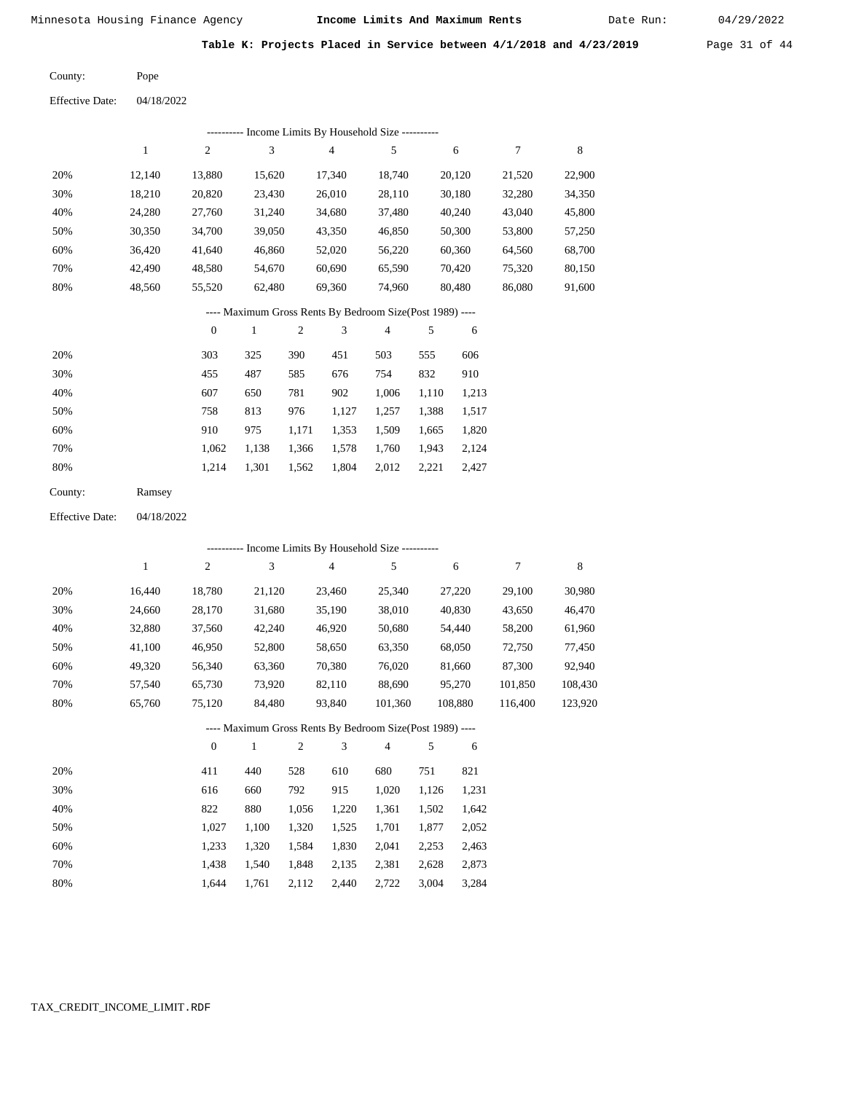Date Run:

Table K: Projects Placed in Service between  $4/1/2018$  and  $4/23/2019$  Page 31 of 44

Pope County:

Effective Date: 04/18/2022

|     |        |                  |              |                | ---------- Income Limits By Household Size ----------    |                |       |        |        |        |
|-----|--------|------------------|--------------|----------------|----------------------------------------------------------|----------------|-------|--------|--------|--------|
|     | 1      | $\overline{2}$   | 3            |                | 4                                                        | 5              |       | 6      | 7      | 8      |
| 20% | 12,140 | 13,880           | 15,620       |                | 17,340                                                   | 18,740         |       | 20,120 | 21,520 | 22,900 |
| 30% | 18,210 | 20,820           | 23,430       |                | 26,010                                                   | 28,110         |       | 30,180 | 32,280 | 34,350 |
| 40% | 24,280 | 27,760           | 31,240       |                | 34,680                                                   | 37,480         |       | 40,240 | 43,040 | 45,800 |
| 50% | 30,350 | 34,700           | 39,050       |                | 43,350                                                   | 46,850         |       | 50,300 | 53,800 | 57,250 |
| 60% | 36,420 | 41,640           | 46,860       |                | 52,020                                                   | 56,220         |       | 60,360 | 64,560 | 68,700 |
| 70% | 42,490 | 48,580           | 54,670       |                | 60,690                                                   | 65,590         |       | 70,420 | 75,320 | 80,150 |
| 80% | 48,560 | 55,520           | 62,480       |                | 69,360                                                   | 74,960         |       | 80,480 | 86,080 | 91,600 |
|     |        |                  |              |                | ---- Maximum Gross Rents By Bedroom Size(Post 1989) ---- |                |       |        |        |        |
|     |        | $\boldsymbol{0}$ | $\mathbf{1}$ | $\overline{c}$ | 3                                                        | $\overline{4}$ | 5     | 6      |        |        |
| 20% |        | 303              | 325          | 390            | 451                                                      | 503            | 555   | 606    |        |        |
| 30% |        | 455              | 487          | 585            | 676                                                      | 754            | 832   | 910    |        |        |
| 40% |        | 607              | 650          | 781            | 902                                                      | 1,006          | 1,110 | 1,213  |        |        |
| 50% |        | 758              | 813          | 976            | 1,127                                                    | 1,257          | 1,388 | 1,517  |        |        |

| 910. |  |  |                                                                                                                                           |
|------|--|--|-------------------------------------------------------------------------------------------------------------------------------------------|
|      |  |  |                                                                                                                                           |
|      |  |  |                                                                                                                                           |
|      |  |  | 975 1,171 1,353 1,509 1,665 1,820<br>1,062 1,138 1,366 1,578 1,760 1,943 2,124<br>$1,214$ $1,301$ $1,562$ $1,804$ $2,012$ $2,221$ $2,427$ |

| County: | Ramsey |
|---------|--------|
|---------|--------|

Effective Date: 04/18/2022

|     | ---------- Income Limits By Household Size ---------- |                |              |     |                |                                                          |     |         |         |         |  |  |  |
|-----|-------------------------------------------------------|----------------|--------------|-----|----------------|----------------------------------------------------------|-----|---------|---------|---------|--|--|--|
|     | 1                                                     | $\overline{c}$ | 3            |     | $\overline{4}$ | 5                                                        |     | 6       | 7       | 8       |  |  |  |
| 20% | 16,440                                                | 18,780         | 21,120       |     | 23,460         | 25,340                                                   |     | 27,220  | 29,100  | 30,980  |  |  |  |
| 30% | 24,660                                                | 28,170         | 31,680       |     | 35,190         | 38,010                                                   |     | 40,830  | 43,650  | 46,470  |  |  |  |
| 40% | 32,880                                                | 37,560         | 42,240       |     | 46,920         | 50,680                                                   |     | 54,440  | 58,200  | 61,960  |  |  |  |
| 50% | 41,100                                                | 46,950         | 52,800       |     | 58,650         | 63,350                                                   |     | 68,050  | 72,750  | 77,450  |  |  |  |
| 60% | 49,320                                                | 56,340         | 63,360       |     | 70,380         | 76,020                                                   |     | 81,660  | 87,300  | 92,940  |  |  |  |
| 70% | 57,540                                                | 65,730         | 73,920       |     | 82,110         | 88,690                                                   |     | 95,270  | 101,850 | 108,430 |  |  |  |
| 80% | 65,760                                                | 75,120         | 84,480       |     | 93,840         | 101,360                                                  |     | 108,880 | 116,400 | 123,920 |  |  |  |
|     |                                                       |                |              |     |                | ---- Maximum Gross Rents By Bedroom Size(Post 1989) ---- |     |         |         |         |  |  |  |
|     |                                                       | $\theta$       | $\mathbf{1}$ | 2   | 3              | $\overline{4}$                                           | 5   | 6       |         |         |  |  |  |
| 20% |                                                       | 411            | 440          | 528 | 610            | 680                                                      | 751 | 821     |         |         |  |  |  |

| 20% | 411   | 440   | 528   | 610   | 680   | 751   | 821   |
|-----|-------|-------|-------|-------|-------|-------|-------|
| 30% | 616   | 660   | 792   | 915   | 1.020 | 1.126 | 1,231 |
| 40% | 822   | 880   | 1.056 | 1.220 | 1.361 | 1.502 | 1,642 |
| 50% | 1.027 | 1.100 | 1.320 | 1,525 | 1,701 | 1,877 | 2,052 |
| 60% | 1.233 | 1.320 | 1.584 | 1,830 | 2.041 | 2.253 | 2,463 |
| 70% | 1.438 | 1.540 | 1.848 | 2,135 | 2.381 | 2.628 | 2,873 |
| 80% | 1.644 | 1.761 | 2,112 | 2.440 | 2,722 | 3,004 | 3.284 |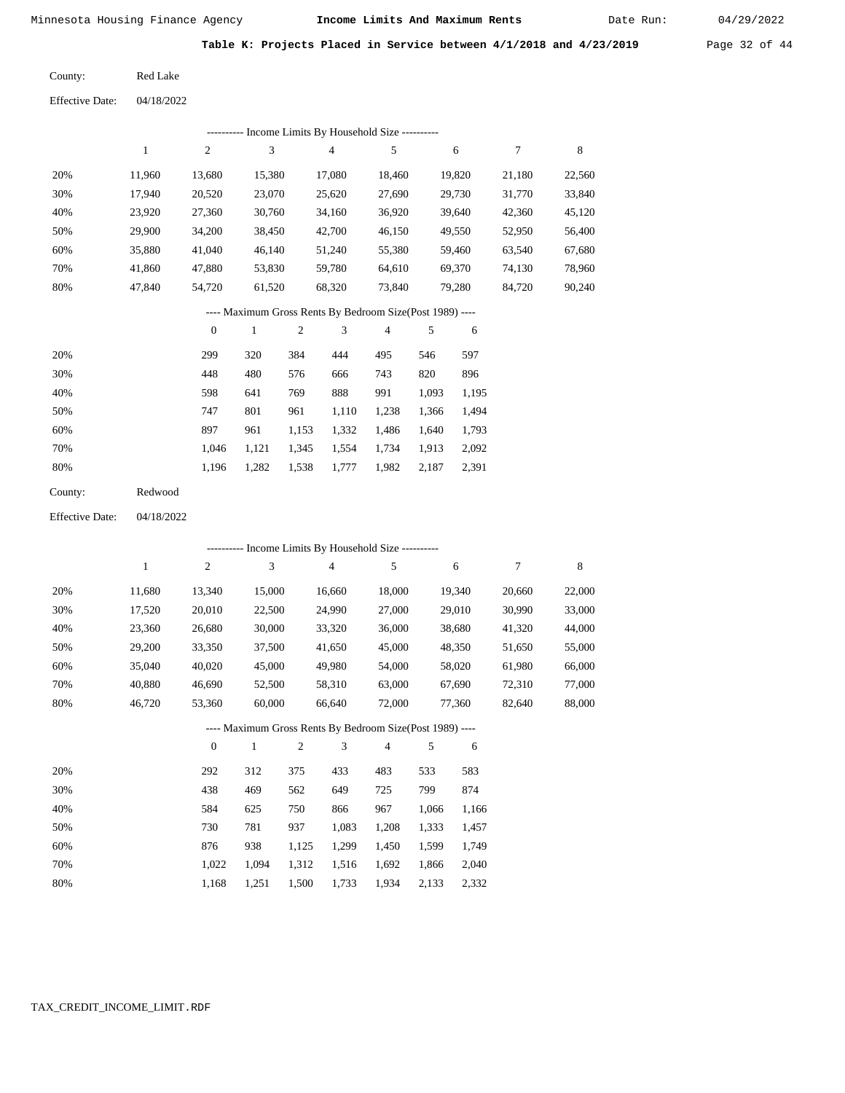Date Run:

Table K: Projects Placed in Service between 4/1/2018 and 4/23/2019 Page 32 of 44

Red Lake County:

04/18/2022 Effective Date:

| ---------- Income Limits By Household Size ---------- |        |                |        |        |        |        |        |        |  |  |  |  |
|-------------------------------------------------------|--------|----------------|--------|--------|--------|--------|--------|--------|--|--|--|--|
|                                                       |        | $\overline{c}$ | 3      | 4      | 5      | 6      |        | 8      |  |  |  |  |
| 20%                                                   | 11.960 | 13,680         | 15,380 | 17,080 | 18.460 | 19,820 | 21,180 | 22,560 |  |  |  |  |
| 30%                                                   | 17.940 | 20,520         | 23,070 | 25,620 | 27,690 | 29,730 | 31,770 | 33,840 |  |  |  |  |
| 40%                                                   | 23,920 | 27,360         | 30,760 | 34,160 | 36,920 | 39,640 | 42,360 | 45,120 |  |  |  |  |
| 50%                                                   | 29,900 | 34,200         | 38,450 | 42,700 | 46,150 | 49,550 | 52,950 | 56,400 |  |  |  |  |
| 60%                                                   | 35,880 | 41,040         | 46,140 | 51,240 | 55,380 | 59,460 | 63,540 | 67,680 |  |  |  |  |
| 70%                                                   | 41.860 | 47,880         | 53,830 | 59,780 | 64,610 | 69,370 | 74,130 | 78,960 |  |  |  |  |
| 80%                                                   | 47,840 | 54,720         | 61,520 | 68,320 | 73,840 | 79,280 | 84,720 | 90,240 |  |  |  |  |

### ---- Maximum Gross Rents By Bedroom Size(Post 1989) ----

|     | $\mathbf{0}$ |       | $\overline{c}$ | 3     | $\overline{4}$ | 5     | 6     |
|-----|--------------|-------|----------------|-------|----------------|-------|-------|
| 20% | 299          | 320   | 384            | 444   | 495            | 546   | 597   |
| 30% | 448          | 480   | 576            | 666   | 743            | 820   | 896   |
| 40% | 598          | 641   | 769            | 888   | 991            | 1,093 | 1,195 |
| 50% | 747          | 801   | 961            | 1,110 | 1,238          | 1,366 | 1,494 |
| 60% | 897          | 961   | 1,153          | 1,332 | 1,486          | 1,640 | 1,793 |
| 70% | 1.046        | 1,121 | 1,345          | 1,554 | 1,734          | 1,913 | 2,092 |
| 80% | 1,196        | 1,282 | 1,538          | 1,777 | 1,982          | 2,187 | 2,391 |
|     |              |       |                |       |                |       |       |

| County: | Redwood |
|---------|---------|
|---------|---------|

04/18/2022 Effective Date:

|     |        |                |              |                |                | - Income Limits By Household Size ----------             |       |        |        |        |
|-----|--------|----------------|--------------|----------------|----------------|----------------------------------------------------------|-------|--------|--------|--------|
|     | 1      | $\overline{c}$ | 3            |                | $\overline{4}$ | 5                                                        |       | 6      | 7      | 8      |
| 20% | 11,680 | 13,340         | 15,000       |                | 16,660         | 18,000                                                   |       | 19,340 | 20,660 | 22,000 |
| 30% | 17,520 | 20,010         | 22,500       |                | 24,990         | 27,000                                                   |       | 29,010 | 30,990 | 33,000 |
| 40% | 23,360 | 26,680         | 30,000       |                | 33,320         | 36,000                                                   |       | 38,680 | 41,320 | 44,000 |
| 50% | 29,200 | 33,350         | 37,500       |                | 41,650         | 45,000                                                   |       | 48,350 | 51,650 | 55,000 |
| 60% | 35,040 | 40,020         | 45,000       |                | 49,980         | 54,000                                                   |       | 58,020 | 61,980 | 66,000 |
| 70% | 40,880 | 46,690         | 52,500       |                | 58,310         | 63,000                                                   |       | 67,690 | 72,310 | 77,000 |
| 80% | 46,720 | 53,360         | 60,000       |                | 66,640         | 72,000                                                   |       | 77,360 | 82,640 | 88,000 |
|     |        |                |              |                |                | ---- Maximum Gross Rents By Bedroom Size(Post 1989) ---- |       |        |        |        |
|     |        | $\overline{0}$ | $\mathbf{1}$ | $\overline{c}$ | 3              | $\overline{4}$                                           | 5     | 6      |        |        |
| 20% |        | 292            | 312          | 375            | 433            | 483                                                      | 533   | 583    |        |        |
| 30% |        | 438            | 469          | 562            | 649            | 725                                                      | 799   | 874    |        |        |
| 40% |        | 584            | 625          | 750            | 866            | 967                                                      | 1,066 | 1,166  |        |        |
| 50% |        | 730            | 781          | 937            | 1,083          | 1,208                                                    | 1,333 | 1,457  |        |        |
| 60% |        | 876            | 938          | 1,125          | 1,299          | 1,450                                                    | 1,599 | 1,749  |        |        |
| 70% |        | 1,022          | 1,094        | 1,312          | 1,516          | 1,692                                                    | 1,866 | 2,040  |        |        |

1,733

1,934

2,133

2,332

1,168

1,251

1,500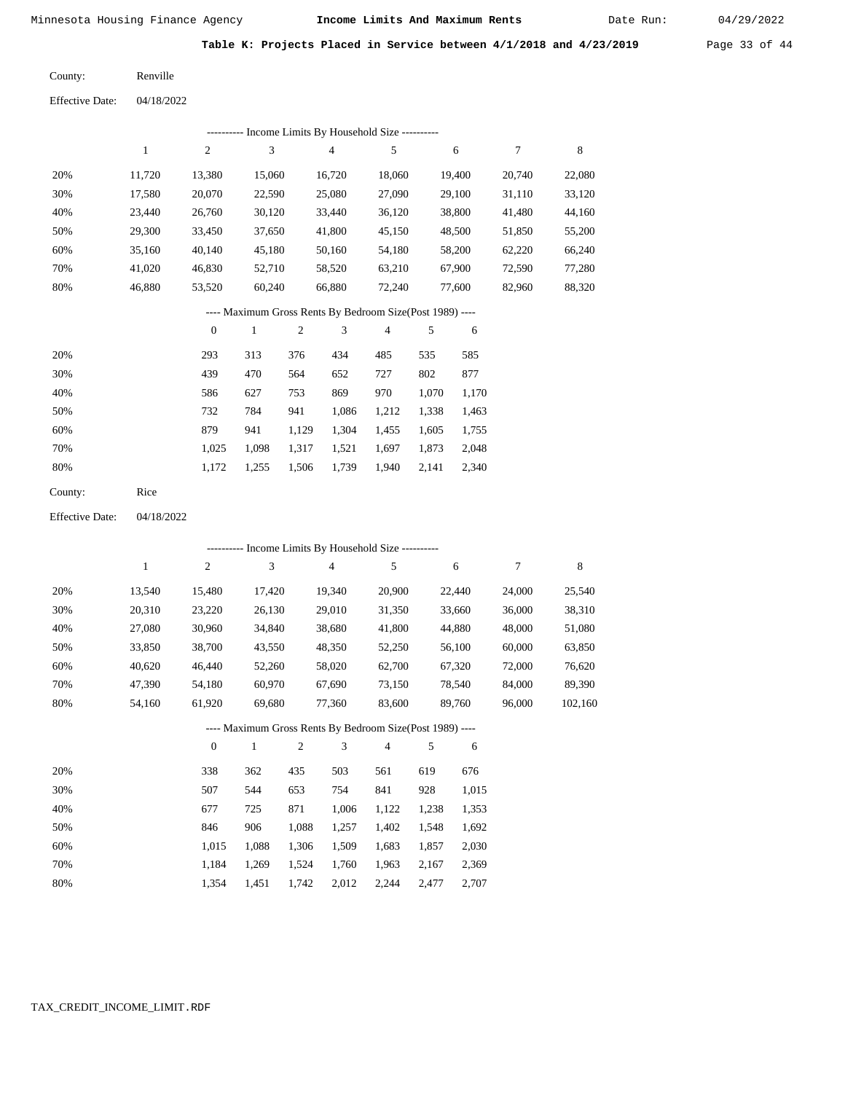Date Run:

Table K: Projects Placed in Service between 4/1/2018 and 4/23/2019 Page 33 of 44

Renville County:

04/18/2022 Effective Date:

| ---------- Income Limits By Household Size ---------- |        |                |        |        |        |        |        |        |  |  |  |
|-------------------------------------------------------|--------|----------------|--------|--------|--------|--------|--------|--------|--|--|--|
|                                                       |        | $\overline{c}$ | 3      | 4      | 5      | 6      |        | 8      |  |  |  |
| 20%                                                   | 11.720 | 13.380         | 15,060 | 16.720 | 18.060 | 19.400 | 20,740 | 22,080 |  |  |  |
| 30%                                                   | 17,580 | 20,070         | 22,590 | 25,080 | 27,090 | 29,100 | 31,110 | 33,120 |  |  |  |
| 40%                                                   | 23.440 | 26,760         | 30,120 | 33,440 | 36,120 | 38,800 | 41,480 | 44,160 |  |  |  |
| 50%                                                   | 29,300 | 33,450         | 37,650 | 41,800 | 45,150 | 48,500 | 51,850 | 55,200 |  |  |  |
| 60%                                                   | 35.160 | 40,140         | 45,180 | 50,160 | 54,180 | 58,200 | 62,220 | 66,240 |  |  |  |
| 70%                                                   | 41,020 | 46,830         | 52,710 | 58,520 | 63,210 | 67,900 | 72,590 | 77,280 |  |  |  |
| 80%                                                   | 46.880 | 53,520         | 60,240 | 66,880 | 72,240 | 77,600 | 82,960 | 88,320 |  |  |  |

### ---- Maximum Gross Rents By Bedroom Size(Post 1989) ----

|     | $\mathbf{0}$ |       | $\overline{2}$ | 3     | 4     | 5     | 6     |
|-----|--------------|-------|----------------|-------|-------|-------|-------|
| 20% | 293          | 313   | 376            | 434   | 485   | 535   | 585   |
| 30% | 439          | 470   | 564            | 652   | 727   | 802   | 877   |
| 40% | 586          | 627   | 753            | 869   | 970   | 1,070 | 1,170 |
| 50% | 732          | 784   | 941            | 1,086 | 1,212 | 1,338 | 1,463 |
| 60% | 879          | 941   | 1,129          | 1,304 | 1,455 | 1,605 | 1,755 |
| 70% | 1,025        | 1,098 | 1,317          | 1,521 | 1,697 | 1,873 | 2,048 |
| 80% | 1,172        | 1,255 | 1,506          | 1,739 | 1,940 | 2,141 | 2,340 |
|     |              |       |                |       |       |       |       |

| County: | Rice |
|---------|------|
|---------|------|

04/18/2022 Effective Date:

|     |        |                  | ---------- Income Limits By Household Size ----------    |                |        |                |       |        |        |         |
|-----|--------|------------------|----------------------------------------------------------|----------------|--------|----------------|-------|--------|--------|---------|
|     | 1      | $\overline{c}$   | 3                                                        |                | 4      | 5              |       | 6      | 7      | 8       |
| 20% | 13,540 | 15,480           | 17,420                                                   |                | 19,340 | 20,900         |       | 22,440 | 24,000 | 25,540  |
| 30% | 20,310 | 23,220           | 26,130                                                   |                | 29,010 | 31,350         |       | 33,660 | 36,000 | 38,310  |
| 40% | 27,080 | 30,960           | 34,840                                                   |                | 38,680 | 41,800         |       | 44,880 | 48,000 | 51,080  |
| 50% | 33,850 | 38,700           | 43,550                                                   |                | 48,350 | 52,250         |       | 56,100 | 60,000 | 63,850  |
| 60% | 40,620 | 46,440           | 52,260                                                   |                | 58,020 | 62,700         |       | 67,320 | 72,000 | 76,620  |
| 70% | 47,390 | 54,180           | 60,970                                                   |                | 67,690 | 73,150         |       | 78,540 | 84,000 | 89,390  |
| 80% | 54,160 | 61,920           | 69,680                                                   |                | 77,360 | 83,600         |       | 89,760 | 96,000 | 102,160 |
|     |        |                  | ---- Maximum Gross Rents By Bedroom Size(Post 1989) ---- |                |        |                |       |        |        |         |
|     |        | $\boldsymbol{0}$ | $\mathbf{1}$                                             | $\overline{2}$ | 3      | $\overline{4}$ | 5     | 6      |        |         |
| 20% |        | 338              | 362                                                      | 435            | 503    | 561            | 619   | 676    |        |         |
| 30% |        | 507              | 544                                                      | 653            | 754    | 841            | 928   | 1,015  |        |         |
| 40% |        | 677              | 725                                                      | 871            | 1,006  | 1,122          | 1,238 | 1,353  |        |         |
| 50% |        | 846              | 906                                                      | 1,088          | 1,257  | 1,402          | 1,548 | 1,692  |        |         |

| 70% |  |  | 1,184 1,269 1,524 1,760 1,963 2,167 2,369 |  |
|-----|--|--|-------------------------------------------|--|
| 80% |  |  | 1,354 1,451 1,742 2,012 2,244 2,477 2,707 |  |

1,306

1,509

1,683

1,857

2,030

1,088

1,015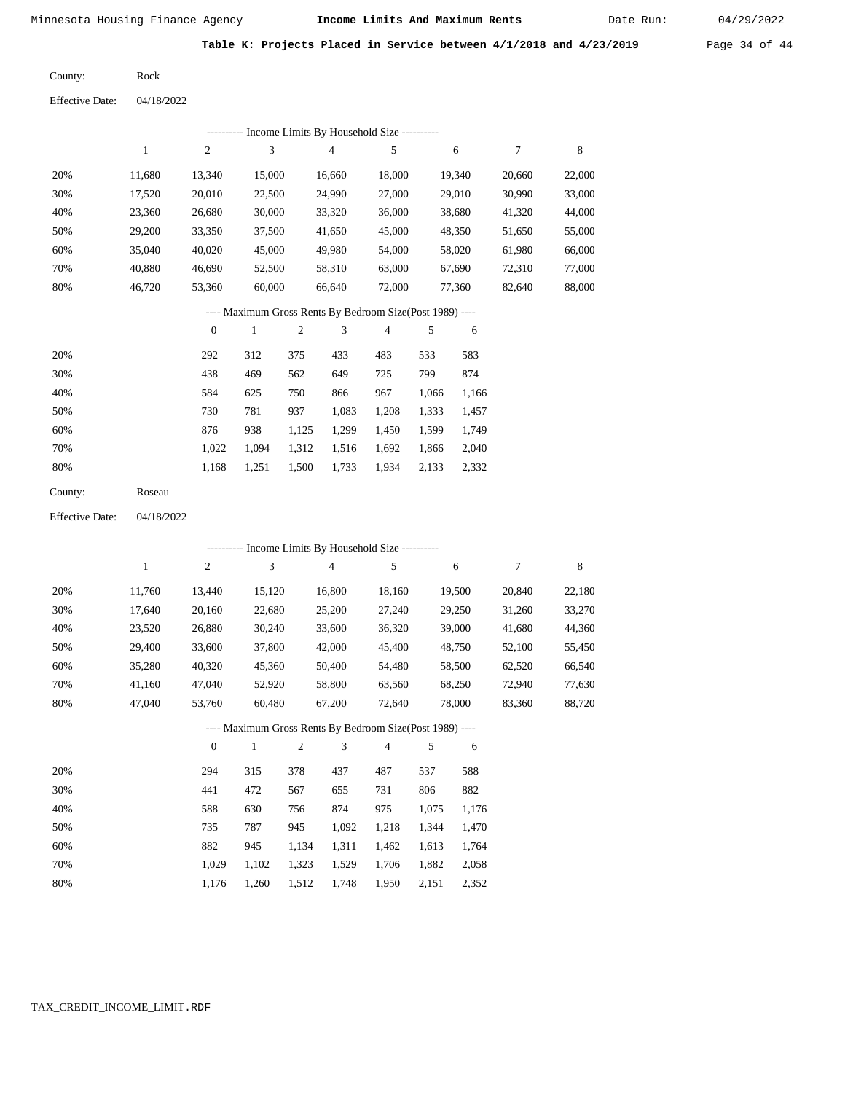Date Run:

Table K: Projects Placed in Service between  $4/1/2018$  and  $4/23/2019$  Page 34 of 44

Rock County:

04/18/2022 Effective Date:

|     | ---------- Income Limits By Household Size ---------- |              |        |     |        |                                                          |      |        |        |        |  |  |
|-----|-------------------------------------------------------|--------------|--------|-----|--------|----------------------------------------------------------|------|--------|--------|--------|--|--|
|     | 1                                                     | 2            | 3      |     | 4      | 5                                                        |      | 6      | 7      | 8      |  |  |
| 20% | 11.680                                                | 13,340       | 15,000 |     | 16,660 | 18,000                                                   |      | 19,340 | 20,660 | 22,000 |  |  |
| 30% | 17,520                                                | 20,010       | 22,500 |     | 24,990 | 27,000                                                   |      | 29,010 | 30,990 | 33,000 |  |  |
| 40% | 23,360                                                | 26,680       | 30,000 |     | 33,320 | 36,000                                                   |      | 38,680 | 41,320 | 44,000 |  |  |
| 50% | 29,200                                                | 33,350       | 37,500 |     | 41,650 | 45,000                                                   |      | 48,350 | 51,650 | 55,000 |  |  |
| 60% | 35,040                                                | 40,020       | 45,000 |     | 49,980 | 54,000                                                   |      | 58,020 | 61,980 | 66,000 |  |  |
| 70% | 40,880                                                | 46,690       | 52,500 |     | 58,310 | 63,000                                                   |      | 67,690 | 72,310 | 77,000 |  |  |
| 80% | 46,720                                                | 53,360       | 60,000 |     | 66,640 | 72,000                                                   |      | 77,360 | 82,640 | 88,000 |  |  |
|     |                                                       |              |        |     |        | ---- Maximum Gross Rents By Bedroom Size(Post 1989) ---- |      |        |        |        |  |  |
|     |                                                       | $\mathbf{0}$ | 1      | 2   | 3      | $\overline{4}$                                           | 5    | 6      |        |        |  |  |
| 20% |                                                       | 292          | 312    | 375 | 433    | 483                                                      | 533. | 583    |        |        |  |  |

| 20% | 292   | 312   | 375   | 433   | 483   | 533   | 583   |
|-----|-------|-------|-------|-------|-------|-------|-------|
| 30% | 438   | 469   | 562   | 649   | 725   | 799   | 874   |
| 40% | 584   | 625   | 750   | 866   | 967   | 1.066 | 1,166 |
| 50% | 730   | 781   | 937   | 1,083 | 1,208 | 1,333 | 1,457 |
| 60% | 876   | 938   | 1,125 | 1.299 | 1,450 | 1,599 | 1,749 |
| 70% | 1.022 | 1.094 | 1.312 | 1,516 | 1,692 | 1.866 | 2,040 |
| 80% | 1.168 | 1.251 | 1,500 | 1,733 | 1,934 | 2,133 | 2,332 |

| County: | Roseau |
|---------|--------|
|---------|--------|

04/18/2022 Effective Date:

|     | ---------- Income Limits By Household Size ---------- |                |              |                |                                                          |                |       |        |        |        |  |  |
|-----|-------------------------------------------------------|----------------|--------------|----------------|----------------------------------------------------------|----------------|-------|--------|--------|--------|--|--|
|     | 1                                                     | $\overline{c}$ | 3            |                | $\overline{4}$                                           | 5              |       | 6      | 7      | 8      |  |  |
| 20% | 11,760                                                | 13,440         | 15,120       |                | 16,800                                                   | 18,160         |       | 19,500 | 20,840 | 22,180 |  |  |
| 30% | 17,640                                                | 20,160         | 22,680       |                | 25,200                                                   | 27,240         |       | 29,250 | 31,260 | 33,270 |  |  |
| 40% | 23,520                                                | 26,880         | 30,240       |                | 33,600                                                   | 36,320         |       | 39,000 | 41,680 | 44,360 |  |  |
| 50% | 29,400                                                | 33,600         | 37,800       |                | 42,000                                                   | 45,400         |       | 48,750 | 52,100 | 55,450 |  |  |
| 60% | 35,280                                                | 40,320         | 45,360       |                | 50,400                                                   | 54,480         |       | 58,500 | 62,520 | 66,540 |  |  |
| 70% | 41,160                                                | 47,040         | 52,920       |                | 58,800                                                   | 63,560         |       | 68,250 | 72,940 | 77,630 |  |  |
| 80% | 47,040                                                | 53,760         | 60,480       |                | 67,200                                                   | 72,640         |       | 78,000 | 83,360 | 88,720 |  |  |
|     |                                                       |                |              |                | ---- Maximum Gross Rents By Bedroom Size(Post 1989) ---- |                |       |        |        |        |  |  |
|     |                                                       | $\theta$       | $\mathbf{1}$ | $\mathfrak{2}$ | 3                                                        | $\overline{4}$ | 5     | 6      |        |        |  |  |
| 20% |                                                       | 294            | 315          | 378            | 437                                                      | 487            | 537   | 588    |        |        |  |  |
| 30% |                                                       | 441            | 472          | 567            | 655                                                      | 731            | 806   | 882    |        |        |  |  |
| 40% |                                                       | 588            | 630          | 756            | 874                                                      | 975            | 1,075 | 1,176  |        |        |  |  |
| 50% |                                                       | 735            | 787          | 945            | 1,092                                                    | 1,218          | 1,344 | 1,470  |        |        |  |  |
| 60% |                                                       | 882            | 945          | 1,134          | 1,311                                                    | 1,462          | 1,613 | 1,764  |        |        |  |  |

1,029 1,102 1,323 1,529 1,706 1,882 2,058

1,260 1,512 1,748 1,950 2,151 2,352

1,176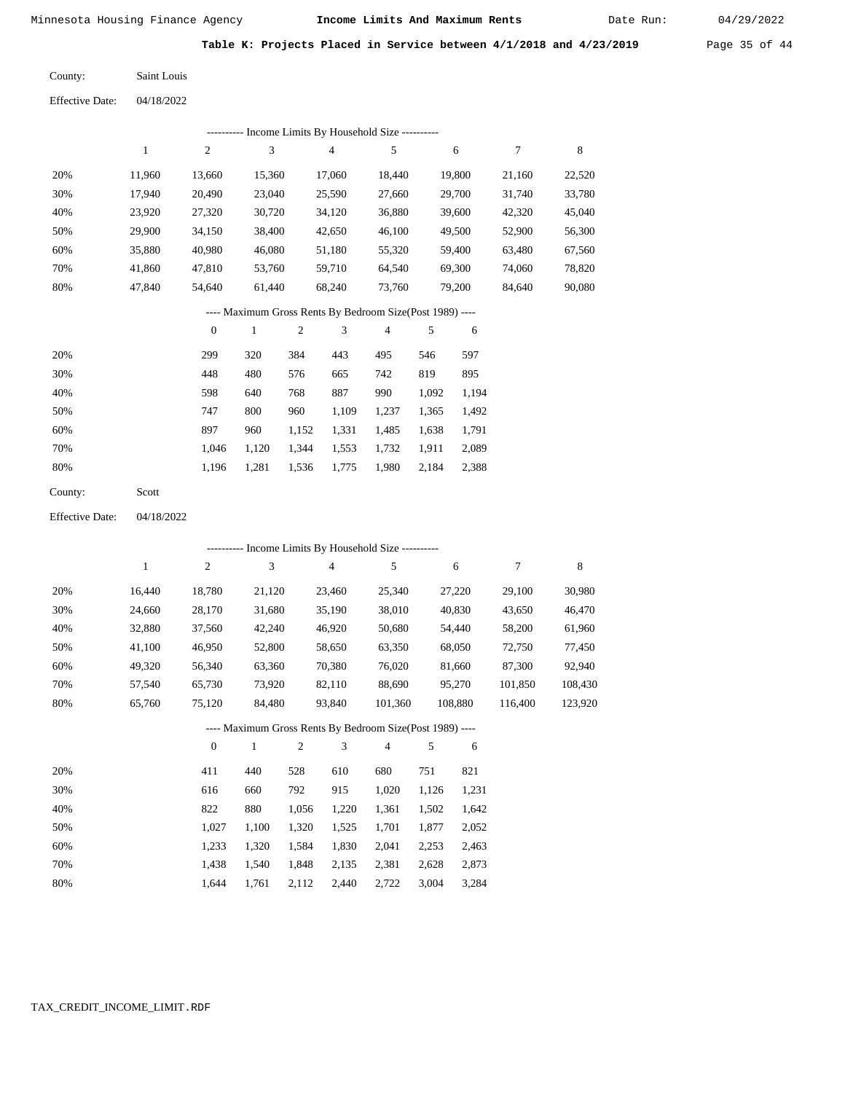Date Run:

Table K: Projects Placed in Service between  $4/1/2018$  and  $4/23/2019$  Page 35 of 44

Saint Louis County:

04/18/2022 Effective Date:

|     |        |                  |        |                | ---------- Income Limits By Household Size ----------    |                |       |        |        |        |
|-----|--------|------------------|--------|----------------|----------------------------------------------------------|----------------|-------|--------|--------|--------|
|     | 1      | $\overline{c}$   | 3      |                | 4                                                        | 5              |       | 6      | 7      | 8      |
| 20% | 11,960 | 13,660           | 15,360 |                | 17,060                                                   | 18,440         |       | 19,800 | 21,160 | 22,520 |
| 30% | 17,940 | 20,490           | 23,040 |                | 25,590                                                   | 27,660         |       | 29,700 | 31,740 | 33,780 |
| 40% | 23,920 | 27,320           | 30,720 |                | 34,120                                                   | 36,880         |       | 39,600 | 42,320 | 45,040 |
| 50% | 29,900 | 34,150           | 38,400 |                | 42,650                                                   | 46,100         |       | 49,500 | 52,900 | 56,300 |
| 60% | 35,880 | 40,980           | 46,080 |                | 51,180                                                   | 55,320         |       | 59,400 | 63,480 | 67,560 |
| 70% | 41,860 | 47,810           | 53,760 |                | 59,710                                                   | 64,540         |       | 69,300 | 74,060 | 78,820 |
| 80% | 47,840 | 54,640           | 61,440 |                | 68,240                                                   | 73,760         |       | 79,200 | 84,640 | 90,080 |
|     |        |                  |        |                | ---- Maximum Gross Rents By Bedroom Size(Post 1989) ---- |                |       |        |        |        |
|     |        | $\boldsymbol{0}$ | 1      | $\overline{c}$ | 3                                                        | $\overline{4}$ | 5     | 6      |        |        |
| 20% |        | 299              | 320    | 384            | 443                                                      | 495            | 546   | 597    |        |        |
| 30% |        | 448              | 480    | 576            | 665                                                      | 742            | 819   | 895    |        |        |
| 40% |        | 598              | 640    | 768            | 887                                                      | 990            | 1,092 | 1,194  |        |        |
| 50% |        | 747              | 800    | 960            | 1,109                                                    | 1,237          | 1,365 | 1,492  |        |        |
| 60% |        | 897              | 960    | 1,152          | 1,331                                                    | 1,485          | 1,638 | 1,791  |        |        |

 1,046 1,120 1,344 1,553 1,732 1,911 2,089 1,196 1,281 1,536 1,775 1,980 2,184 2,388

Scott County:

 70% 80%

04/18/2022 Effective Date:

|     |        |                |        | ---------- Income Limits By Household Size ----------    |                |         |         |         |
|-----|--------|----------------|--------|----------------------------------------------------------|----------------|---------|---------|---------|
|     |        | $\overline{2}$ | 3      | 4                                                        | 5              | 6       | 7       | 8       |
| 20% | 16.440 | 18.780         | 21,120 | 23.460                                                   | 25,340         | 27,220  | 29.100  | 30,980  |
| 30% | 24,660 | 28,170         | 31,680 | 35,190                                                   | 38,010         | 40,830  | 43,650  | 46,470  |
| 40% | 32,880 | 37,560         | 42,240 | 46,920                                                   | 50,680         | 54,440  | 58,200  | 61,960  |
| 50% | 41,100 | 46,950         | 52,800 | 58,650                                                   | 63,350         | 68,050  | 72,750  | 77,450  |
| 60% | 49,320 | 56,340         | 63,360 | 70,380                                                   | 76,020         | 81,660  | 87.300  | 92,940  |
| 70% | 57,540 | 65,730         | 73,920 | 82,110                                                   | 88,690         | 95,270  | 101,850 | 108,430 |
| 80% | 65,760 | 75,120         | 84,480 | 93,840                                                   | 101,360        | 108,880 | 116,400 | 123,920 |
|     |        |                |        | ---- Maximum Gross Rents By Bedroom Size(Post 1989) ---- |                |         |         |         |
|     |        | $\theta$       |        | 3<br>2                                                   | $\overline{4}$ | 5<br>6  |         |         |

|     | $\mathbf{u}$ |       | ∠     |       |       |       | .     |
|-----|--------------|-------|-------|-------|-------|-------|-------|
| 20% | 411          | 440   | 528   | 610   | 680   | 751   | 821   |
| 30% | 616          | 660   | 792   | 915   | 1,020 | 1.126 | 1,231 |
| 40% | 822          | 880   | 1.056 | 1,220 | 1,361 | 1,502 | 1,642 |
| 50% | 1.027        | 1.100 | 1,320 | 1,525 | 1,701 | 1,877 | 2,052 |
| 60% | 1.233        | 1.320 | 1,584 | 1,830 | 2,041 | 2,253 | 2,463 |
| 70% | 1.438        | 1.540 | 1,848 | 2,135 | 2,381 | 2,628 | 2,873 |
| 80% | 1.644        | 1,761 | 2,112 | 2,440 | 2,722 | 3,004 | 3,284 |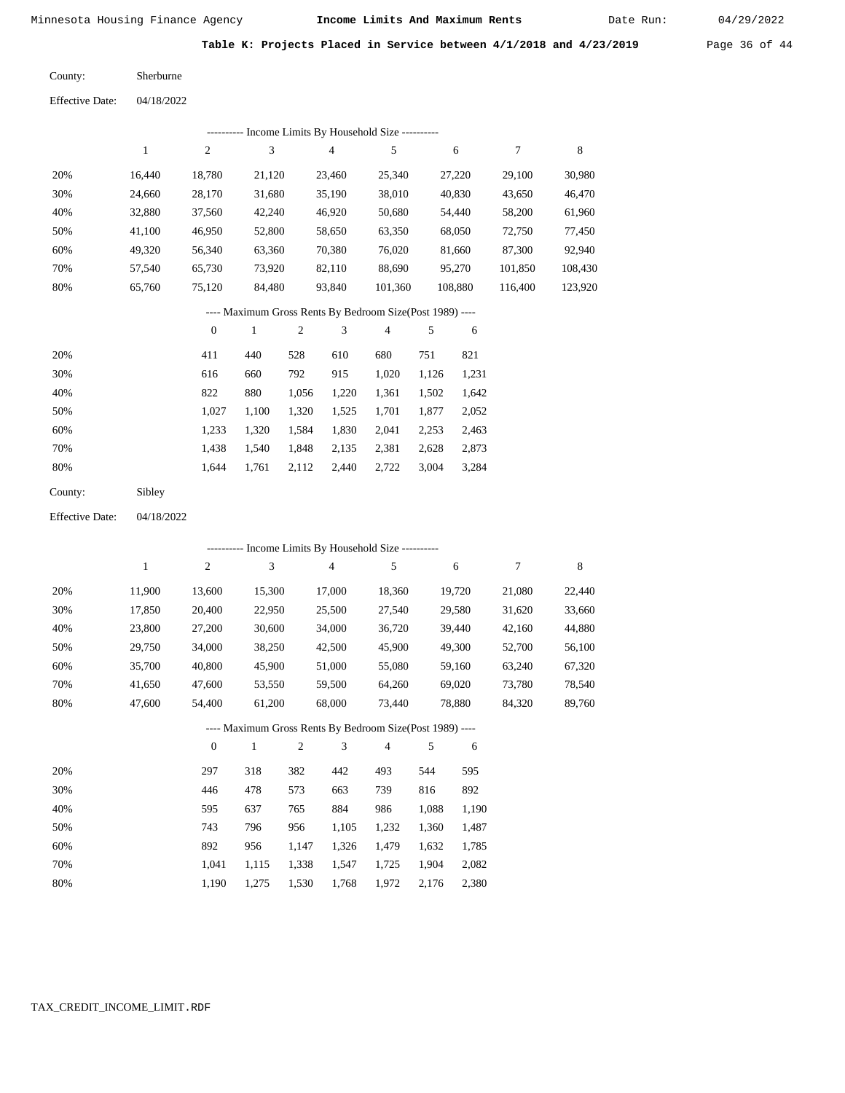Date Run:

Table K: Projects Placed in Service between 4/1/2018 and 4/23/2019 Page 36 of 44

Sherburne County:

|     | ---------- Income Limits By Household Size ---------- |        |        |        |         |         |         |         |  |  |  |  |  |
|-----|-------------------------------------------------------|--------|--------|--------|---------|---------|---------|---------|--|--|--|--|--|
|     |                                                       | 2      | 3      | 4      | 5       | 6       |         | 8       |  |  |  |  |  |
| 20% | 16.440                                                | 18,780 | 21,120 | 23,460 | 25,340  | 27,220  | 29,100  | 30,980  |  |  |  |  |  |
| 30% | 24,660                                                | 28,170 | 31,680 | 35,190 | 38,010  | 40,830  | 43,650  | 46,470  |  |  |  |  |  |
| 40% | 32,880                                                | 37,560 | 42,240 | 46,920 | 50,680  | 54,440  | 58,200  | 61,960  |  |  |  |  |  |
| 50% | 41.100                                                | 46,950 | 52,800 | 58,650 | 63,350  | 68,050  | 72,750  | 77,450  |  |  |  |  |  |
| 60% | 49,320                                                | 56,340 | 63,360 | 70,380 | 76,020  | 81,660  | 87,300  | 92,940  |  |  |  |  |  |
| 70% | 57.540                                                | 65,730 | 73,920 | 82,110 | 88,690  | 95,270  | 101,850 | 108,430 |  |  |  |  |  |
| 80% | 65,760                                                | 75,120 | 84,480 | 93,840 | 101,360 | 108,880 | 116,400 | 123,920 |  |  |  |  |  |

# ---- Maximum Gross Rents By Bedroom Size(Post 1989) ----

|     | $\mathbf{0}$ |       | $\overline{c}$ | 3     | 4     | 5     | 6     |
|-----|--------------|-------|----------------|-------|-------|-------|-------|
| 20% | 411          | 440   | 528            | 610   | 680   | 751   | 821   |
| 30% | 616          | 660   | 792            | 915   | 1,020 | 1,126 | 1,231 |
| 40% | 822          | 880   | 1,056          | 1,220 | 1,361 | 1,502 | 1,642 |
| 50% | 1,027        | 1,100 | 1,320          | 1,525 | 1,701 | 1,877 | 2,052 |
| 60% | 1,233        | 1,320 | 1,584          | 1,830 | 2,041 | 2,253 | 2,463 |
| 70% | 1.438        | 1,540 | 1,848          | 2,135 | 2,381 | 2,628 | 2,873 |
| 80% | 1,644        | 1,761 | 2,112          | 2,440 | 2,722 | 3,004 | 3.284 |
|     |              |       |                |       |       |       |       |

| County: | Sibley |
|---------|--------|
|---------|--------|

04/18/2022 Effective Date:

|     |              |                |              |                |                | ---------- Income Limits By Household Size ----------    |       |        |        |        |
|-----|--------------|----------------|--------------|----------------|----------------|----------------------------------------------------------|-------|--------|--------|--------|
|     | $\mathbf{1}$ | $\overline{c}$ | 3            |                | $\overline{4}$ | 5                                                        |       | 6      | $\tau$ | 8      |
| 20% | 11,900       | 13,600         | 15,300       |                | 17,000         | 18,360                                                   |       | 19,720 | 21,080 | 22,440 |
| 30% | 17,850       | 20,400         | 22,950       |                | 25,500         | 27,540                                                   |       | 29,580 | 31,620 | 33,660 |
| 40% | 23,800       | 27,200         | 30,600       |                | 34,000         | 36,720                                                   |       | 39,440 | 42,160 | 44,880 |
| 50% | 29,750       | 34,000         | 38,250       |                | 42,500         | 45,900                                                   |       | 49,300 | 52,700 | 56,100 |
| 60% | 35,700       | 40,800         | 45,900       |                | 51,000         | 55,080                                                   |       | 59,160 | 63,240 | 67,320 |
| 70% | 41,650       | 47,600         | 53,550       |                | 59,500         | 64,260                                                   |       | 69,020 | 73,780 | 78,540 |
| 80% | 47,600       | 54,400         | 61,200       |                | 68,000         | 73,440                                                   |       | 78,880 | 84,320 | 89,760 |
|     |              |                |              |                |                | ---- Maximum Gross Rents By Bedroom Size(Post 1989) ---- |       |        |        |        |
|     |              | $\overline{0}$ | $\mathbf{1}$ | $\mathfrak{2}$ | 3              | 4                                                        | 5     | 6      |        |        |
| 20% |              | 297            | 318          | 382            | 442            | 493                                                      | 544   | 595    |        |        |
| 30% |              | 446            | 478          | 573            | 663            | 739                                                      | 816   | 892    |        |        |
| 40% |              | 595            | 637          | 765            | 884            | 986                                                      | 1,088 | 1,190  |        |        |
| 50% |              | 743            | 796          | 956            | 1,105          | 1,232                                                    | 1,360 | 1,487  |        |        |
| 60% |              | 892            | 956          | 1,147          | 1,326          | 1,479                                                    | 1,632 | 1,785  |        |        |
| 70% |              | 1,041          | 1,115        | 1,338          | 1,547          | 1,725                                                    | 1,904 | 2,082  |        |        |

1,768 1,972 2,176 2,380

1,190

1,275 1,530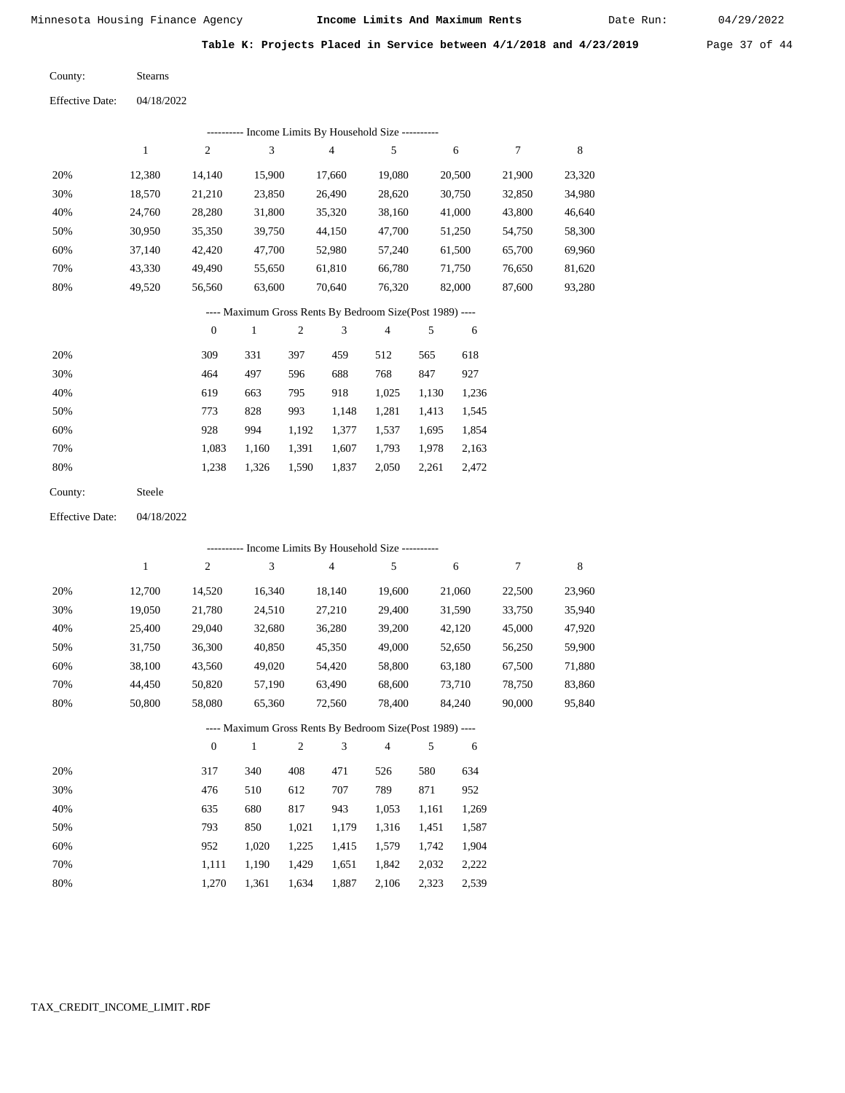Date Run:

Table K: Projects Placed in Service between 4/1/2018 and 4/23/2019 Page 37 of 44

Stearns County:

04/18/2022 Effective Date:

|     | ---------- Income Limits By Household Size ---------- |                |        |        |        |        |        |        |  |  |  |  |  |
|-----|-------------------------------------------------------|----------------|--------|--------|--------|--------|--------|--------|--|--|--|--|--|
|     |                                                       | $\overline{c}$ | 3      | 4      | 5      | 6      | 7      | 8      |  |  |  |  |  |
| 20% | 12.380                                                | 14.140         | 15,900 | 17.660 | 19.080 | 20,500 | 21,900 | 23,320 |  |  |  |  |  |
| 30% | 18,570                                                | 21,210         | 23,850 | 26,490 | 28,620 | 30,750 | 32,850 | 34,980 |  |  |  |  |  |
| 40% | 24.760                                                | 28,280         | 31,800 | 35,320 | 38,160 | 41,000 | 43,800 | 46,640 |  |  |  |  |  |
| 50% | 30,950                                                | 35,350         | 39,750 | 44,150 | 47,700 | 51,250 | 54,750 | 58,300 |  |  |  |  |  |
| 60% | 37.140                                                | 42,420         | 47,700 | 52,980 | 57,240 | 61,500 | 65,700 | 69,960 |  |  |  |  |  |
| 70% | 43,330                                                | 49.490         | 55.650 | 61,810 | 66,780 | 71,750 | 76,650 | 81,620 |  |  |  |  |  |
| 80% | 49,520                                                | 56,560         | 63,600 | 70,640 | 76,320 | 82,000 | 87,600 | 93,280 |  |  |  |  |  |
|     |                                                       |                |        |        |        |        |        |        |  |  |  |  |  |

### ---- Maximum Gross Rents By Bedroom Size(Post 1989) ----

|     | $\mathbf{0}$ |       | 2     | 3     | 4     | 5     | 6     |
|-----|--------------|-------|-------|-------|-------|-------|-------|
| 20% | 309          | 331   | 397   | 459   | 512   | 565   | 618   |
| 30% | 464          | 497   | 596   | 688   | 768   | 847   | 927   |
| 40% | 619          | 663   | 795   | 918   | 1,025 | 1,130 | 1,236 |
| 50% | 773          | 828   | 993   | 1,148 | 1,281 | 1,413 | 1,545 |
| 60% | 928          | 994   | 1,192 | 1,377 | 1,537 | 1,695 | 1,854 |
| 70% | 1,083        | 1,160 | 1,391 | 1,607 | 1,793 | 1,978 | 2,163 |
| 80% | 1,238        | 1,326 | 1,590 | 1,837 | 2,050 | 2,261 | 2,472 |
|     |              |       |       |       |       |       |       |

Steele County:

04/18/2022 Effective Date:

|     |        |                | ---------- Income Limits By Household Size ----------    |                |                |                |       |        |        |        |
|-----|--------|----------------|----------------------------------------------------------|----------------|----------------|----------------|-------|--------|--------|--------|
|     | 1      | $\overline{c}$ | 3                                                        |                | $\overline{4}$ | 5              |       | 6      | 7      | 8      |
| 20% | 12,700 | 14,520         | 16,340                                                   |                | 18,140         | 19,600         |       | 21,060 | 22,500 | 23,960 |
| 30% | 19,050 | 21,780         | 24,510                                                   |                | 27,210         | 29,400         |       | 31,590 | 33,750 | 35,940 |
| 40% | 25,400 | 29,040         | 32,680                                                   |                | 36,280         | 39,200         |       | 42,120 | 45,000 | 47,920 |
| 50% | 31,750 | 36,300         | 40,850                                                   |                | 45,350         | 49,000         |       | 52,650 | 56,250 | 59,900 |
| 60% | 38,100 | 43,560         | 49,020                                                   |                | 54,420         | 58,800         |       | 63,180 | 67,500 | 71,880 |
| 70% | 44,450 | 50,820         | 57,190                                                   |                | 63,490         | 68,600         |       | 73,710 | 78,750 | 83,860 |
| 80% | 50,800 | 58,080         | 65,360                                                   |                | 72,560         | 78,400         |       | 84,240 | 90,000 | 95,840 |
|     |        |                | ---- Maximum Gross Rents By Bedroom Size(Post 1989) ---- |                |                |                |       |        |        |        |
|     |        | $\overline{0}$ | $\mathbf{1}$                                             | $\overline{c}$ | 3              | $\overline{4}$ | 5     | 6      |        |        |
| 20% |        | 317            | 340                                                      | 408            | 471            | 526            | 580   | 634    |        |        |
| 30% |        | 476            | 510                                                      | 612            | 707            | 789            | 871   | 952    |        |        |
| 40% |        | 635            | 680                                                      | 817            | 943            | 1,053          | 1,161 | 1,269  |        |        |
| 50% |        | 793            | 850                                                      | 1,021          | 1,179          | 1,316          | 1,451 | 1,587  |        |        |

1,020 1,225 1,415 1,579 1,742 1,904

 2,222 2,539

| 70% |  | 1.111 1.190 1.429 1.651 1.842 2.032 |  |  |
|-----|--|-------------------------------------|--|--|
| 80% |  | 1.270 1.361 1.634 1.887 2.106 2.323 |  |  |

952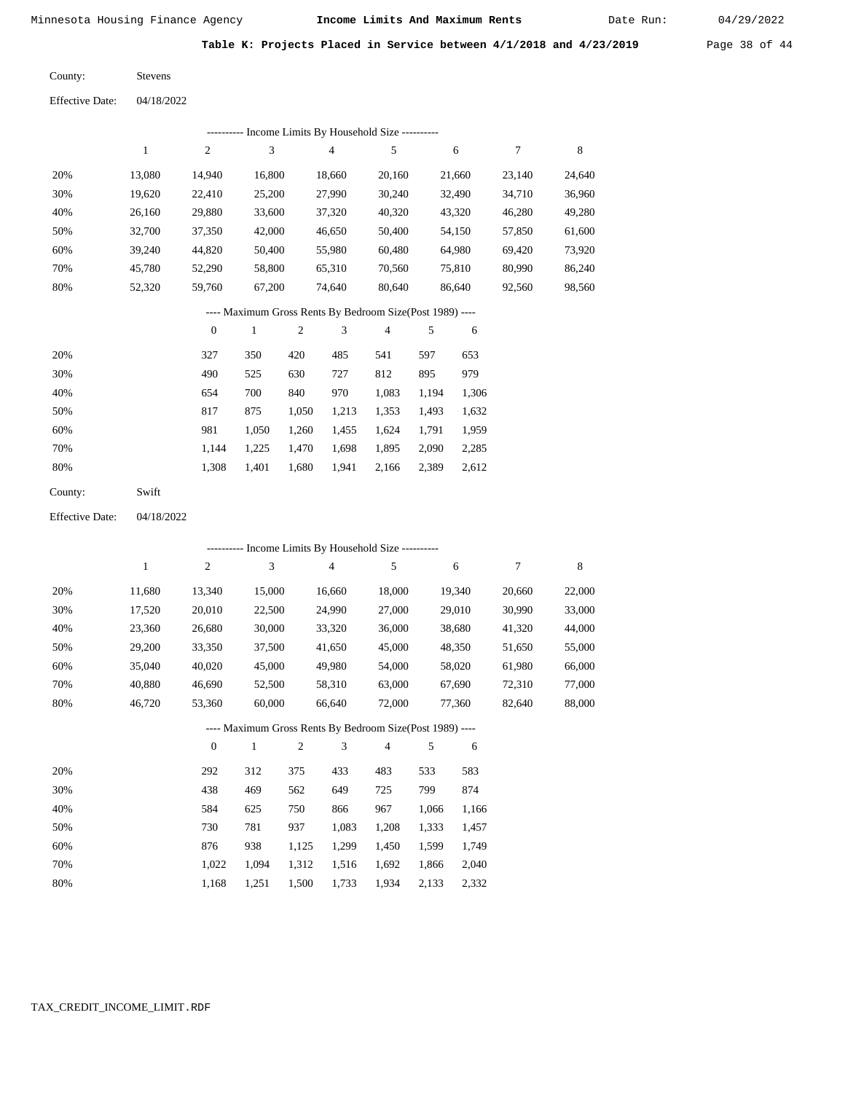Date Run:

Table K: Projects Placed in Service between 4/1/2018 and 4/23/2019 Page 38 of 44

Stevens County:

04/18/2022 Effective Date:

| Income Limits By Household Size ---------- |        |        |        |        |        |        |        |        |  |
|--------------------------------------------|--------|--------|--------|--------|--------|--------|--------|--------|--|
|                                            |        | 2      | 3      | 4      | 5      | 6      |        | 8      |  |
| 20%                                        | 13.080 | 14,940 | 16.800 | 18.660 | 20,160 | 21,660 | 23.140 | 24,640 |  |
| 30%                                        | 19,620 | 22,410 | 25,200 | 27,990 | 30,240 | 32,490 | 34,710 | 36,960 |  |
| 40%                                        | 26.160 | 29,880 | 33,600 | 37,320 | 40,320 | 43,320 | 46,280 | 49,280 |  |
| 50%                                        | 32.700 | 37,350 | 42,000 | 46,650 | 50,400 | 54,150 | 57,850 | 61,600 |  |
| 60%                                        | 39.240 | 44,820 | 50,400 | 55,980 | 60,480 | 64,980 | 69,420 | 73.920 |  |
| 70%                                        | 45.780 | 52,290 | 58,800 | 65,310 | 70,560 | 75,810 | 80,990 | 86,240 |  |
| 80%                                        | 52,320 | 59,760 | 67,200 | 74,640 | 80,640 | 86,640 | 92,560 | 98,560 |  |
|                                            |        |        |        |        |        |        |        |        |  |

### ---- Maximum Gross Rents By Bedroom Size(Post 1989) ----

|     | $\mathbf{0}$ |       | $\overline{c}$ | 3     | 4     | 5     | 6     |
|-----|--------------|-------|----------------|-------|-------|-------|-------|
| 20% | 327          | 350   | 420            | 485   | 541   | 597   | 653   |
| 30% | 490          | 525   | 630            | 727   | 812   | 895   | 979   |
| 40% | 654          | 700   | 840            | 970   | 1,083 | 1,194 | 1,306 |
| 50% | 817          | 875   | 1,050          | 1,213 | 1,353 | 1,493 | 1,632 |
| 60% | 981          | 1,050 | 1,260          | 1,455 | 1,624 | 1,791 | 1,959 |
| 70% | 1.144        | 1,225 | 1,470          | 1,698 | 1,895 | 2,090 | 2,285 |
| 80% | 1,308        | 1,401 | 1,680          | 1,941 | 2,166 | 2,389 | 2,612 |
|     |              |       |                |       |       |       |       |

| County: | Swift |
|---------|-------|
|---------|-------|

04/18/2022 Effective Date:

|     |              |                  |              |                | ---------- Income Limits By Household Size ----------    |                |       |        |        |        |
|-----|--------------|------------------|--------------|----------------|----------------------------------------------------------|----------------|-------|--------|--------|--------|
|     | $\mathbf{1}$ | $\boldsymbol{2}$ | 3            |                | $\overline{4}$                                           | 5              |       | 6      | 7      | 8      |
| 20% | 11,680       | 13,340           | 15,000       |                | 16,660                                                   | 18,000         |       | 19,340 | 20,660 | 22,000 |
| 30% | 17,520       | 20,010           | 22,500       |                | 24,990                                                   | 27,000         |       | 29,010 | 30,990 | 33,000 |
| 40% | 23,360       | 26,680           | 30,000       |                | 33,320                                                   | 36,000         |       | 38,680 | 41,320 | 44,000 |
| 50% | 29,200       | 33,350           | 37,500       |                | 41,650                                                   | 45,000         |       | 48,350 | 51,650 | 55,000 |
| 60% | 35,040       | 40,020           | 45,000       |                | 49,980                                                   | 54,000         |       | 58,020 | 61,980 | 66,000 |
| 70% | 40,880       | 46,690           | 52,500       |                | 58,310                                                   | 63,000         |       | 67,690 | 72,310 | 77,000 |
| 80% | 46,720       | 53,360           | 60,000       |                | 66,640                                                   | 72,000         |       | 77,360 | 82,640 | 88,000 |
|     |              |                  |              |                | ---- Maximum Gross Rents By Bedroom Size(Post 1989) ---- |                |       |        |        |        |
|     |              | $\overline{0}$   | $\mathbf{1}$ | $\overline{2}$ | 3                                                        | $\overline{4}$ | 5     | 6      |        |        |
| 20% |              | 292              | 312          | 375            | 433                                                      | 483            | 533   | 583    |        |        |
| 30% |              | 438              | 469          | 562            | 649                                                      | 725            | 799   | 874    |        |        |
| 40% |              | 584              | 625          | 750            | 866                                                      | 967            | 1,066 | 1,166  |        |        |
| 50% |              | 730              | 781          | 937            | 1,083                                                    | 1,208          | 1,333 | 1,457  |        |        |
| 60% |              | 876              | 938          | 1,125          | 1,299                                                    | 1,450          | 1,599 | 1,749  |        |        |
| 70% |              | 1,022            | 1,094        | 1,312          | 1,516                                                    | 1,692          | 1,866 | 2,040  |        |        |

1,168

1,251

1,500

1,733

1,934

2,133

2,332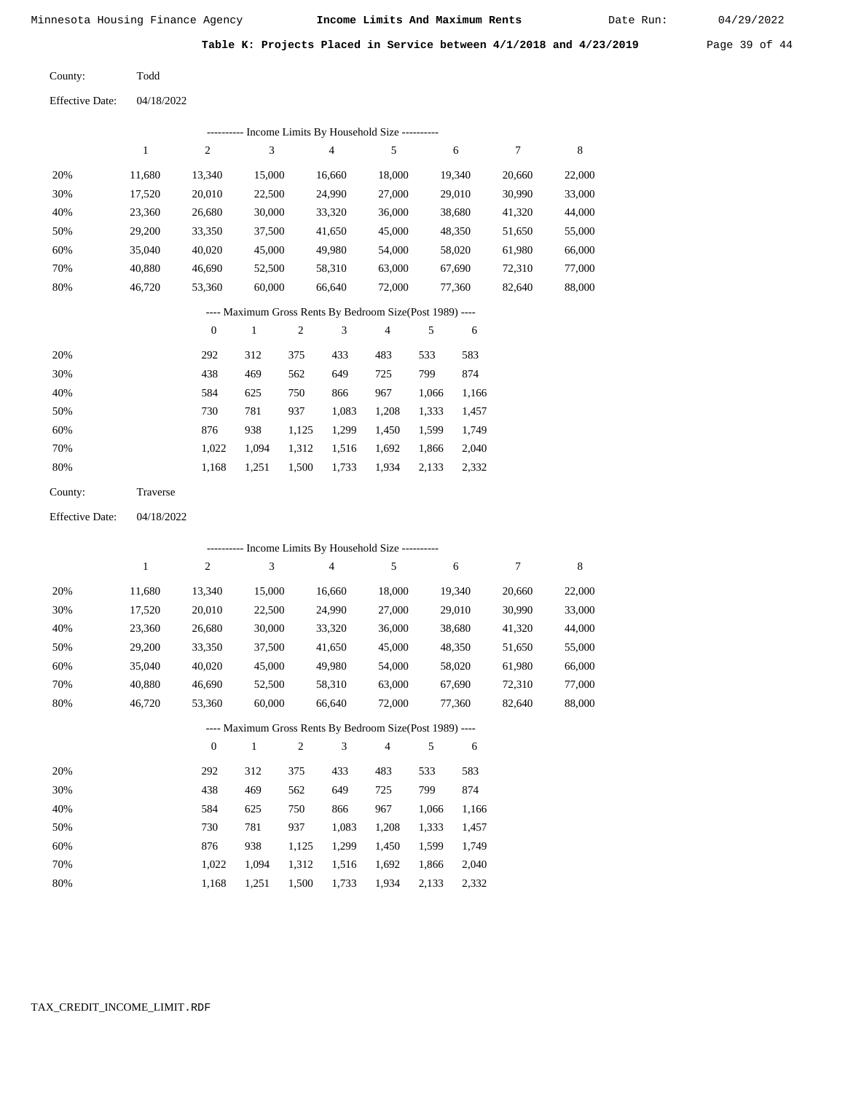Date Run:

Table K: Projects Placed in Service between  $4/1/2018$  and  $4/23/2019$  Page 39 of 44

Todd County:

04/18/2022 Effective Date:

|                        |            |                  | --------- Income Limits By Household Size ---------      |            |                |            |               |            |        |         |
|------------------------|------------|------------------|----------------------------------------------------------|------------|----------------|------------|---------------|------------|--------|---------|
|                        | $\,1$      | $\overline{c}$   | 3                                                        |            | $\overline{4}$ | 5          |               | $\sqrt{6}$ | $\tau$ | $\,8\,$ |
| 20%                    | 11,680     | 13,340           | 15,000                                                   |            | 16,660         | 18,000     |               | 19,340     | 20,660 | 22,000  |
| 30%                    | 17,520     | 20,010           | 22,500                                                   |            | 24,990         | 27,000     |               | 29,010     | 30,990 | 33,000  |
| 40%                    | 23,360     | 26,680           | 30,000                                                   |            | 33,320         | 36,000     |               | 38,680     | 41,320 | 44,000  |
| 50%                    | 29,200     | 33,350           | 37,500                                                   |            | 41,650         | 45,000     |               | 48,350     | 51,650 | 55,000  |
| 60%                    | 35,040     | 40,020           | 45,000                                                   |            | 49,980         | 54,000     |               | 58,020     | 61,980 | 66,000  |
| 70%                    | 40,880     | 46,690           | 52,500                                                   |            | 58,310         | 63,000     |               | 67,690     | 72,310 | 77,000  |
| 80%                    | 46,720     | 53,360           | 60,000                                                   |            | 66,640         | 72,000     |               | 77,360     | 82,640 | 88,000  |
|                        |            |                  | ---- Maximum Gross Rents By Bedroom Size(Post 1989) ---- |            |                |            |               |            |        |         |
|                        |            | $\boldsymbol{0}$ | $\,1\,$                                                  | $\sqrt{2}$ | 3              | $\sqrt{4}$ | $\mathfrak s$ | 6          |        |         |
| 20%                    |            | 292              | 312                                                      | 375        | 433            | 483        | 533           | 583        |        |         |
| 30%                    |            | 438              | 469                                                      | 562        | 649            | 725        | 799           | 874        |        |         |
| 40%                    |            | 584              | 625                                                      | 750        | 866            | 967        | 1,066         | 1,166      |        |         |
| 50%                    |            | 730              | 781                                                      | 937        | 1,083          | 1,208      | 1,333         | 1,457      |        |         |
| 60%                    |            | 876              | 938                                                      | 1,125      | 1,299          | 1,450      | 1,599         | 1,749      |        |         |
| 70%                    |            | 1,022            | 1,094                                                    | 1,312      | 1,516          | 1,692      | 1,866         | 2,040      |        |         |
| 80%                    |            | 1,168            | 1,251                                                    | 1,500      | 1,733          | 1,934      | 2,133         | 2,332      |        |         |
| County:                | Traverse   |                  |                                                          |            |                |            |               |            |        |         |
| <b>Effective Date:</b> | 04/18/2022 |                  |                                                          |            |                |            |               |            |        |         |
|                        |            |                  | --------- Income Limits By Household Size ---------      |            |                |            |               |            |        |         |
|                        | $\,1$      | $\mathbf{2}$     | $\ensuremath{\mathfrak{Z}}$                              |            | $\overline{4}$ | 5          |               | 6          | 7      | 8       |
| 20%                    | 11,680     | 13,340           | 15,000                                                   |            | 16,660         | 18,000     |               | 19,340     | 20,660 | 22,000  |
| 30%                    | 17,520     | 20,010           | 22,500                                                   |            | 24,990         | 27,000     |               | 29,010     | 30,990 | 33,000  |
| 40%                    | 23,360     | 26,680           | 30,000                                                   |            | 33,320         | 36,000     |               | 38,680     | 41,320 | 44,000  |
| 50%                    | 29,200     | 33,350           | 37,500                                                   |            | 41,650         | 45,000     |               | 48,350     | 51,650 | 55,000  |
| 60%                    | 35,040     | 40,020           | 45,000                                                   |            | 49,980         | 54,000     |               | 58,020     | 61,980 | 66,000  |
| 70%                    | 40,880     | 46,690           | 52,500                                                   |            | 58,310         | 63,000     |               | 67,690     | 72,310 | 77,000  |
| 80%                    | 46,720     | 53,360           | 60,000                                                   |            | 66,640         | 72,000     |               | 77,360     | 82,640 | 88,000  |
|                        |            |                  | ---- Maximum Gross Rents By Bedroom Size(Post 1989) ---- |            |                |            |               |            |        |         |

|     | $\mathbf{0}$ |       | $\overline{c}$ | 3     | 4     | 5     | 6     |
|-----|--------------|-------|----------------|-------|-------|-------|-------|
| 20% | 292          | 312   | 375            | 433   | 483   | 533   | 583   |
| 30% | 438          | 469   | 562            | 649   | 725   | 799   | 874   |
| 40% | 584          | 625   | 750            | 866   | 967   | 1,066 | 1,166 |
| 50% | 730          | 781   | 937            | 1,083 | 1,208 | 1,333 | 1,457 |
| 60% | 876          | 938   | 1,125          | 1,299 | 1,450 | 1,599 | 1,749 |
| 70% | 1.022        | 1.094 | 1,312          | 1,516 | 1,692 | 1,866 | 2,040 |
| 80% | 1,168        | 1,251 | 1,500          | 1,733 | 1,934 | 2,133 | 2,332 |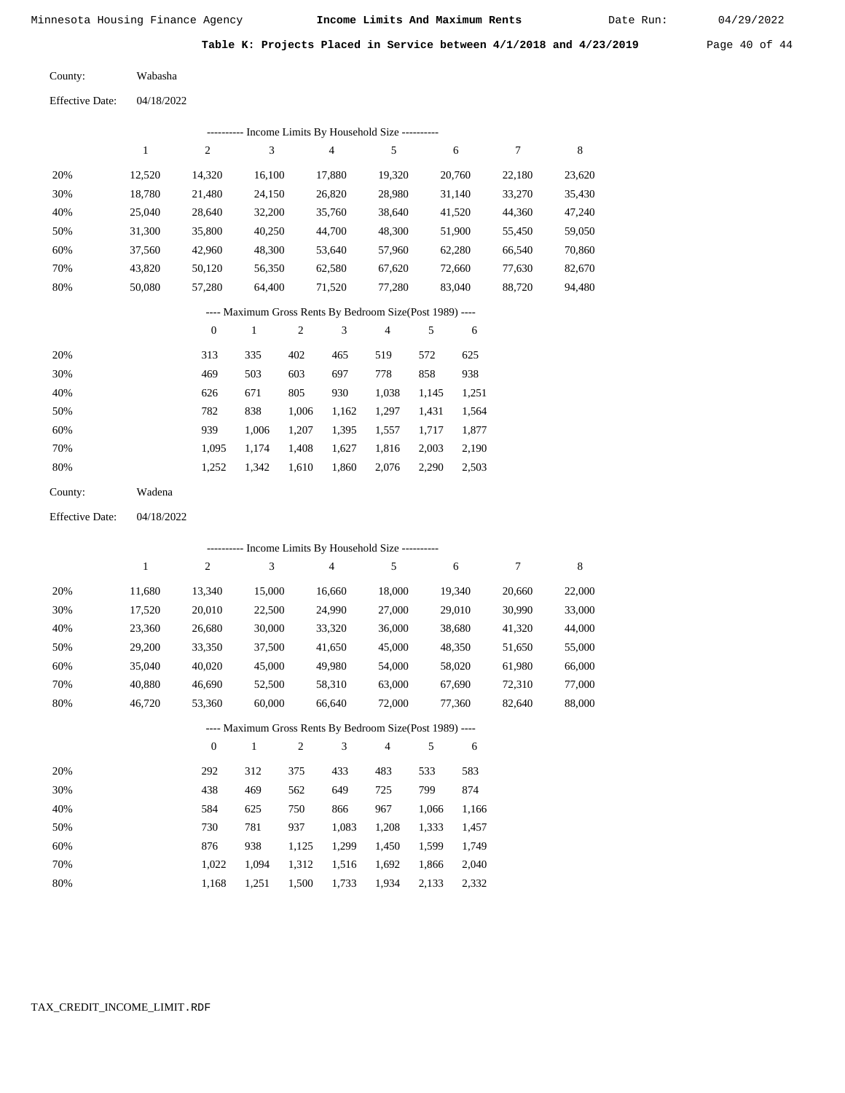Date Run:

Table K: Projects Placed in Service between  $4/1/2018$  and  $4/23/2019$  Page 40 of 44

Wabasha County:

04/18/2022 Effective Date:

|     |        |                |        | --------- Income Limits By Household Size --------- |        |        |        |        |
|-----|--------|----------------|--------|-----------------------------------------------------|--------|--------|--------|--------|
|     |        | $\overline{c}$ | 3      | 4                                                   | 5      | 6      |        | 8      |
| 20% | 12,520 | 14,320         | 16,100 | 17,880                                              | 19,320 | 20,760 | 22,180 | 23,620 |
| 30% | 18,780 | 21,480         | 24,150 | 26,820                                              | 28,980 | 31,140 | 33,270 | 35,430 |
| 40% | 25,040 | 28,640         | 32,200 | 35,760                                              | 38,640 | 41,520 | 44,360 | 47,240 |
| 50% | 31,300 | 35,800         | 40,250 | 44,700                                              | 48,300 | 51,900 | 55,450 | 59,050 |
| 60% | 37.560 | 42,960         | 48,300 | 53,640                                              | 57,960 | 62,280 | 66,540 | 70,860 |
| 70% | 43.820 | 50,120         | 56,350 | 62,580                                              | 67,620 | 72,660 | 77,630 | 82,670 |
| 80% | 50.080 | 57,280         | 64,400 | 71,520                                              | 77,280 | 83,040 | 88,720 | 94,480 |
|     |        |                |        |                                                     |        |        |        |        |

---- Maximum Gross Rents By Bedroom Size(Post 1989) ----

|     | $\mathbf{0}$ |       | 2     | 3     | 4     | 5     | 6     |
|-----|--------------|-------|-------|-------|-------|-------|-------|
| 20% | 313          | 335   | 402   | 465   | 519   | 572   | 625   |
| 30% | 469          | 503   | 603   | 697   | 778   | 858   | 938   |
| 40% | 626          | 671   | 805   | 930   | 1,038 | 1,145 | 1,251 |
| 50% | 782          | 838   | 1,006 | 1,162 | 1,297 | 1,431 | 1,564 |
| 60% | 939          | 1,006 | 1,207 | 1,395 | 1,557 | 1,717 | 1,877 |
| 70% | 1.095        | 1.174 | 1,408 | 1,627 | 1,816 | 2,003 | 2,190 |
| 80% | 1,252        | 1,342 | 1,610 | 1,860 | 2,076 | 2,290 | 2,503 |
|     |              |       |       |       |       |       |       |

Wadena County:

04/18/2022 Effective Date:

|     |              |                |              |                | ---------- Income Limits By Household Size ----------    |        |       |        |        |        |
|-----|--------------|----------------|--------------|----------------|----------------------------------------------------------|--------|-------|--------|--------|--------|
|     | $\mathbf{1}$ | $\overline{c}$ | 3            |                | $\overline{4}$                                           | 5      |       | 6      | 7      | 8      |
| 20% | 11,680       | 13,340         | 15,000       |                | 16,660                                                   | 18,000 |       | 19,340 | 20,660 | 22,000 |
| 30% | 17,520       | 20,010         | 22,500       |                | 24,990                                                   | 27,000 |       | 29,010 | 30,990 | 33,000 |
| 40% | 23,360       | 26,680         | 30,000       |                | 33,320                                                   | 36,000 |       | 38,680 | 41,320 | 44,000 |
| 50% | 29,200       | 33,350         | 37,500       |                | 41,650                                                   | 45,000 |       | 48,350 | 51,650 | 55,000 |
| 60% | 35,040       | 40,020         | 45,000       |                | 49,980                                                   | 54,000 |       | 58,020 | 61,980 | 66,000 |
| 70% | 40,880       | 46,690         | 52,500       |                | 58,310                                                   | 63,000 |       | 67,690 | 72,310 | 77,000 |
| 80% | 46,720       | 53,360         | 60,000       |                | 66,640                                                   | 72,000 |       | 77,360 | 82,640 | 88,000 |
|     |              |                |              |                | ---- Maximum Gross Rents By Bedroom Size(Post 1989) ---- |        |       |        |        |        |
|     |              | $\overline{0}$ | $\mathbf{1}$ | $\mathfrak{2}$ | 3                                                        | 4      | 5     | 6      |        |        |
| 20% |              | 292            | 312          | 375            | 433                                                      | 483    | 533   | 583    |        |        |
| 30% |              | 438            | 469          | 562            | 649                                                      | 725    | 799   | 874    |        |        |
| 40% |              | 584            | 625          | 750            | 866                                                      | 967    | 1,066 | 1,166  |        |        |
| 50% |              | 730            | 781          | 937            | 1,083                                                    | 1,208  | 1,333 | 1,457  |        |        |
| 60% |              | 876            | 938          | 1,125          | 1,299                                                    | 1,450  | 1,599 | 1,749  |        |        |
| 70% |              | 1,022          | 1,094        | 1,312          | 1,516                                                    | 1,692  | 1,866 | 2,040  |        |        |

1,500 1,733

1,934 2,133 2,332

1,168

1,251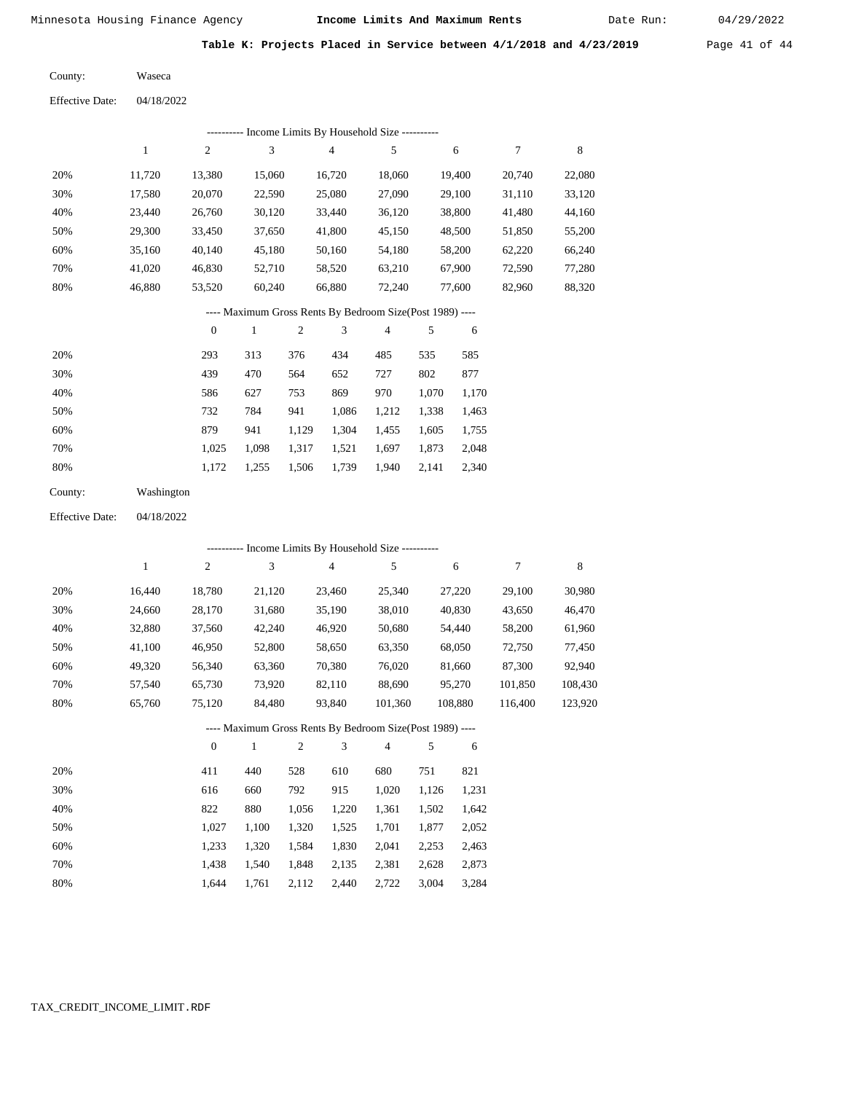Date Run:

Table K: Projects Placed in Service between  $4/1/2018$  and  $4/23/2019$  Page 41 of 44

Waseca County:

04/18/2022 Effective Date:

|     |        |        |        |        | Income Limits By Household Size ---------- |        |        |        |
|-----|--------|--------|--------|--------|--------------------------------------------|--------|--------|--------|
|     |        | 2      | 3      | 4      | 5                                          | 6      |        | 8      |
| 20% | 11,720 | 13,380 | 15,060 | 16,720 | 18,060                                     | 19,400 | 20,740 | 22,080 |
| 30% | 17,580 | 20,070 | 22,590 | 25,080 | 27,090                                     | 29,100 | 31,110 | 33,120 |
| 40% | 23.440 | 26,760 | 30,120 | 33.440 | 36,120                                     | 38,800 | 41.480 | 44,160 |
| 50% | 29,300 | 33,450 | 37,650 | 41,800 | 45,150                                     | 48,500 | 51,850 | 55,200 |
| 60% | 35,160 | 40,140 | 45,180 | 50,160 | 54,180                                     | 58,200 | 62,220 | 66,240 |
| 70% | 41.020 | 46,830 | 52,710 | 58,520 | 63,210                                     | 67,900 | 72,590 | 77,280 |
| 80% | 46.880 | 53,520 | 60,240 | 66,880 | 72,240                                     | 77,600 | 82,960 | 88,320 |

# ---- Maximum Gross Rents By Bedroom Size(Post 1989) ----

|     | $\mathbf{0}$ |       | $\overline{c}$ | 3     | 4     | 5     | 6     |
|-----|--------------|-------|----------------|-------|-------|-------|-------|
| 20% | 293          | 313   | 376            | 434   | 485   | 535   | 585   |
| 30% | 439          | 470   | 564            | 652   | 727   | 802   | 877   |
| 40% | 586          | 627   | 753            | 869   | 970   | 1,070 | 1,170 |
| 50% | 732          | 784   | 941            | 1,086 | 1,212 | 1,338 | 1,463 |
| 60% | 879          | 941   | 1,129          | 1,304 | 1,455 | 1,605 | 1,755 |
| 70% | 1.025        | 1,098 | 1,317          | 1,521 | 1,697 | 1,873 | 2,048 |
| 80% | 1,172        | 1,255 | 1,506          | 1,739 | 1,940 | 2,141 | 2,340 |

| County: | Washington |
|---------|------------|
|         |            |

04/18/2022 Effective Date:

|     |        |                |        |                |        | ---------- Income Limits By Household Size ----------    |     |         |         |         |
|-----|--------|----------------|--------|----------------|--------|----------------------------------------------------------|-----|---------|---------|---------|
|     | 1      | $\mathfrak{2}$ | 3      |                | 4      | 5                                                        |     | 6       | 7       | 8       |
| 20% | 16,440 | 18,780         | 21,120 |                | 23,460 | 25,340                                                   |     | 27,220  | 29,100  | 30,980  |
| 30% | 24.660 | 28,170         | 31,680 |                | 35,190 | 38,010                                                   |     | 40,830  | 43,650  | 46,470  |
| 40% | 32,880 | 37,560         | 42,240 |                | 46,920 | 50,680                                                   |     | 54,440  | 58,200  | 61,960  |
| 50% | 41,100 | 46,950         | 52,800 |                | 58,650 | 63,350                                                   |     | 68,050  | 72,750  | 77,450  |
| 60% | 49,320 | 56,340         | 63,360 |                | 70,380 | 76,020                                                   |     | 81,660  | 87,300  | 92,940  |
| 70% | 57,540 | 65,730         | 73,920 |                | 82,110 | 88,690                                                   |     | 95,270  | 101,850 | 108,430 |
| 80% | 65,760 | 75,120         | 84,480 |                | 93,840 | 101,360                                                  |     | 108,880 | 116,400 | 123,920 |
|     |        |                |        |                |        | ---- Maximum Gross Rents By Bedroom Size(Post 1989) ---- |     |         |         |         |
|     |        | $\mathbf{0}$   | 1      | $\overline{c}$ | 3      | $\overline{4}$                                           | 5   | 6       |         |         |
| 20% |        | 411            | 440    | 528            | 610    | 680                                                      | 751 | 821     |         |         |

| --- |       |       |       |       |       |       |       |
|-----|-------|-------|-------|-------|-------|-------|-------|
| 30% | 616   | 660   | 792   | 915   | 1.020 | 1.126 | 1,231 |
| 40% | 822   | 880   | 1.056 | 1.220 | 1.361 | 1.502 | 1,642 |
| 50% | 1.027 | 1.100 | 1.320 | 1.525 | 1,701 | 1.877 | 2,052 |
| 60% | 1.233 | 1.320 | 1.584 | 1.830 | 2,041 | 2.253 | 2,463 |
| 70% | 1.438 | 1.540 | 1.848 | 2,135 | 2,381 | 2.628 | 2,873 |
| 80% | 1.644 | 1.761 | 2,112 | 2,440 | 2,722 | 3,004 | 3,284 |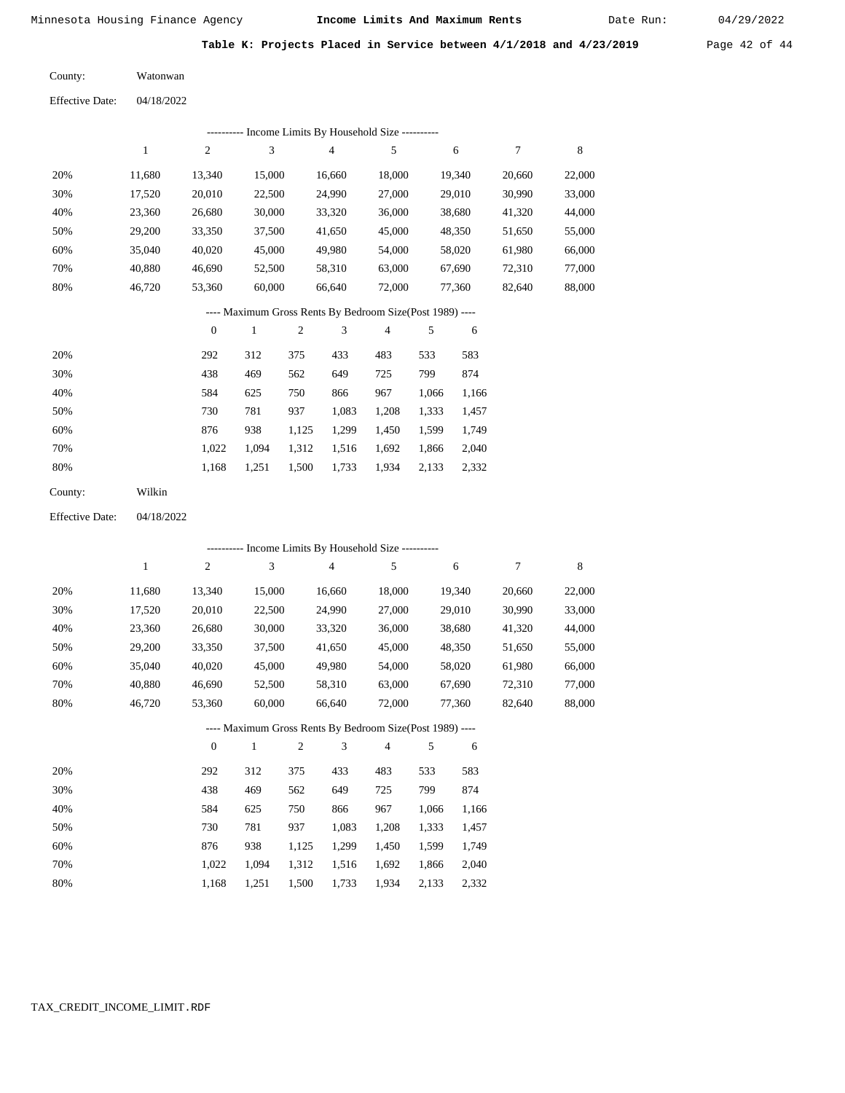Date Run:

Table K: Projects Placed in Service between 4/1/2018 and 4/23/2019 Page 42 of 44

Watonwan County:

04/18/2022 Effective Date:

|     | ---------- Income Limits By Household Size ---------- |        |        |        |                                           |        |        |        |  |  |  |  |
|-----|-------------------------------------------------------|--------|--------|--------|-------------------------------------------|--------|--------|--------|--|--|--|--|
|     |                                                       | 2      | 3      | 4      | 5                                         | 6      | 7      | 8      |  |  |  |  |
| 20% | 11.680                                                | 13.340 | 15.000 | 16.660 | 18.000                                    | 19.340 | 20,660 | 22,000 |  |  |  |  |
| 30% | 17.520                                                | 20,010 | 22,500 | 24,990 | 27,000                                    | 29,010 | 30,990 | 33,000 |  |  |  |  |
| 40% | 23,360                                                | 26,680 | 30,000 | 33,320 | 36,000                                    | 38,680 | 41,320 | 44,000 |  |  |  |  |
| 50% | 29,200                                                | 33,350 | 37,500 | 41,650 | 45,000                                    | 48,350 | 51,650 | 55,000 |  |  |  |  |
| 60% | 35,040                                                | 40,020 | 45,000 | 49,980 | 54,000                                    | 58,020 | 61,980 | 66,000 |  |  |  |  |
| 70% | 40,880                                                | 46.690 | 52,500 | 58,310 | 63,000                                    | 67,690 | 72,310 | 77,000 |  |  |  |  |
| 80% | 46,720                                                | 53,360 | 60,000 | 66.640 | 72,000                                    | 77.360 | 82,640 | 88,000 |  |  |  |  |
|     |                                                       |        | $\sim$ | .      | $\alpha$ , $\alpha$ , $\alpha$ , $\alpha$ |        |        |        |  |  |  |  |

---- Maximum Gross Rents By Bedroom Size(Post 1989) ----

|     | $\mathbf{0}$ |       | $\overline{c}$ | 3     | 4     | 5     | 6     |
|-----|--------------|-------|----------------|-------|-------|-------|-------|
| 20% | 292          | 312   | 375            | 433   | 483   | 533   | 583   |
| 30% | 438          | 469   | 562            | 649   | 725   | 799   | 874   |
| 40% | 584          | 625   | 750            | 866   | 967   | 1,066 | 1,166 |
| 50% | 730          | 781   | 937            | 1,083 | 1,208 | 1,333 | 1,457 |
| 60% | 876          | 938   | 1,125          | 1,299 | 1,450 | 1,599 | 1,749 |
| 70% | 1,022        | 1,094 | 1,312          | 1,516 | 1,692 | 1,866 | 2,040 |
| 80% | 1,168        | 1,251 | 1,500          | 1,733 | 1,934 | 2,133 | 2,332 |
|     |              |       |                |       |       |       |       |

Wilkin County:

04/18/2022 Effective Date:

|     |        |                  |              |                |        | ---------- Income Limits By Household Size ----------    |       |        |        |             |
|-----|--------|------------------|--------------|----------------|--------|----------------------------------------------------------|-------|--------|--------|-------------|
|     | 1      | $\boldsymbol{2}$ | 3            |                | 4      | 5                                                        |       | 6      | 7      | $\,$ 8 $\,$ |
| 20% | 11,680 | 13,340           | 15,000       |                | 16,660 | 18,000                                                   |       | 19,340 | 20,660 | 22,000      |
| 30% | 17,520 | 20,010           | 22,500       |                | 24,990 | 27,000                                                   |       | 29,010 | 30,990 | 33,000      |
| 40% | 23,360 | 26,680           | 30,000       |                | 33,320 | 36,000                                                   |       | 38,680 | 41,320 | 44,000      |
| 50% | 29,200 | 33,350           | 37,500       |                | 41,650 | 45,000                                                   |       | 48,350 | 51,650 | 55,000      |
| 60% | 35,040 | 40,020           | 45,000       |                | 49,980 | 54,000                                                   |       | 58,020 | 61,980 | 66,000      |
| 70% | 40,880 | 46,690           | 52,500       |                | 58,310 | 63,000                                                   |       | 67,690 | 72,310 | 77,000      |
| 80% | 46,720 | 53,360           | 60,000       |                | 66,640 | 72,000                                                   |       | 77,360 | 82,640 | 88,000      |
|     |        |                  |              |                |        | ---- Maximum Gross Rents By Bedroom Size(Post 1989) ---- |       |        |        |             |
|     |        | $\overline{0}$   | $\mathbf{1}$ | $\overline{2}$ | 3      | $\overline{4}$                                           | 5     | 6      |        |             |
| 20% |        | 292              | 312          | 375            | 433    | 483                                                      | 533   | 583    |        |             |
| 30% |        | 438              | 469          | 562            | 649    | 725                                                      | 799   | 874    |        |             |
| 40% |        | 584              | 625          | 750            | 866    | 967                                                      | 1,066 | 1,166  |        |             |
| 50% |        | 730              | 781          | 937            | 1,083  | 1,208                                                    | 1,333 | 1,457  |        |             |
| 60% |        | 876              | 938          | 1,125          | 1,299  | 1,450                                                    | 1,599 | 1,749  |        |             |
| 70% |        | 1,022            | 1,094        | 1,312          | 1,516  | 1,692                                                    | 1,866 | 2,040  |        |             |

1,168

1,251

1,500

1,733

1,934

2,133

2,332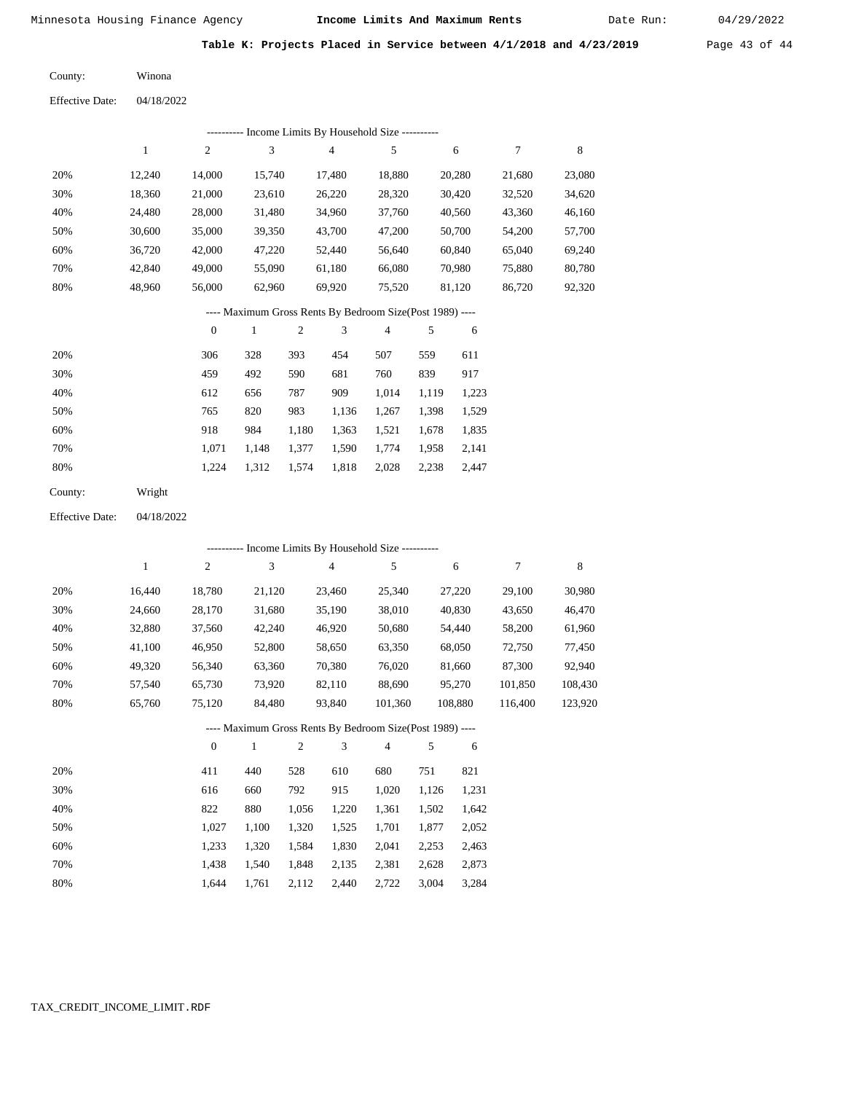Date Run:

Table K: Projects Placed in Service between  $4/1/2018$  and  $4/23/2019$  Page 43 of 44

Winona County:

04/18/2022 Effective Date:

|     |        |        |        | ---------- Income Limits By Household Size ---------- |        |        |        |        |
|-----|--------|--------|--------|-------------------------------------------------------|--------|--------|--------|--------|
|     | 1      | 2      | 3      | 4                                                     | 5      | 6      | 7      | 8      |
| 20% | 12.240 | 14.000 | 15.740 | 17.480                                                | 18,880 | 20,280 | 21,680 | 23,080 |
| 30% | 18.360 | 21,000 | 23,610 | 26,220                                                | 28,320 | 30,420 | 32,520 | 34,620 |
| 40% | 24.480 | 28,000 | 31,480 | 34,960                                                | 37,760 | 40,560 | 43,360 | 46,160 |
| 50% | 30,600 | 35,000 | 39,350 | 43,700                                                | 47.200 | 50,700 | 54,200 | 57,700 |
| 60% | 36,720 | 42,000 | 47,220 | 52,440                                                | 56,640 | 60,840 | 65,040 | 69,240 |
| 70% | 42,840 | 49,000 | 55,090 | 61,180                                                | 66,080 | 70,980 | 75,880 | 80,780 |
| 80% | 48,960 | 56,000 | 62,960 | 69,920                                                | 75,520 | 81,120 | 86,720 | 92,320 |
|     |        |        | $\sim$ | .                                                     | $\sim$ |        |        |        |

---- Maximum Gross Rents By Bedroom Size(Post 1989) ----

|     | $\theta$ |       | $\overline{c}$ | 3     | $\overline{4}$ | 5     | 6     |
|-----|----------|-------|----------------|-------|----------------|-------|-------|
| 20% | 306      | 328   | 393            | 454   | 507            | 559   | 611   |
| 30% | 459      | 492   | 590            | 681   | 760            | 839   | 917   |
| 40% | 612      | 656   | 787            | 909   | 1,014          | 1,119 | 1,223 |
| 50% | 765      | 820   | 983            | 1,136 | 1,267          | 1,398 | 1,529 |
| 60% | 918      | 984   | 1,180          | 1,363 | 1,521          | 1,678 | 1,835 |
| 70% | 1.071    | 1.148 | 1,377          | 1,590 | 1,774          | 1,958 | 2,141 |
| 80% | 1,224    | 1,312 | 1,574          | 1,818 | 2,028          | 2,238 | 2,447 |
|     |          |       |                |       |                |       |       |

Wright County:

04/18/2022 Effective Date:

|     |        |                  |        |     |        | ---------- Income Limits By Household Size ----------    |       |         |         |         |
|-----|--------|------------------|--------|-----|--------|----------------------------------------------------------|-------|---------|---------|---------|
|     | 1      | $\overline{c}$   | 3      |     | 4      | 5                                                        |       | 6       | 7       | 8       |
| 20% | 16,440 | 18,780           | 21,120 |     | 23,460 | 25,340                                                   |       | 27,220  | 29,100  | 30,980  |
| 30% | 24,660 | 28,170           | 31,680 |     | 35,190 | 38,010                                                   |       | 40,830  | 43,650  | 46,470  |
| 40% | 32,880 | 37,560           | 42,240 |     | 46,920 | 50,680                                                   |       | 54,440  | 58,200  | 61,960  |
| 50% | 41,100 | 46,950           | 52,800 |     | 58,650 | 63,350                                                   |       | 68,050  | 72,750  | 77,450  |
| 60% | 49,320 | 56,340           | 63,360 |     | 70,380 | 76,020                                                   |       | 81,660  | 87,300  | 92,940  |
| 70% | 57,540 | 65,730           | 73,920 |     | 82,110 | 88,690                                                   |       | 95,270  | 101,850 | 108,430 |
| 80% | 65,760 | 75,120           | 84,480 |     | 93,840 | 101,360                                                  |       | 108,880 | 116,400 | 123,920 |
|     |        |                  |        |     |        | ---- Maximum Gross Rents By Bedroom Size(Post 1989) ---- |       |         |         |         |
|     |        | $\boldsymbol{0}$ | 1      | 2   | 3      | $\overline{4}$                                           | 5     | 6       |         |         |
| 20% |        | 411              | 440    | 528 | 610    | 680                                                      | 751   | 821     |         |         |
| 30% |        | 616              | 660    | 792 | 915    | 1,020                                                    | 1,126 | 1,231   |         |         |

| 40% | 822 | 880 | 1,056 1,220 1,361 1,502 1,642             |             |  |
|-----|-----|-----|-------------------------------------------|-------------|--|
| 50% |     |     | 1,027 1,100 1,320 1,525 1,701 1,877 2,052 |             |  |
| 60% |     |     | 1,233 1,320 1,584 1,830 2,041 2,253 2,463 |             |  |
| 70% |     |     | 1,438 1,540 1,848 2,135 2,381 2,628 2,873 |             |  |
| 80% |     |     | $1,644$ $1,761$ $2,112$ $2,440$ $2,722$   | 3,004 3,284 |  |